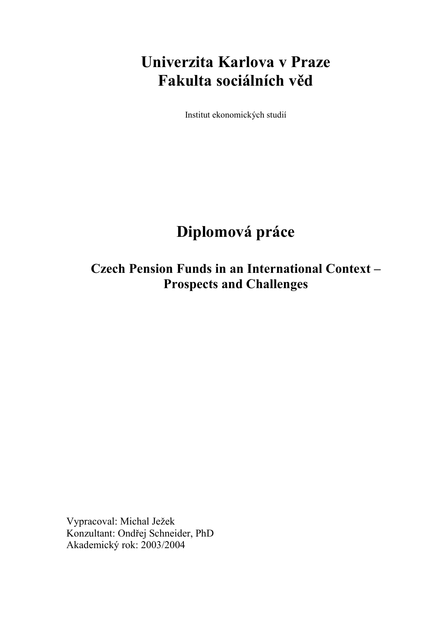# **Univerzita Karlova v Praze Fakulta sociálních věd**

Institut ekonomických studií

# **Diplomová práce**

**Czech Pension Funds in an International Context – Prospects and Challenges** 

Vypracoval: Michal Ježek Konzultant: Ondřej Schneider, PhD Akademický rok: 2003/2004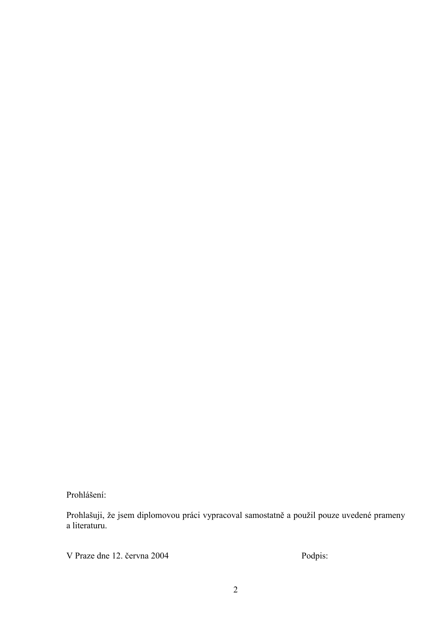Prohlášení:

Prohlašuji, že jsem diplomovou práci vypracoval samostatně a použil pouze uvedené prameny a literaturu.

V Praze dne 12. června 2004 Podpis: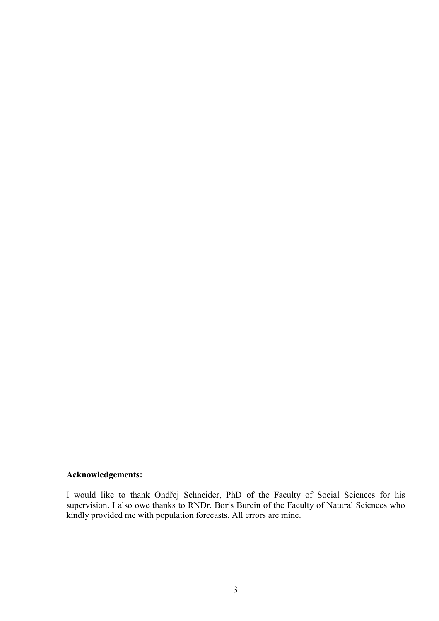### **Acknowledgements:**

I would like to thank Ondřej Schneider, PhD of the Faculty of Social Sciences for his supervision. I also owe thanks to RNDr. Boris Burcin of the Faculty of Natural Sciences who kindly provided me with population forecasts. All errors are mine.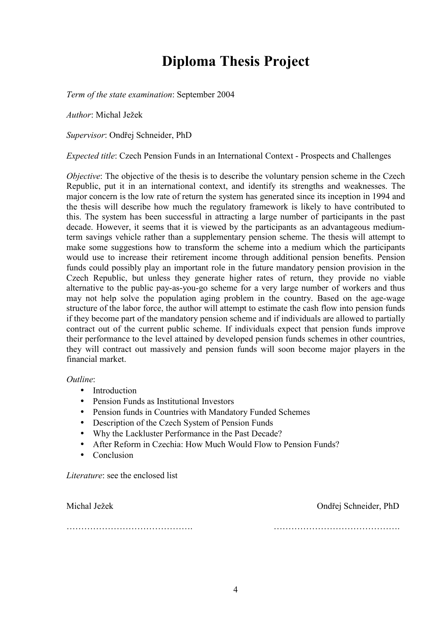# **Diploma Thesis Project**

*Term of the state examination*: September 2004

*Author*: Michal Ježek

*Supervisor*: Ondřej Schneider, PhD

*Expected title*: Czech Pension Funds in an International Context - Prospects and Challenges

*Objective*: The objective of the thesis is to describe the voluntary pension scheme in the Czech Republic, put it in an international context, and identify its strengths and weaknesses. The major concern is the low rate of return the system has generated since its inception in 1994 and the thesis will describe how much the regulatory framework is likely to have contributed to this. The system has been successful in attracting a large number of participants in the past decade. However, it seems that it is viewed by the participants as an advantageous mediumterm savings vehicle rather than a supplementary pension scheme. The thesis will attempt to make some suggestions how to transform the scheme into a medium which the participants would use to increase their retirement income through additional pension benefits. Pension funds could possibly play an important role in the future mandatory pension provision in the Czech Republic, but unless they generate higher rates of return, they provide no viable alternative to the public pay-as-you-go scheme for a very large number of workers and thus may not help solve the population aging problem in the country. Based on the age-wage structure of the labor force, the author will attempt to estimate the cash flow into pension funds if they become part of the mandatory pension scheme and if individuals are allowed to partially contract out of the current public scheme. If individuals expect that pension funds improve their performance to the level attained by developed pension funds schemes in other countries, they will contract out massively and pension funds will soon become major players in the financial market.

*Outline*:

- Introduction
- Pension Funds as Institutional Investors
- Pension funds in Countries with Mandatory Funded Schemes
- Description of the Czech System of Pension Funds
- Why the Lackluster Performance in the Past Decade?
- After Reform in Czechia: How Much Would Flow to Pension Funds?
- Conclusion

*Literature*: see the enclosed list

ÖÖÖÖÖÖÖÖÖÖÖÖÖÖ. ÖÖÖÖÖÖÖÖÖÖÖÖÖÖ.

Michal Ježek Ondřej Schneider, PhD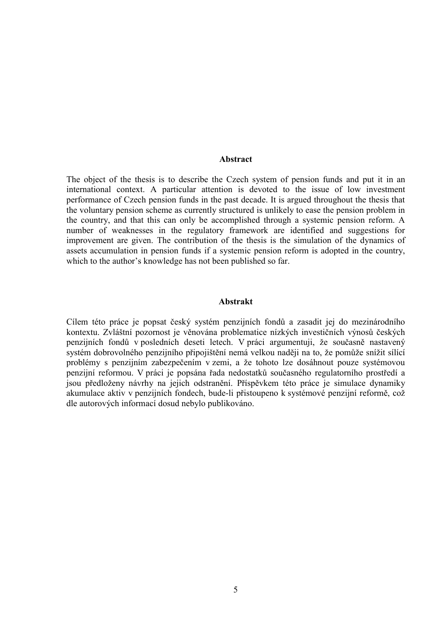#### **Abstract**

The object of the thesis is to describe the Czech system of pension funds and put it in an international context. A particular attention is devoted to the issue of low investment performance of Czech pension funds in the past decade. It is argued throughout the thesis that the voluntary pension scheme as currently structured is unlikely to ease the pension problem in the country, and that this can only be accomplished through a systemic pension reform. A number of weaknesses in the regulatory framework are identified and suggestions for improvement are given. The contribution of the thesis is the simulation of the dynamics of assets accumulation in pension funds if a systemic pension reform is adopted in the country, which to the author's knowledge has not been published so far.

#### **Abstrakt**

Cílem této práce je popsat český systém penzijních fondů a zasadit jej do mezinárodního kontextu. Zvláštní pozornost je věnována problematice nízkých investičních výnosů českých penzijních fondů v posledních deseti letech. V práci argumentuji, že současně nastavený systém dobrovolného penzijního připojištění nemá velkou naději na to, že pomůže snížit sílící problémy s penzijním zabezpečením v zemi, a že tohoto lze dosáhnout pouze systémovou penzijní reformou. V práci je popsána řada nedostatků současného regulatorního prostředí a jsou předloženy návrhy na jejich odstranění. Příspěvkem této práce je simulace dynamiky akumulace aktiv v penzijních fondech, bude-li přistoupeno k systémové penzijní reformě, což dle autorových informací dosud nebylo publikováno.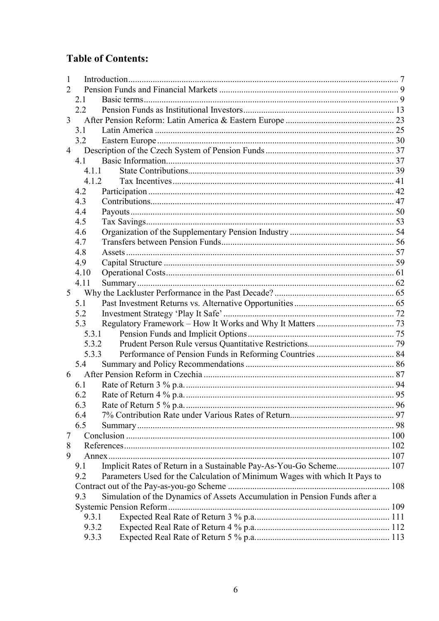# **Table of Contents:**

| 1              |                                                                                   |  |
|----------------|-----------------------------------------------------------------------------------|--|
| 2              |                                                                                   |  |
|                | 2.1                                                                               |  |
|                | $2.2\,$                                                                           |  |
| 3              |                                                                                   |  |
|                | 3.1                                                                               |  |
|                | 3.2                                                                               |  |
| 4              |                                                                                   |  |
|                | 4.1                                                                               |  |
|                | 4.1.1                                                                             |  |
|                | 4.1.2                                                                             |  |
|                | 4.2                                                                               |  |
|                | 4.3                                                                               |  |
|                | 4.4                                                                               |  |
|                | 4.5                                                                               |  |
|                | 4.6                                                                               |  |
|                | 4.7                                                                               |  |
|                | 4.8                                                                               |  |
|                | 4.9                                                                               |  |
|                | 4.10                                                                              |  |
|                | 4.11                                                                              |  |
| 5 <sup>1</sup> |                                                                                   |  |
|                | 5.1                                                                               |  |
|                | 5.2                                                                               |  |
|                | 5.3                                                                               |  |
|                | 5.3.1                                                                             |  |
|                | 5.3.2                                                                             |  |
|                | 5.3.3                                                                             |  |
|                | 5.4                                                                               |  |
| 6              |                                                                                   |  |
|                | 6.1                                                                               |  |
|                | 6.2                                                                               |  |
|                | 6.3                                                                               |  |
|                | 6.4                                                                               |  |
|                | 6.5                                                                               |  |
| 7              |                                                                                   |  |
| 8              |                                                                                   |  |
| 9              |                                                                                   |  |
|                | Implicit Rates of Return in a Sustainable Pay-As-You-Go Scheme 107<br>9.1         |  |
|                | Parameters Used for the Calculation of Minimum Wages with which It Pays to<br>9.2 |  |
|                |                                                                                   |  |
|                | Simulation of the Dynamics of Assets Accumulation in Pension Funds after a<br>9.3 |  |
|                |                                                                                   |  |
|                | 9.3.1                                                                             |  |
|                | 9.3.2                                                                             |  |
|                | 9.3.3                                                                             |  |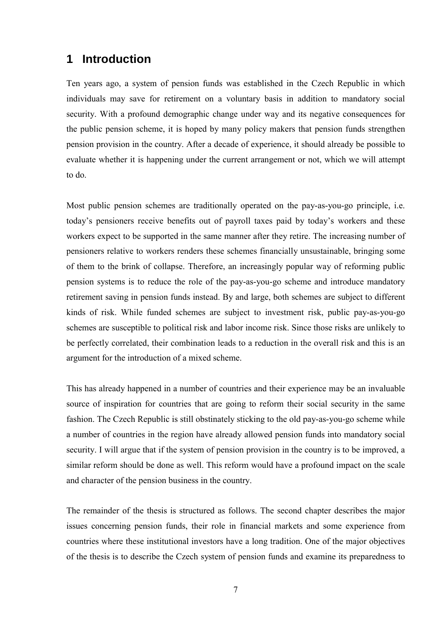## **1 Introduction**

Ten years ago, a system of pension funds was established in the Czech Republic in which individuals may save for retirement on a voluntary basis in addition to mandatory social security. With a profound demographic change under way and its negative consequences for the public pension scheme, it is hoped by many policy makers that pension funds strengthen pension provision in the country. After a decade of experience, it should already be possible to evaluate whether it is happening under the current arrangement or not, which we will attempt to do.

Most public pension schemes are traditionally operated on the pay-as-you-go principle, i.e. today's pensioners receive benefits out of payroll taxes paid by today's workers and these workers expect to be supported in the same manner after they retire. The increasing number of pensioners relative to workers renders these schemes financially unsustainable, bringing some of them to the brink of collapse. Therefore, an increasingly popular way of reforming public pension systems is to reduce the role of the pay-as-you-go scheme and introduce mandatory retirement saving in pension funds instead. By and large, both schemes are subject to different kinds of risk. While funded schemes are subject to investment risk, public pay-as-you-go schemes are susceptible to political risk and labor income risk. Since those risks are unlikely to be perfectly correlated, their combination leads to a reduction in the overall risk and this is an argument for the introduction of a mixed scheme.

This has already happened in a number of countries and their experience may be an invaluable source of inspiration for countries that are going to reform their social security in the same fashion. The Czech Republic is still obstinately sticking to the old pay-as-you-go scheme while a number of countries in the region have already allowed pension funds into mandatory social security. I will argue that if the system of pension provision in the country is to be improved, a similar reform should be done as well. This reform would have a profound impact on the scale and character of the pension business in the country.

The remainder of the thesis is structured as follows. The second chapter describes the major issues concerning pension funds, their role in financial markets and some experience from countries where these institutional investors have a long tradition. One of the major objectives of the thesis is to describe the Czech system of pension funds and examine its preparedness to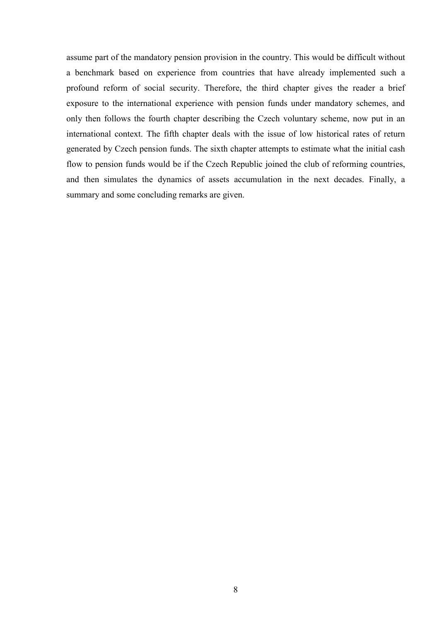assume part of the mandatory pension provision in the country. This would be difficult without a benchmark based on experience from countries that have already implemented such a profound reform of social security. Therefore, the third chapter gives the reader a brief exposure to the international experience with pension funds under mandatory schemes, and only then follows the fourth chapter describing the Czech voluntary scheme, now put in an international context. The fifth chapter deals with the issue of low historical rates of return generated by Czech pension funds. The sixth chapter attempts to estimate what the initial cash flow to pension funds would be if the Czech Republic joined the club of reforming countries, and then simulates the dynamics of assets accumulation in the next decades. Finally, a summary and some concluding remarks are given.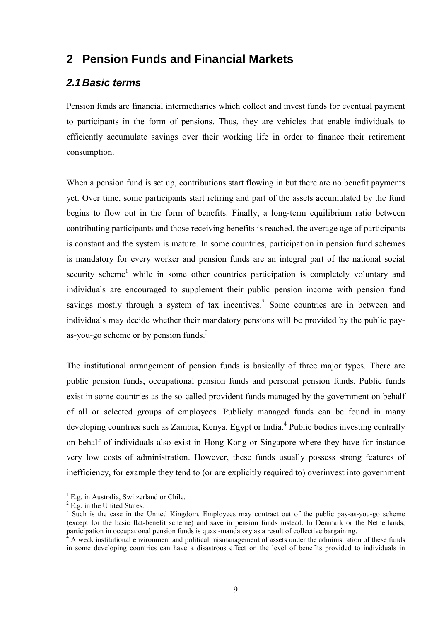# **2 Pension Funds and Financial Markets**

### *2.1 Basic terms*

Pension funds are financial intermediaries which collect and invest funds for eventual payment to participants in the form of pensions. Thus, they are vehicles that enable individuals to efficiently accumulate savings over their working life in order to finance their retirement consumption.

When a pension fund is set up, contributions start flowing in but there are no benefit payments yet. Over time, some participants start retiring and part of the assets accumulated by the fund begins to flow out in the form of benefits. Finally, a long-term equilibrium ratio between contributing participants and those receiving benefits is reached, the average age of participants is constant and the system is mature. In some countries, participation in pension fund schemes is mandatory for every worker and pension funds are an integral part of the national social security scheme<sup>1</sup> while in some other countries participation is completely voluntary and individuals are encouraged to supplement their public pension income with pension fund savings mostly through a system of tax incentives.<sup>2</sup> Some countries are in between and individuals may decide whether their mandatory pensions will be provided by the public payas-you-go scheme or by pension funds.<sup>3</sup>

The institutional arrangement of pension funds is basically of three major types. There are public pension funds, occupational pension funds and personal pension funds. Public funds exist in some countries as the so-called provident funds managed by the government on behalf of all or selected groups of employees. Publicly managed funds can be found in many developing countries such as Zambia, Kenya, Egypt or India.<sup>4</sup> Public bodies investing centrally on behalf of individuals also exist in Hong Kong or Singapore where they have for instance very low costs of administration. However, these funds usually possess strong features of inefficiency, for example they tend to (or are explicitly required to) overinvest into government

<sup>&</sup>lt;sup>1</sup> E.g. in Australia, Switzerland or Chile.

 $^{2}$  E.g. in the United States.

<sup>&</sup>lt;sup>3</sup> Such is the case in the United Kingdom. Employees may contract out of the public pay-as-you-go scheme (except for the basic flat-benefit scheme) and save in pension funds instead. In Denmark or the Netherlands, participation in occupational pension funds is quasi-mandatory as a result of collective bargaining.<br><sup>4</sup> A week institutional environment and political mismanegement of assets under the edministration

A weak institutional environment and political mismanagement of assets under the administration of these funds in some developing countries can have a disastrous effect on the level of benefits provided to individuals in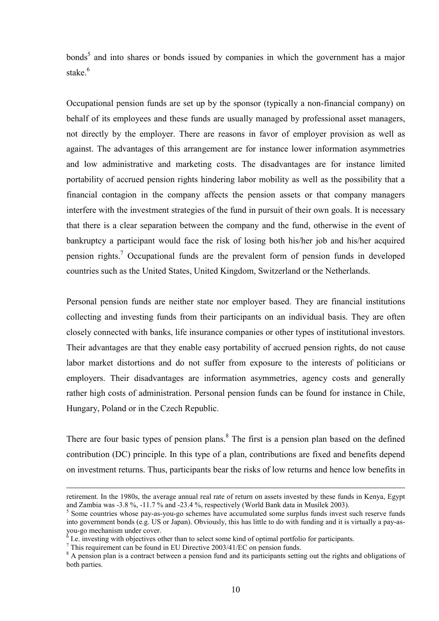bonds<sup>5</sup> and into shares or bonds issued by companies in which the government has a major stake<sup>6</sup>

Occupational pension funds are set up by the sponsor (typically a non-financial company) on behalf of its employees and these funds are usually managed by professional asset managers, not directly by the employer. There are reasons in favor of employer provision as well as against. The advantages of this arrangement are for instance lower information asymmetries and low administrative and marketing costs. The disadvantages are for instance limited portability of accrued pension rights hindering labor mobility as well as the possibility that a financial contagion in the company affects the pension assets or that company managers interfere with the investment strategies of the fund in pursuit of their own goals. It is necessary that there is a clear separation between the company and the fund, otherwise in the event of bankruptcy a participant would face the risk of losing both his/her job and his/her acquired pension rights.<sup>7</sup> Occupational funds are the prevalent form of pension funds in developed countries such as the United States, United Kingdom, Switzerland or the Netherlands.

Personal pension funds are neither state nor employer based. They are financial institutions collecting and investing funds from their participants on an individual basis. They are often closely connected with banks, life insurance companies or other types of institutional investors. Their advantages are that they enable easy portability of accrued pension rights, do not cause labor market distortions and do not suffer from exposure to the interests of politicians or employers. Their disadvantages are information asymmetries, agency costs and generally rather high costs of administration. Personal pension funds can be found for instance in Chile, Hungary, Poland or in the Czech Republic.

There are four basic types of pension plans. $8$  The first is a pension plan based on the defined contribution (DC) principle. In this type of a plan, contributions are fixed and benefits depend on investment returns. Thus, participants bear the risks of low returns and hence low benefits in

retirement. In the 1980s, the average annual real rate of return on assets invested by these funds in Kenya, Egypt and Zambia was  $-3.8\%$ ,  $-11.7\%$  and  $-23.4\%$ , respectively (World Bank data in Musilek 2003).

 $5$  Some countries whose pay-as-you-go schemes have accumulated some surplus funds invest such reserve funds into government bonds (e.g. US or Japan). Obviously, this has little to do with funding and it is virtually a pay-asyou-go mechanism under cover.<br><sup>6</sup> Le investing with objectives of

I.e. investing with objectives other than to select some kind of optimal portfolio for participants.

This requirement can be found in EU Directive  $2003/41/EC$  on pension funds.

<sup>&</sup>lt;sup>8</sup> A pension plan is a contract between a pension fund and its participants setting out the rights and obligations of both parties.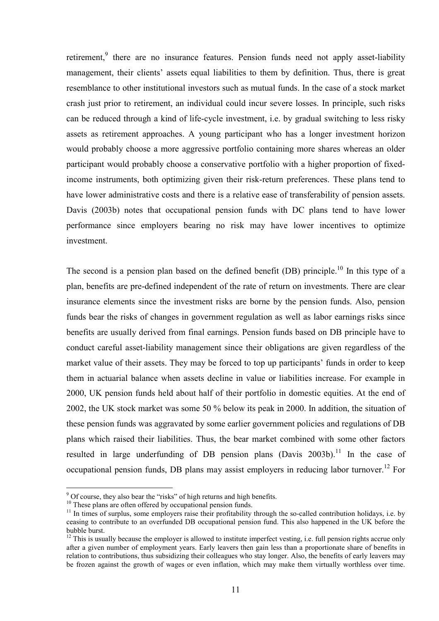retirement,<sup>9</sup> there are no insurance features. Pension funds need not apply asset-liability management, their clients' assets equal liabilities to them by definition. Thus, there is great resemblance to other institutional investors such as mutual funds. In the case of a stock market crash just prior to retirement, an individual could incur severe losses. In principle, such risks can be reduced through a kind of life-cycle investment, i.e. by gradual switching to less risky assets as retirement approaches. A young participant who has a longer investment horizon would probably choose a more aggressive portfolio containing more shares whereas an older participant would probably choose a conservative portfolio with a higher proportion of fixedincome instruments, both optimizing given their risk-return preferences. These plans tend to have lower administrative costs and there is a relative ease of transferability of pension assets. Davis (2003b) notes that occupational pension funds with DC plans tend to have lower performance since employers bearing no risk may have lower incentives to optimize investment.

The second is a pension plan based on the defined benefit (DB) principle.<sup>10</sup> In this type of a plan, benefits are pre-defined independent of the rate of return on investments. There are clear insurance elements since the investment risks are borne by the pension funds. Also, pension funds bear the risks of changes in government regulation as well as labor earnings risks since benefits are usually derived from final earnings. Pension funds based on DB principle have to conduct careful asset-liability management since their obligations are given regardless of the market value of their assets. They may be forced to top up participants' funds in order to keep them in actuarial balance when assets decline in value or liabilities increase. For example in 2000, UK pension funds held about half of their portfolio in domestic equities. At the end of 2002, the UK stock market was some 50 % below its peak in 2000. In addition, the situation of these pension funds was aggravated by some earlier government policies and regulations of DB plans which raised their liabilities. Thus, the bear market combined with some other factors resulted in large underfunding of DB pension plans  $(Davis 2003b)^{11}$  In the case of occupational pension funds, DB plans may assist employers in reducing labor turnover.<sup>12</sup> For

 $9^9$  Of course, they also bear the "risks" of high returns and high benefits.

<sup>&</sup>lt;sup>10</sup> These plans are often offered by occupational pension funds.

 $11$  In times of surplus, some employers raise their profitability through the so-called contribution holidays, i.e. by ceasing to contribute to an overfunded DB occupational pension fund. This also happened in the UK before the bubble burst.

 $12$  This is usually because the employer is allowed to institute imperfect vesting, i.e. full pension rights accrue only after a given number of employment years. Early leavers then gain less than a proportionate share of benefits in relation to contributions, thus subsidizing their colleagues who stay longer. Also, the benefits of early leavers may be frozen against the growth of wages or even inflation, which may make them virtually worthless over time.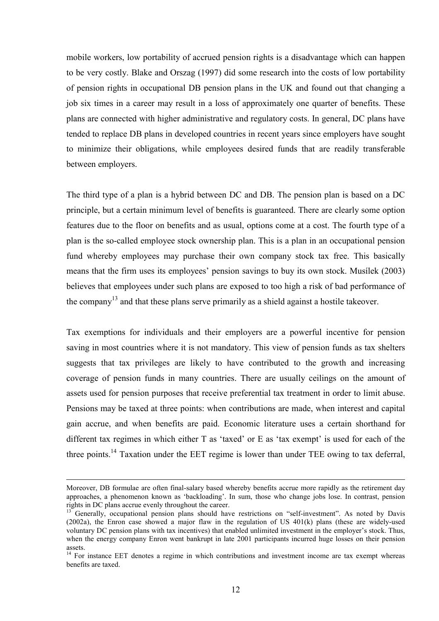mobile workers, low portability of accrued pension rights is a disadvantage which can happen to be very costly. Blake and Orszag (1997) did some research into the costs of low portability of pension rights in occupational DB pension plans in the UK and found out that changing a job six times in a career may result in a loss of approximately one quarter of benefits. These plans are connected with higher administrative and regulatory costs. In general, DC plans have tended to replace DB plans in developed countries in recent years since employers have sought to minimize their obligations, while employees desired funds that are readily transferable between employers.

The third type of a plan is a hybrid between DC and DB. The pension plan is based on a DC principle, but a certain minimum level of benefits is guaranteed. There are clearly some option features due to the floor on benefits and as usual, options come at a cost. The fourth type of a plan is the so-called employee stock ownership plan. This is a plan in an occupational pension fund whereby employees may purchase their own company stock tax free. This basically means that the firm uses its employees' pension savings to buy its own stock. Musilek (2003) believes that employees under such plans are exposed to too high a risk of bad performance of the company<sup>13</sup> and that these plans serve primarily as a shield against a hostile takeover.

Tax exemptions for individuals and their employers are a powerful incentive for pension saving in most countries where it is not mandatory. This view of pension funds as tax shelters suggests that tax privileges are likely to have contributed to the growth and increasing coverage of pension funds in many countries. There are usually ceilings on the amount of assets used for pension purposes that receive preferential tax treatment in order to limit abuse. Pensions may be taxed at three points: when contributions are made, when interest and capital gain accrue, and when benefits are paid. Economic literature uses a certain shorthand for different tax regimes in which either  $T$  as 'taxed' or  $E$  as 'tax exempt' is used for each of the three points.<sup>14</sup> Taxation under the EET regime is lower than under TEE owing to tax deferral,

Moreover, DB formulae are often final-salary based whereby benefits accrue more rapidly as the retirement day approaches, a phenomenon known as 'backloading'. In sum, those who change jobs lose. In contrast, pension rights in DC plans accrue evenly throughout the career.

<sup>1</sup>3 Generally, occupational pension plans should have restrictions on "self-investment". As noted by Davis (2002a), the Enron case showed a major flaw in the regulation of US 401(k) plans (these are widely-used voluntary DC pension plans with tax incentives) that enabled unlimited investment in the employer's stock. Thus, when the energy company Enron went bankrupt in late 2001 participants incurred huge losses on their pension assets.

<sup>&</sup>lt;sup>14</sup> For instance EET denotes a regime in which contributions and investment income are tax exempt whereas benefits are taxed.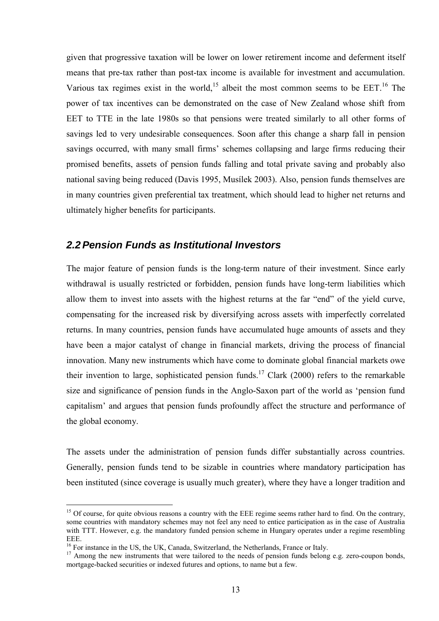given that progressive taxation will be lower on lower retirement income and deferment itself means that pre-tax rather than post-tax income is available for investment and accumulation. Various tax regimes exist in the world,<sup>15</sup> albeit the most common seems to be  $EET<sup>16</sup>$ . The power of tax incentives can be demonstrated on the case of New Zealand whose shift from EET to TTE in the late 1980s so that pensions were treated similarly to all other forms of savings led to very undesirable consequences. Soon after this change a sharp fall in pension savings occurred, with many small firms' schemes collapsing and large firms reducing their promised benefits, assets of pension funds falling and total private saving and probably also national saving being reduced (Davis 1995, Musílek 2003). Also, pension funds themselves are in many countries given preferential tax treatment, which should lead to higher net returns and ultimately higher benefits for participants.

#### *2.2 Pension Funds as Institutional Investors*

The major feature of pension funds is the long-term nature of their investment. Since early withdrawal is usually restricted or forbidden, pension funds have long-term liabilities which allow them to invest into assets with the highest returns at the far "end" of the yield curve, compensating for the increased risk by diversifying across assets with imperfectly correlated returns. In many countries, pension funds have accumulated huge amounts of assets and they have been a major catalyst of change in financial markets, driving the process of financial innovation. Many new instruments which have come to dominate global financial markets owe their invention to large, sophisticated pension funds.<sup>17</sup> Clark (2000) refers to the remarkable size and significance of pension funds in the Anglo-Saxon part of the world as 'pension fund capitalism<sup>3</sup> and argues that pension funds profoundly affect the structure and performance of the global economy.

The assets under the administration of pension funds differ substantially across countries. Generally, pension funds tend to be sizable in countries where mandatory participation has been instituted (since coverage is usually much greater), where they have a longer tradition and

<sup>&</sup>lt;sup>15</sup> Of course, for quite obvious reasons a country with the EEE regime seems rather hard to find. On the contrary, some countries with mandatory schemes may not feel any need to entice participation as in the case of Australia with TTT. However, e.g. the mandatory funded pension scheme in Hungary operates under a regime resembling EEE.

<sup>&</sup>lt;sup>16</sup> For instance in the US, the UK, Canada, Switzerland, the Netherlands, France or Italy.

<sup>&</sup>lt;sup>17</sup> Among the new instruments that were tailored to the needs of pension funds belong e.g. zero-coupon bonds, mortgage-backed securities or indexed futures and options, to name but a few.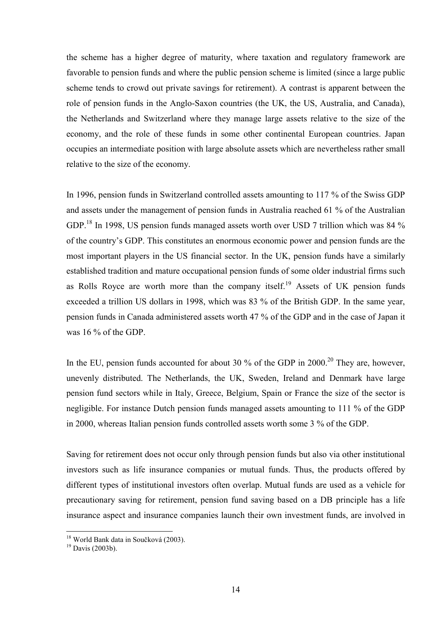the scheme has a higher degree of maturity, where taxation and regulatory framework are favorable to pension funds and where the public pension scheme is limited (since a large public scheme tends to crowd out private savings for retirement). A contrast is apparent between the role of pension funds in the Anglo-Saxon countries (the UK, the US, Australia, and Canada), the Netherlands and Switzerland where they manage large assets relative to the size of the economy, and the role of these funds in some other continental European countries. Japan occupies an intermediate position with large absolute assets which are nevertheless rather small relative to the size of the economy.

In 1996, pension funds in Switzerland controlled assets amounting to 117 % of the Swiss GDP and assets under the management of pension funds in Australia reached 61 % of the Australian GDP.<sup>18</sup> In 1998, US pension funds managed assets worth over USD 7 trillion which was 84 % of the countryís GDP. This constitutes an enormous economic power and pension funds are the most important players in the US financial sector. In the UK, pension funds have a similarly established tradition and mature occupational pension funds of some older industrial firms such as Rolls Royce are worth more than the company itself.<sup>19</sup> Assets of UK pension funds exceeded a trillion US dollars in 1998, which was 83 % of the British GDP. In the same year, pension funds in Canada administered assets worth 47 % of the GDP and in the case of Japan it was 16 % of the GDP.

In the EU, pension funds accounted for about 30 % of the GDP in  $2000$ <sup>20</sup> They are, however, unevenly distributed. The Netherlands, the UK, Sweden, Ireland and Denmark have large pension fund sectors while in Italy, Greece, Belgium, Spain or France the size of the sector is negligible. For instance Dutch pension funds managed assets amounting to 111 % of the GDP in 2000, whereas Italian pension funds controlled assets worth some 3 % of the GDP.

Saving for retirement does not occur only through pension funds but also via other institutional investors such as life insurance companies or mutual funds. Thus, the products offered by different types of institutional investors often overlap. Mutual funds are used as a vehicle for precautionary saving for retirement, pension fund saving based on a DB principle has a life insurance aspect and insurance companies launch their own investment funds, are involved in

<sup>&</sup>lt;sup>18</sup> World Bank data in Součková (2003).<br><sup>19</sup> Davis (2003b)

 $^{19}$  Davis (2003b).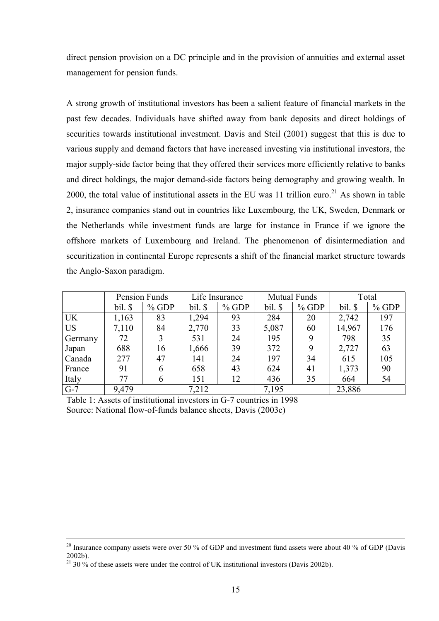direct pension provision on a DC principle and in the provision of annuities and external asset management for pension funds.

A strong growth of institutional investors has been a salient feature of financial markets in the past few decades. Individuals have shifted away from bank deposits and direct holdings of securities towards institutional investment. Davis and Steil (2001) suggest that this is due to various supply and demand factors that have increased investing via institutional investors, the major supply-side factor being that they offered their services more efficiently relative to banks and direct holdings, the major demand-side factors being demography and growing wealth. In 2000, the total value of institutional assets in the EU was 11 trillion euro.<sup>21</sup> As shown in table 2, insurance companies stand out in countries like Luxembourg, the UK, Sweden, Denmark or the Netherlands while investment funds are large for instance in France if we ignore the offshore markets of Luxembourg and Ireland. The phenomenon of disintermediation and securitization in continental Europe represents a shift of the financial market structure towards the Anglo-Saxon paradigm.

|           | Pension Funds |         | Life Insurance |         | <b>Mutual Funds</b> |         | Total   |         |
|-----------|---------------|---------|----------------|---------|---------------------|---------|---------|---------|
|           | bil. \$       | $%$ GDP | bil.           | $%$ GDP | bil. \$             | $%$ GDP | bil. \$ | $%$ GDP |
| <b>UK</b> | 1,163         | 83      | 1,294          | 93      | 284                 | 20      | 2,742   | 197     |
| <b>US</b> | 7,110         | 84      | 2,770          | 33      | 5,087               | 60      | 14,967  | 176     |
| Germany   | 72            |         | 531            | 24      | 195                 | 9       | 798     | 35      |
| Japan     | 688           | 16      | 1,666          | 39      | 372                 | 9       | 2,727   | 63      |
| Canada    | 277           | 47      | 141            | 24      | 197                 | 34      | 615     | 105     |
| France    | 91            | 6       | 658            | 43      | 624                 | 41      | 1,373   | 90      |
| Italy     | 77            | 6       | 151            | 12      | 436                 | 35      | 664     | 54      |
| $G-7$     | 9,479         |         | 7,212          |         | 7,195               |         | 23,886  |         |

Table 1: Assets of institutional investors in G-7 countries in 1998 Source: National flow-of-funds balance sheets, Davis (2003c)

<sup>&</sup>lt;sup>20</sup> Insurance company assets were over 50 % of GDP and investment fund assets were about 40 % of GDP (Davis 2002b).

 $21$  30 % of these assets were under the control of UK institutional investors (Davis 2002b).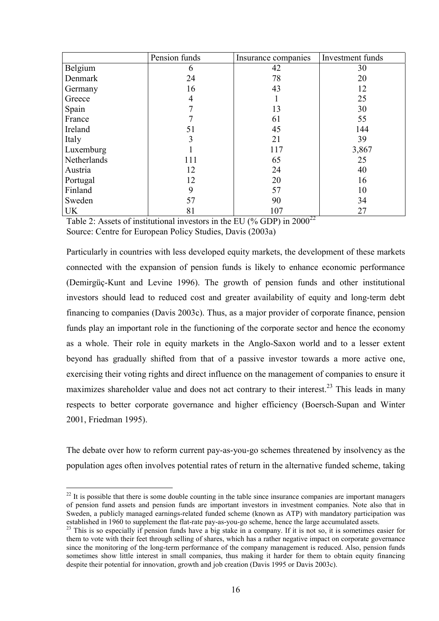|             | Pension funds | Insurance companies | Investment funds |
|-------------|---------------|---------------------|------------------|
| Belgium     | 6             | 42                  | 30               |
| Denmark     | 24            | 78                  | 20               |
| Germany     | 16            | 43                  | 12               |
| Greece      | 4             |                     | 25               |
| Spain       | 7             | 13                  | 30               |
| France      |               | 61                  | 55               |
| Ireland     | 51            | 45                  | 144              |
| Italy       | 3             | 21                  | 39               |
| Luxemburg   |               | 117                 | 3,867            |
| Netherlands | 111           | 65                  | 25               |
| Austria     | 12            | 24                  | 40               |
| Portugal    | 12            | 20                  | 16               |
| Finland     | 9             | 57                  | 10               |
| Sweden      | 57            | 90                  | 34               |
| <b>UK</b>   | 81            | 107                 | 27               |

Table 2: Assets of institutional investors in the EU (% GDP) in  $2000^{22}$ Source: Centre for European Policy Studies, Davis (2003a)

Particularly in countries with less developed equity markets, the development of these markets connected with the expansion of pension funds is likely to enhance economic performance (Demirgüç-Kunt and Levine 1996). The growth of pension funds and other institutional investors should lead to reduced cost and greater availability of equity and long-term debt financing to companies (Davis 2003c). Thus, as a major provider of corporate finance, pension funds play an important role in the functioning of the corporate sector and hence the economy as a whole. Their role in equity markets in the Anglo-Saxon world and to a lesser extent beyond has gradually shifted from that of a passive investor towards a more active one, exercising their voting rights and direct influence on the management of companies to ensure it maximizes shareholder value and does not act contrary to their interest.<sup>23</sup> This leads in many respects to better corporate governance and higher efficiency (Boersch-Supan and Winter 2001, Friedman 1995).

The debate over how to reform current pay-as-you-go schemes threatened by insolvency as the population ages often involves potential rates of return in the alternative funded scheme, taking

 $22$  It is possible that there is some double counting in the table since insurance companies are important managers of pension fund assets and pension funds are important investors in investment companies. Note also that in Sweden, a publicly managed earnings-related funded scheme (known as ATP) with mandatory participation was established in 1960 to supplement the flat-rate pay-as-you-go scheme, hence the large accumulated assets.<br><sup>23</sup> This is so especially if pension funds have a big stake in a company. If it is not so, it is sometimes easier f

them to vote with their feet through selling of shares, which has a rather negative impact on corporate governance since the monitoring of the long-term performance of the company management is reduced. Also, pension funds sometimes show little interest in small companies, thus making it harder for them to obtain equity financing despite their potential for innovation, growth and job creation (Davis 1995 or Davis 2003c).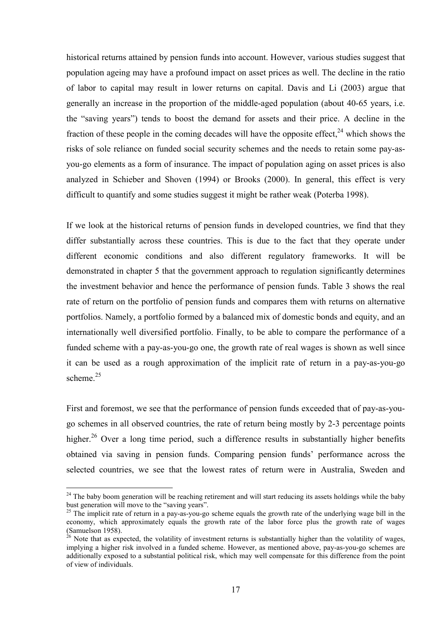historical returns attained by pension funds into account. However, various studies suggest that population ageing may have a profound impact on asset prices as well. The decline in the ratio of labor to capital may result in lower returns on capital. Davis and Li (2003) argue that generally an increase in the proportion of the middle-aged population (about 40-65 years, i.e. the "saving years") tends to boost the demand for assets and their price. A decline in the fraction of these people in the coming decades will have the opposite effect,  $24$  which shows the risks of sole reliance on funded social security schemes and the needs to retain some pay-asyou-go elements as a form of insurance. The impact of population aging on asset prices is also analyzed in Schieber and Shoven (1994) or Brooks (2000). In general, this effect is very difficult to quantify and some studies suggest it might be rather weak (Poterba 1998).

If we look at the historical returns of pension funds in developed countries, we find that they differ substantially across these countries. This is due to the fact that they operate under different economic conditions and also different regulatory frameworks. It will be demonstrated in chapter 5 that the government approach to regulation significantly determines the investment behavior and hence the performance of pension funds. Table 3 shows the real rate of return on the portfolio of pension funds and compares them with returns on alternative portfolios. Namely, a portfolio formed by a balanced mix of domestic bonds and equity, and an internationally well diversified portfolio. Finally, to be able to compare the performance of a funded scheme with a pay-as-you-go one, the growth rate of real wages is shown as well since it can be used as a rough approximation of the implicit rate of return in a pay-as-you-go scheme $^{25}$ 

First and foremost, we see that the performance of pension funds exceeded that of pay-as-yougo schemes in all observed countries, the rate of return being mostly by 2-3 percentage points higher.<sup>26</sup> Over a long time period, such a difference results in substantially higher benefits obtained via saving in pension funds. Comparing pension funds' performance across the selected countries, we see that the lowest rates of return were in Australia, Sweden and

 $24$  The baby boom generation will be reaching retirement and will start reducing its assets holdings while the baby bust generation will move to the "saving years".

 $^{25}$  The implicit rate of return in a pay-as-you-go scheme equals the growth rate of the underlying wage bill in the economy, which approximately equals the growth rate of the labor force plus the growth rate of wages (Samuelson 1958).<br><sup>26</sup> Note that as expected, the volatility of investment returns is substantially higher than the volatility of wages,

implying a higher risk involved in a funded scheme. However, as mentioned above, pay-as-you-go schemes are additionally exposed to a substantial political risk, which may well compensate for this difference from the point of view of individuals.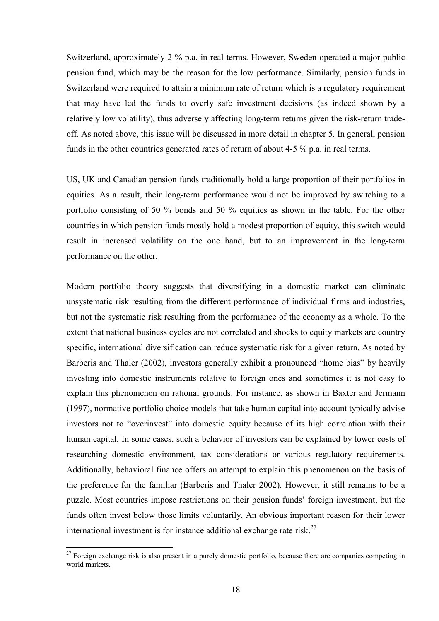Switzerland, approximately 2 % p.a. in real terms. However, Sweden operated a major public pension fund, which may be the reason for the low performance. Similarly, pension funds in Switzerland were required to attain a minimum rate of return which is a regulatory requirement that may have led the funds to overly safe investment decisions (as indeed shown by a relatively low volatility), thus adversely affecting long-term returns given the risk-return tradeoff. As noted above, this issue will be discussed in more detail in chapter 5. In general, pension funds in the other countries generated rates of return of about 4-5 % p.a. in real terms.

US, UK and Canadian pension funds traditionally hold a large proportion of their portfolios in equities. As a result, their long-term performance would not be improved by switching to a portfolio consisting of 50 % bonds and 50 % equities as shown in the table. For the other countries in which pension funds mostly hold a modest proportion of equity, this switch would result in increased volatility on the one hand, but to an improvement in the long-term performance on the other.

Modern portfolio theory suggests that diversifying in a domestic market can eliminate unsystematic risk resulting from the different performance of individual firms and industries, but not the systematic risk resulting from the performance of the economy as a whole. To the extent that national business cycles are not correlated and shocks to equity markets are country specific, international diversification can reduce systematic risk for a given return. As noted by Barberis and Thaler (2002), investors generally exhibit a pronounced "home bias" by heavily investing into domestic instruments relative to foreign ones and sometimes it is not easy to explain this phenomenon on rational grounds. For instance, as shown in Baxter and Jermann (1997), normative portfolio choice models that take human capital into account typically advise investors not to "overinvest" into domestic equity because of its high correlation with their human capital. In some cases, such a behavior of investors can be explained by lower costs of researching domestic environment, tax considerations or various regulatory requirements. Additionally, behavioral finance offers an attempt to explain this phenomenon on the basis of the preference for the familiar (Barberis and Thaler 2002). However, it still remains to be a puzzle. Most countries impose restrictions on their pension funds' foreign investment, but the funds often invest below those limits voluntarily. An obvious important reason for their lower international investment is for instance additional exchange rate risk.<sup>27</sup>

 $27$  Foreign exchange risk is also present in a purely domestic portfolio, because there are companies competing in world markets.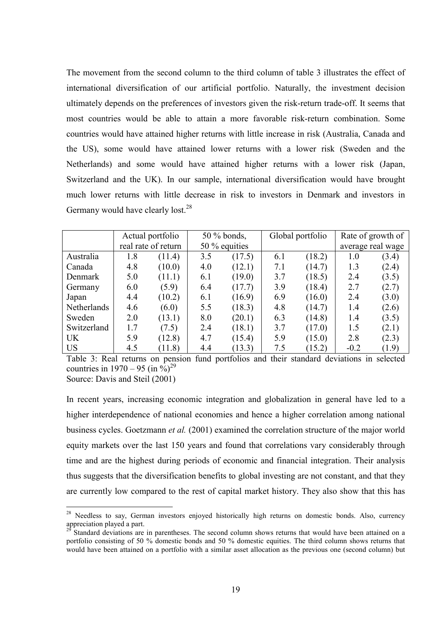The movement from the second column to the third column of table 3 illustrates the effect of international diversification of our artificial portfolio. Naturally, the investment decision ultimately depends on the preferences of investors given the risk-return trade-off. It seems that most countries would be able to attain a more favorable risk-return combination. Some countries would have attained higher returns with little increase in risk (Australia, Canada and the US), some would have attained lower returns with a lower risk (Sweden and the Netherlands) and some would have attained higher returns with a lower risk (Japan, Switzerland and the UK). In our sample, international diversification would have brought much lower returns with little decrease in risk to investors in Denmark and investors in Germany would have clearly lost.<sup>28</sup>

|             |     | Actual portfolio    |     | $50\%$ bonds, |     | Global portfolio |        | Rate of growth of |
|-------------|-----|---------------------|-----|---------------|-----|------------------|--------|-------------------|
|             |     | real rate of return |     | 50 % equities |     |                  |        | average real wage |
| Australia   | 1.8 | (11.4)              | 3.5 | (17.5)        | 6.1 | (18.2)           | 1.0    | (3.4)             |
| Canada      | 4.8 | (10.0)              | 4.0 | (12.1)        | 7.1 | (14.7)           | 1.3    | (2.4)             |
| Denmark     | 5.0 | (11.1)              | 6.1 | (19.0)        | 3.7 | (18.5)           | 2.4    | (3.5)             |
| Germany     | 6.0 | (5.9)               | 6.4 | (17.7)        | 3.9 | (18.4)           | 2.7    | (2.7)             |
| Japan       | 4.4 | (10.2)              | 6.1 | (16.9)        | 6.9 | (16.0)           | 2.4    | (3.0)             |
| Netherlands | 4.6 | (6.0)               | 5.5 | (18.3)        | 4.8 | (14.7)           | 1.4    | (2.6)             |
| Sweden      | 2.0 | (13.1)              | 8.0 | (20.1)        | 6.3 | (14.8)           | 1.4    | (3.5)             |
| Switzerland | 1.7 | (7.5)               | 2.4 | (18.1)        | 3.7 | (17.0)           | 1.5    | (2.1)             |
| <b>UK</b>   | 5.9 | (12.8)              | 4.7 | (15.4)        | 5.9 | (15.0)           | 2.8    | (2.3)             |
| <b>US</b>   | 4.5 | (11.8)              | 4.4 | (13.3)        | 7.5 | (15.2)           | $-0.2$ | (1.9)             |

Table 3: Real returns on pension fund portfolios and their standard deviations in selected countries in  $1970 - 95$  (in  $\%$ )<sup>29</sup>

Source: Davis and Steil (2001)

 $\overline{a}$ 

In recent years, increasing economic integration and globalization in general have led to a higher interdependence of national economies and hence a higher correlation among national business cycles. Goetzmann *et al.* (2001) examined the correlation structure of the major world equity markets over the last 150 years and found that correlations vary considerably through time and are the highest during periods of economic and financial integration. Their analysis thus suggests that the diversification benefits to global investing are not constant, and that they are currently low compared to the rest of capital market history. They also show that this has

<sup>&</sup>lt;sup>28</sup> Needless to say, German investors enjoyed historically high returns on domestic bonds. Also, currency appreciation played a part.

Standard deviations are in parentheses. The second column shows returns that would have been attained on a portfolio consisting of 50 % domestic bonds and 50 % domestic equities. The third column shows returns that would have been attained on a portfolio with a similar asset allocation as the previous one (second column) but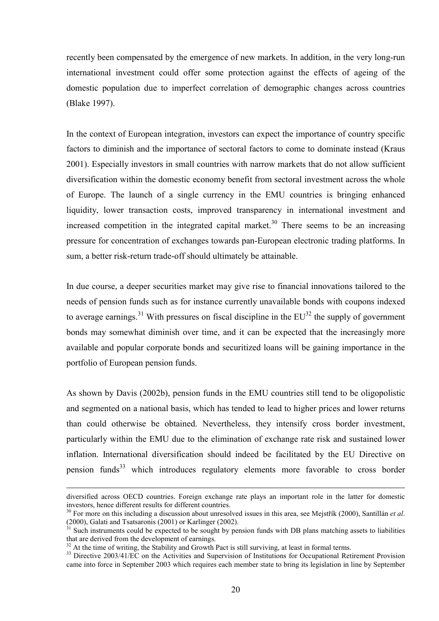recently been compensated by the emergence of new markets. In addition, in the very long-run international investment could offer some protection against the effects of ageing of the domestic population due to imperfect correlation of demographic changes across countries (Blake 1997).

In the context of European integration, investors can expect the importance of country specific factors to diminish and the importance of sectoral factors to come to dominate instead (Kraus 2001). Especially investors in small countries with narrow markets that do not allow sufficient diversification within the domestic economy benefit from sectoral investment across the whole of Europe. The launch of a single currency in the EMU countries is bringing enhanced liquidity, lower transaction costs, improved transparency in international investment and increased competition in the integrated capital market.<sup>30</sup> There seems to be an increasing pressure for concentration of exchanges towards pan-European electronic trading platforms. In sum, a better risk-return trade-off should ultimately be attainable.

In due course, a deeper securities market may give rise to financial innovations tailored to the needs of pension funds such as for instance currently unavailable bonds with coupons indexed to average earnings.<sup>31</sup> With pressures on fiscal discipline in the  $EU^{32}$  the supply of government bonds may somewhat diminish over time, and it can be expected that the increasingly more available and popular corporate bonds and securitized loans will be gaining importance in the portfolio of European pension funds.

As shown by Davis (2002b), pension funds in the EMU countries still tend to be oligopolistic and segmented on a national basis, which has tended to lead to higher prices and lower returns than could otherwise be obtained. Nevertheless, they intensify cross border investment, particularly within the EMU due to the elimination of exchange rate risk and sustained lower inflation. International diversification should indeed be facilitated by the EU Directive on pension funds<sup>33</sup> which introduces regulatory elements more favorable to cross border

diversified across OECD countries. Foreign exchange rate plays an important role in the latter for domestic investors, hence different results for different countries.

<sup>&</sup>lt;sup>30</sup> For more on this including a discussion about unresolved issues in this area, see Mejstřík (2000), Santillán *et al*.  $(2000)$ , Galati and Tsatsaronis (2001) or Karlinger (2002).<br><sup>31</sup> Such instruments could be expected to be sought by pension funds with DB plans matching assets to liabilities

that are derived from the development of earnings.

<sup>&</sup>lt;sup>32</sup> At the time of writing, the Stability and Growth Pact is still surviving, at least in formal terms.

<sup>&</sup>lt;sup>33</sup> Directive 2003/41/EC on the Activities and Supervision of Institutions for Occupational Retirement Provision came into force in September 2003 which requires each member state to bring its legislation in line by September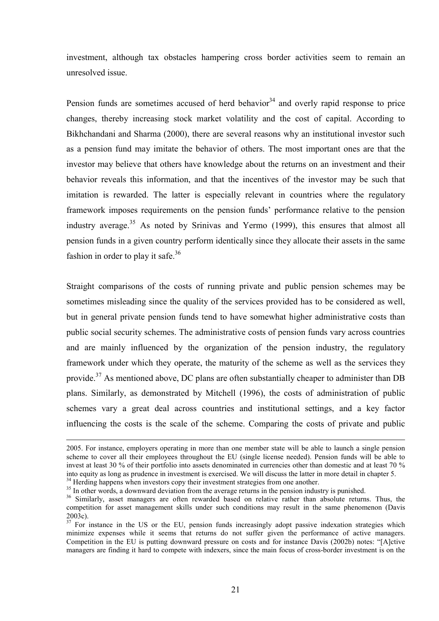investment, although tax obstacles hampering cross border activities seem to remain an unresolved issue.

Pension funds are sometimes accused of herd behavior<sup>34</sup> and overly rapid response to price changes, thereby increasing stock market volatility and the cost of capital. According to Bikhchandani and Sharma (2000), there are several reasons why an institutional investor such as a pension fund may imitate the behavior of others. The most important ones are that the investor may believe that others have knowledge about the returns on an investment and their behavior reveals this information, and that the incentives of the investor may be such that imitation is rewarded. The latter is especially relevant in countries where the regulatory framework imposes requirements on the pension funds' performance relative to the pension industry average.<sup>35</sup> As noted by Srinivas and Yermo  $(1999)$ , this ensures that almost all pension funds in a given country perform identically since they allocate their assets in the same fashion in order to play it safe.<sup>36</sup>

Straight comparisons of the costs of running private and public pension schemes may be sometimes misleading since the quality of the services provided has to be considered as well, but in general private pension funds tend to have somewhat higher administrative costs than public social security schemes. The administrative costs of pension funds vary across countries and are mainly influenced by the organization of the pension industry, the regulatory framework under which they operate, the maturity of the scheme as well as the services they provide.<sup>37</sup> As mentioned above, DC plans are often substantially cheaper to administer than DB plans. Similarly, as demonstrated by Mitchell (1996), the costs of administration of public schemes vary a great deal across countries and institutional settings, and a key factor influencing the costs is the scale of the scheme. Comparing the costs of private and public

<sup>2005.</sup> For instance, employers operating in more than one member state will be able to launch a single pension scheme to cover all their employees throughout the EU (single license needed). Pension funds will be able to invest at least 30 % of their portfolio into assets denominated in currencies other than domestic and at least 70 % into equity as long as prudence in investment is exercised. We will discuss the latter in more detail in chapter 5. <sup>34</sup> Herding happens when investors copy their investment strategies from one another.

<sup>&</sup>lt;sup>35</sup> In other words, a downward deviation from the average returns in the pension industry is punished.

<sup>&</sup>lt;sup>36</sup> Similarly, asset managers are often rewarded based on relative rather than absolute returns. Thus, the competition for asset management skills under such conditions may result in the same phenomenon (Davis 2003c).

 $37\overline{37}$  For instance in the US or the EU, pension funds increasingly adopt passive indexation strategies which minimize expenses while it seems that returns do not suffer given the performance of active managers. Competition in the EU is putting downward pressure on costs and for instance Davis (2002b) notes: "[A]ctive managers are finding it hard to compete with indexers, since the main focus of cross-border investment is on the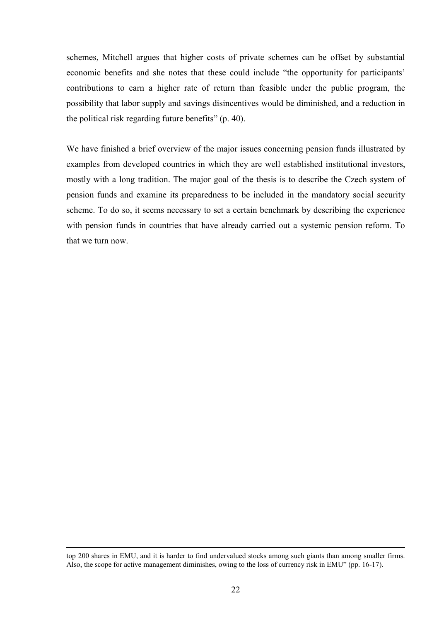schemes, Mitchell argues that higher costs of private schemes can be offset by substantial economic benefits and she notes that these could include "the opportunity for participants' contributions to earn a higher rate of return than feasible under the public program, the possibility that labor supply and savings disincentives would be diminished, and a reduction in the political risk regarding future benefits"  $(p. 40)$ .

We have finished a brief overview of the major issues concerning pension funds illustrated by examples from developed countries in which they are well established institutional investors, mostly with a long tradition. The major goal of the thesis is to describe the Czech system of pension funds and examine its preparedness to be included in the mandatory social security scheme. To do so, it seems necessary to set a certain benchmark by describing the experience with pension funds in countries that have already carried out a systemic pension reform. To that we turn now.

top 200 shares in EMU, and it is harder to find undervalued stocks among such giants than among smaller firms. Also, the scope for active management diminishes, owing to the loss of currency risk in EMU" (pp. 16-17).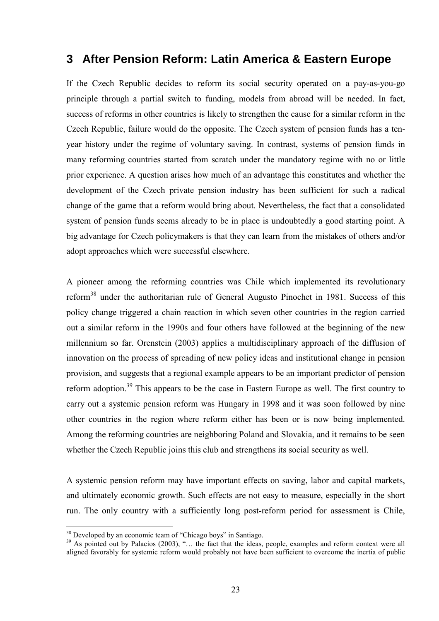## **3 After Pension Reform: Latin America & Eastern Europe**

If the Czech Republic decides to reform its social security operated on a pay-as-you-go principle through a partial switch to funding, models from abroad will be needed. In fact, success of reforms in other countries is likely to strengthen the cause for a similar reform in the Czech Republic, failure would do the opposite. The Czech system of pension funds has a tenyear history under the regime of voluntary saving. In contrast, systems of pension funds in many reforming countries started from scratch under the mandatory regime with no or little prior experience. A question arises how much of an advantage this constitutes and whether the development of the Czech private pension industry has been sufficient for such a radical change of the game that a reform would bring about. Nevertheless, the fact that a consolidated system of pension funds seems already to be in place is undoubtedly a good starting point. A big advantage for Czech policymakers is that they can learn from the mistakes of others and/or adopt approaches which were successful elsewhere.

A pioneer among the reforming countries was Chile which implemented its revolutionary reform<sup>38</sup> under the authoritarian rule of General Augusto Pinochet in 1981. Success of this policy change triggered a chain reaction in which seven other countries in the region carried out a similar reform in the 1990s and four others have followed at the beginning of the new millennium so far. Orenstein (2003) applies a multidisciplinary approach of the diffusion of innovation on the process of spreading of new policy ideas and institutional change in pension provision, and suggests that a regional example appears to be an important predictor of pension reform adoption.<sup>39</sup> This appears to be the case in Eastern Europe as well. The first country to carry out a systemic pension reform was Hungary in 1998 and it was soon followed by nine other countries in the region where reform either has been or is now being implemented. Among the reforming countries are neighboring Poland and Slovakia, and it remains to be seen whether the Czech Republic joins this club and strengthens its social security as well.

A systemic pension reform may have important effects on saving, labor and capital markets, and ultimately economic growth. Such effects are not easy to measure, especially in the short run. The only country with a sufficiently long post-reform period for assessment is Chile,

 $38$  Developed by an economic team of "Chicago boys" in Santiago.

<sup>&</sup>lt;sup>39</sup> As pointed out by Palacios (2003), "... the fact that the ideas, people, examples and reform context were all aligned favorably for systemic reform would probably not have been sufficient to overcome the inertia of public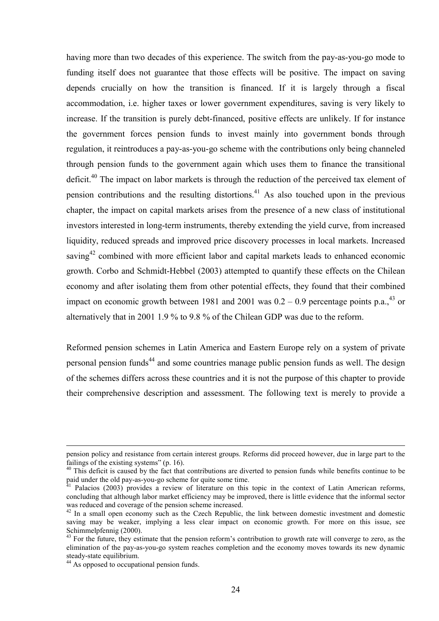having more than two decades of this experience. The switch from the pay-as-you-go mode to funding itself does not guarantee that those effects will be positive. The impact on saving depends crucially on how the transition is financed. If it is largely through a fiscal accommodation, i.e. higher taxes or lower government expenditures, saving is very likely to increase. If the transition is purely debt-financed, positive effects are unlikely. If for instance the government forces pension funds to invest mainly into government bonds through regulation, it reintroduces a pay-as-you-go scheme with the contributions only being channeled through pension funds to the government again which uses them to finance the transitional deficit.<sup>40</sup> The impact on labor markets is through the reduction of the perceived tax element of pension contributions and the resulting distortions.<sup>41</sup> As also touched upon in the previous chapter, the impact on capital markets arises from the presence of a new class of institutional investors interested in long-term instruments, thereby extending the yield curve, from increased liquidity, reduced spreads and improved price discovery processes in local markets. Increased saving<sup>42</sup> combined with more efficient labor and capital markets leads to enhanced economic growth. Corbo and Schmidt-Hebbel (2003) attempted to quantify these effects on the Chilean economy and after isolating them from other potential effects, they found that their combined impact on economic growth between 1981 and 2001 was  $0.2 - 0.9$  percentage points p.a.,<sup>43</sup> or alternatively that in 2001 1.9 % to 9.8 % of the Chilean GDP was due to the reform.

Reformed pension schemes in Latin America and Eastern Europe rely on a system of private personal pension funds<sup>44</sup> and some countries manage public pension funds as well. The design of the schemes differs across these countries and it is not the purpose of this chapter to provide their comprehensive description and assessment. The following text is merely to provide a

pension policy and resistance from certain interest groups. Reforms did proceed however, due in large part to the failings of the existing systems" (p. 16).<br> $40$  This deficit is caused by the fact that contributions are diverted to pension funds while benefits continue to be

paid under the old pay-as-you-go scheme for quite some time.<br><sup>41</sup> Balasies (2003) provides a review of literature on this

Palacios (2003) provides a review of literature on this topic in the context of Latin American reforms, concluding that although labor market efficiency may be improved, there is little evidence that the informal sector was reduced and coverage of the pension scheme increased.

 $42$  In a small open economy such as the Czech Republic, the link between domestic investment and domestic saving may be weaker, implying a less clear impact on economic growth. For more on this issue, see Schimmelpfennig (2000).

<sup>&</sup>lt;sup>43</sup> For the future, they estimate that the pension reform's contribution to growth rate will converge to zero, as the elimination of the pay-as-you-go system reaches completion and the economy moves towards its new dynamic steady-state equilibrium.

<sup>&</sup>lt;sup>44</sup> As opposed to occupational pension funds.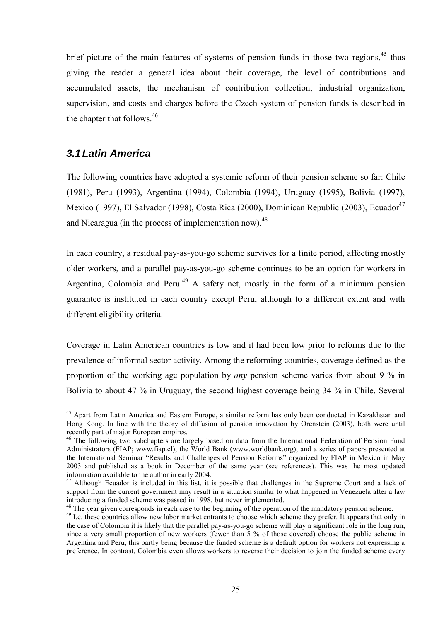brief picture of the main features of systems of pension funds in those two regions,  $45$  thus giving the reader a general idea about their coverage, the level of contributions and accumulated assets, the mechanism of contribution collection, industrial organization, supervision, and costs and charges before the Czech system of pension funds is described in the chapter that follows.<sup>46</sup>

### *3.1 Latin America*

 $\overline{a}$ 

The following countries have adopted a systemic reform of their pension scheme so far: Chile (1981), Peru (1993), Argentina (1994), Colombia (1994), Uruguay (1995), Bolivia (1997), Mexico (1997), El Salvador (1998), Costa Rica (2000), Dominican Republic (2003), Ecuador<sup>47</sup> and Nicaragua (in the process of implementation now).<sup>48</sup>

In each country, a residual pay-as-you-go scheme survives for a finite period, affecting mostly older workers, and a parallel pay-as-you-go scheme continues to be an option for workers in Argentina, Colombia and Peru.<sup>49</sup> A safety net, mostly in the form of a minimum pension guarantee is instituted in each country except Peru, although to a different extent and with different eligibility criteria.

Coverage in Latin American countries is low and it had been low prior to reforms due to the prevalence of informal sector activity. Among the reforming countries, coverage defined as the proportion of the working age population by *any* pension scheme varies from about 9 % in Bolivia to about 47 % in Uruguay, the second highest coverage being 34 % in Chile. Several

<sup>&</sup>lt;sup>45</sup> Apart from Latin America and Eastern Europe, a similar reform has only been conducted in Kazakhstan and Hong Kong. In line with the theory of diffusion of pension innovation by Orenstein (2003), both were until recently part of major European empires.

<sup>&</sup>lt;sup>46</sup> The following two subchapters are largely based on data from the International Federation of Pension Fund Administrators (FIAP; www.fiap.cl), the World Bank (www.worldbank.org), and a series of papers presented at the International Seminar "Results and Challenges of Pension Reforms" organized by FIAP in Mexico in May 2003 and published as a book in December of the same year (see references). This was the most updated information available to the author in early 2004.

<sup>&</sup>lt;sup>47</sup> Although Ecuador is included in this list, it is possible that challenges in the Supreme Court and a lack of support from the current government may result in a situation similar to what happened in Venezuela after a law introducing a funded scheme was passed in 1998, but never implemented.<br><sup>48</sup> The year given corresponds in each case to the beginning of the operation of the mandatory pension scheme.

<sup>&</sup>lt;sup>49</sup> I.e. these countries allow new labor market entrants to choose which scheme they prefer. It appears that only in the case of Colombia it is likely that the parallel pay-as-you-go scheme will play a significant role in the long run, since a very small proportion of new workers (fewer than 5 % of those covered) choose the public scheme in Argentina and Peru, this partly being because the funded scheme is a default option for workers not expressing a preference. In contrast, Colombia even allows workers to reverse their decision to join the funded scheme every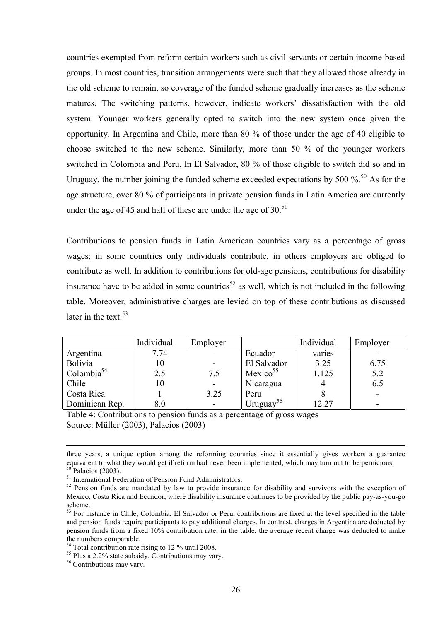countries exempted from reform certain workers such as civil servants or certain income-based groups. In most countries, transition arrangements were such that they allowed those already in the old scheme to remain, so coverage of the funded scheme gradually increases as the scheme matures. The switching patterns, however, indicate workers' dissatisfaction with the old system. Younger workers generally opted to switch into the new system once given the opportunity. In Argentina and Chile, more than 80 % of those under the age of 40 eligible to choose switched to the new scheme. Similarly, more than 50 % of the younger workers switched in Colombia and Peru. In El Salvador, 80 % of those eligible to switch did so and in Uruguay, the number joining the funded scheme exceeded expectations by 500  $\%$ <sup>50</sup>. As for the age structure, over 80 % of participants in private pension funds in Latin America are currently under the age of 45 and half of these are under the age of  $30<sup>51</sup>$ 

Contributions to pension funds in Latin American countries vary as a percentage of gross wages; in some countries only individuals contribute, in others employers are obliged to contribute as well. In addition to contributions for old-age pensions, contributions for disability insurance have to be added in some countries<sup>52</sup> as well, which is not included in the following table. Moreover, administrative charges are levied on top of these contributions as discussed later in the text.  $53$ 

|                | Individual | Employer |                       | Individual | Employer |
|----------------|------------|----------|-----------------------|------------|----------|
| Argentina      | 7.74       |          | Ecuador               | varies     |          |
| Bolivia        |            |          | El Salvador           | 3.25       | 6.75     |
| Colombia $54$  | 2.5        | 7.5      | Mexico <sup>55</sup>  | 1.125      | 5.2      |
| Chile          | 10         |          | Nicaragua             |            | 6.5      |
| Costa Rica     |            | 3.25     | Peru                  |            |          |
| Dominican Rep. | $8.0\,$    |          | Uruguay <sup>56</sup> | 12.27      |          |

Table 4: Contributions to pension funds as a percentage of gross wages Source: Müller (2003), Palacios (2003)

three years, a unique option among the reforming countries since it essentially gives workers a guarantee equivalent to what they would get if reform had never been implemented, which may turn out to be pernicious.  $50$  Palacios (2003).

<sup>5</sup>1 International Federation of Pension Fund Administrators.

<sup>&</sup>lt;sup>52</sup> Pension funds are mandated by law to provide insurance for disability and survivors with the exception of Mexico, Costa Rica and Ecuador, where disability insurance continues to be provided by the public pay-as-you-go scheme.

<sup>&</sup>lt;sup>53</sup> For instance in Chile, Colombia, El Salvador or Peru, contributions are fixed at the level specified in the table and pension funds require participants to pay additional charges. In contrast, charges in Argentina are deducted by pension funds from a fixed 10% contribution rate; in the table, the average recent charge was deducted to make the numbers comparable.<br><sup>54</sup> Total contribution rate rising to 12 % until 2008.

 $55$  Plus a 2.2% state subsidy. Contributions may vary.

<sup>&</sup>lt;sup>56</sup> Contributions may vary.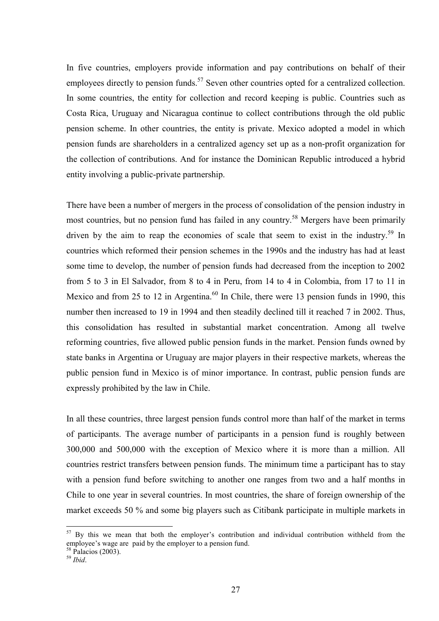In five countries, employers provide information and pay contributions on behalf of their employees directly to pension funds.<sup>57</sup> Seven other countries opted for a centralized collection. In some countries, the entity for collection and record keeping is public. Countries such as Costa Rica, Uruguay and Nicaragua continue to collect contributions through the old public pension scheme. In other countries, the entity is private. Mexico adopted a model in which pension funds are shareholders in a centralized agency set up as a non-profit organization for the collection of contributions. And for instance the Dominican Republic introduced a hybrid entity involving a public-private partnership.

There have been a number of mergers in the process of consolidation of the pension industry in most countries, but no pension fund has failed in any country.<sup>58</sup> Mergers have been primarily driven by the aim to reap the economies of scale that seem to exist in the industry.<sup>59</sup> In countries which reformed their pension schemes in the 1990s and the industry has had at least some time to develop, the number of pension funds had decreased from the inception to 2002 from 5 to 3 in El Salvador, from 8 to 4 in Peru, from 14 to 4 in Colombia, from 17 to 11 in Mexico and from 25 to 12 in Argentina.<sup>60</sup> In Chile, there were 13 pension funds in 1990, this number then increased to 19 in 1994 and then steadily declined till it reached 7 in 2002. Thus, this consolidation has resulted in substantial market concentration. Among all twelve reforming countries, five allowed public pension funds in the market. Pension funds owned by state banks in Argentina or Uruguay are major players in their respective markets, whereas the public pension fund in Mexico is of minor importance. In contrast, public pension funds are expressly prohibited by the law in Chile.

In all these countries, three largest pension funds control more than half of the market in terms of participants. The average number of participants in a pension fund is roughly between 300,000 and 500,000 with the exception of Mexico where it is more than a million. All countries restrict transfers between pension funds. The minimum time a participant has to stay with a pension fund before switching to another one ranges from two and a half months in Chile to one year in several countries. In most countries, the share of foreign ownership of the market exceeds 50 % and some big players such as Citibank participate in multiple markets in

 $57$  By this we mean that both the employer's contribution and individual contribution withheld from the employee's wage are paid by the employer to a pension fund.

<sup>58</sup> Palacios (2003).

<sup>59</sup> *Ibid*.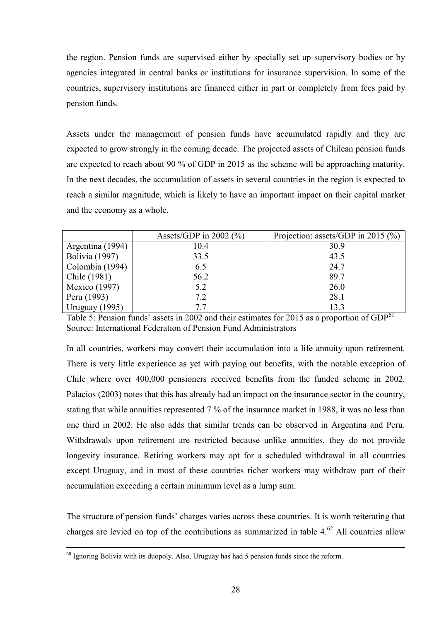the region. Pension funds are supervised either by specially set up supervisory bodies or by agencies integrated in central banks or institutions for insurance supervision. In some of the countries, supervisory institutions are financed either in part or completely from fees paid by pension funds.

Assets under the management of pension funds have accumulated rapidly and they are expected to grow strongly in the coming decade. The projected assets of Chilean pension funds are expected to reach about 90 % of GDP in 2015 as the scheme will be approaching maturity. In the next decades, the accumulation of assets in several countries in the region is expected to reach a similar magnitude, which is likely to have an important impact on their capital market and the economy as a whole.

|                       | Assets/GDP in 2002 $(\%$ ) | Projection: assets/GDP in 2015 $(\%)$ |
|-----------------------|----------------------------|---------------------------------------|
| Argentina (1994)      | 10.4                       | 30.9                                  |
| <b>Bolivia</b> (1997) | 33.5                       | 43.5                                  |
| Colombia (1994)       | 6.5                        | 24.7                                  |
| Chile (1981)          | 56.2                       | 89.7                                  |
| Mexico (1997)         | 5.2                        | 26.0                                  |
| Peru (1993)           | 7.2                        | 28.1                                  |
| Uruguay $(1995)$      | 77                         | 13.3                                  |

Table 5: Pension funds' assets in 2002 and their estimates for 2015 as a proportion of  $GDP<sup>61</sup>$ Source: International Federation of Pension Fund Administrators

In all countries, workers may convert their accumulation into a life annuity upon retirement. There is very little experience as yet with paying out benefits, with the notable exception of Chile where over 400,000 pensioners received benefits from the funded scheme in 2002. Palacios (2003) notes that this has already had an impact on the insurance sector in the country, stating that while annuities represented 7 % of the insurance market in 1988, it was no less than one third in 2002. He also adds that similar trends can be observed in Argentina and Peru. Withdrawals upon retirement are restricted because unlike annuities, they do not provide longevity insurance. Retiring workers may opt for a scheduled withdrawal in all countries except Uruguay, and in most of these countries richer workers may withdraw part of their accumulation exceeding a certain minimum level as a lump sum.

The structure of pension funds' charges varies across these countries. It is worth reiterating that charges are levied on top of the contributions as summarized in table  $4<sup>62</sup>$  All countries allow

 $60$  Ignoring Bolivia with its duopoly. Also, Uruguay has had 5 pension funds since the reform.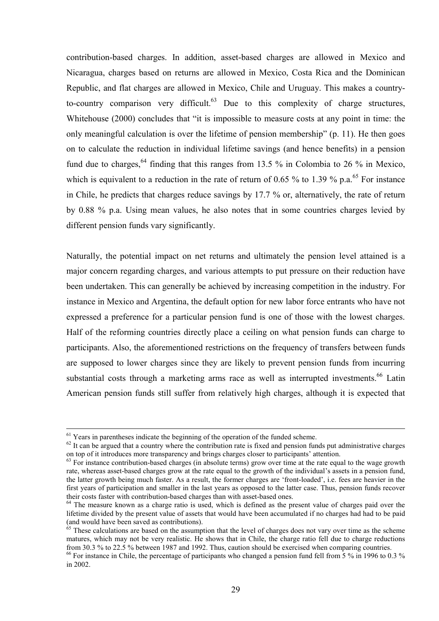contribution-based charges. In addition, asset-based charges are allowed in Mexico and Nicaragua, charges based on returns are allowed in Mexico, Costa Rica and the Dominican Republic, and flat charges are allowed in Mexico, Chile and Uruguay. This makes a countryto-country comparison very difficult. $63$  Due to this complexity of charge structures, Whitehouse  $(2000)$  concludes that "it is impossible to measure costs at any point in time: the only meaningful calculation is over the lifetime of pension membership"  $(p, 11)$ . He then goes on to calculate the reduction in individual lifetime savings (and hence benefits) in a pension fund due to charges,  $64$  finding that this ranges from 13.5 % in Colombia to 26 % in Mexico, which is equivalent to a reduction in the rate of return of 0.65 % to 1.39 % p.a.<sup>65</sup> For instance in Chile, he predicts that charges reduce savings by 17.7 % or, alternatively, the rate of return by 0.88 % p.a. Using mean values, he also notes that in some countries charges levied by different pension funds vary significantly.

Naturally, the potential impact on net returns and ultimately the pension level attained is a major concern regarding charges, and various attempts to put pressure on their reduction have been undertaken. This can generally be achieved by increasing competition in the industry. For instance in Mexico and Argentina, the default option for new labor force entrants who have not expressed a preference for a particular pension fund is one of those with the lowest charges. Half of the reforming countries directly place a ceiling on what pension funds can charge to participants. Also, the aforementioned restrictions on the frequency of transfers between funds are supposed to lower charges since they are likely to prevent pension funds from incurring substantial costs through a marketing arms race as well as interrupted investments.<sup>66</sup> Latin American pension funds still suffer from relatively high charges, although it is expected that

<sup>&</sup>lt;sup>61</sup> Years in parentheses indicate the beginning of the operation of the funded scheme.

 $62$  It can be argued that a country where the contribution rate is fixed and pension funds put administrative charges on top of it introduces more transparency and brings charges closer to participants' attention.

 $<sup>63</sup>$  For instance contribution-based charges (in absolute terms) grow over time at the rate equal to the wage growth</sup> rate, whereas asset-based charges grow at the rate equal to the growth of the individual's assets in a pension fund, the latter growth being much faster. As a result, the former charges are 'front-loaded', i.e. fees are heavier in the first years of participation and smaller in the last years as opposed to the latter case. Thus, pension funds recover their costs faster with contribution-based charges than with asset-based ones.

<sup>&</sup>lt;sup>64</sup> The measure known as a charge ratio is used, which is defined as the present value of charges paid over the lifetime divided by the present value of assets that would have been accumulated if no charges had had to be paid (and would have been saved as contributions).

 $65$  These calculations are based on the assumption that the level of charges does not vary over time as the scheme matures, which may not be very realistic. He shows that in Chile, the charge ratio fell due to charge reductions from 30.3 % to 22.5 % between 1987 and 1992. Thus, caution should be exercised when comparing countries.

<sup>&</sup>lt;sup>66</sup> For instance in Chile, the percentage of participants who changed a pension fund fell from 5 % in 1996 to 0.3 % in 2002.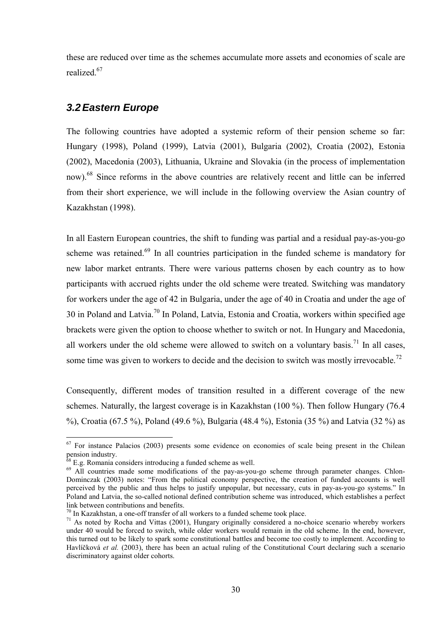these are reduced over time as the schemes accumulate more assets and economies of scale are realized<sup>67</sup>

### *3.2 Eastern Europe*

The following countries have adopted a systemic reform of their pension scheme so far: Hungary (1998), Poland (1999), Latvia (2001), Bulgaria (2002), Croatia (2002), Estonia (2002), Macedonia (2003), Lithuania, Ukraine and Slovakia (in the process of implementation now).<sup>68</sup> Since reforms in the above countries are relatively recent and little can be inferred from their short experience, we will include in the following overview the Asian country of Kazakhstan (1998).

In all Eastern European countries, the shift to funding was partial and a residual pay-as-you-go scheme was retained.<sup>69</sup> In all countries participation in the funded scheme is mandatory for new labor market entrants. There were various patterns chosen by each country as to how participants with accrued rights under the old scheme were treated. Switching was mandatory for workers under the age of 42 in Bulgaria, under the age of 40 in Croatia and under the age of 30 in Poland and Latvia.<sup>70</sup> In Poland, Latvia, Estonia and Croatia, workers within specified age brackets were given the option to choose whether to switch or not. In Hungary and Macedonia, all workers under the old scheme were allowed to switch on a voluntary basis.<sup>71</sup> In all cases, some time was given to workers to decide and the decision to switch was mostly irrevocable.<sup>72</sup>

Consequently, different modes of transition resulted in a different coverage of the new schemes. Naturally, the largest coverage is in Kazakhstan (100 %). Then follow Hungary (76.4 %), Croatia (67.5 %), Poland (49.6 %), Bulgaria (48.4 %), Estonia (35 %) and Latvia (32 %) as

 $67$  For instance Palacios (2003) presents some evidence on economies of scale being present in the Chilean pension industry.

<sup>68</sup> E.g. Romania considers introducing a funded scheme as well.

<sup>&</sup>lt;sup>69</sup> All countries made some modifications of the pay-as-you-go scheme through parameter changes. Chlon-Dominczak (2003) notes: "From the political economy perspective, the creation of funded accounts is well perceived by the public and thus helps to justify unpopular, but necessary, cuts in pay-as-you-go systems." In Poland and Latvia, the so-called notional defined contribution scheme was introduced, which establishes a perfect link between contributions and benefits.

 $70$  In Kazakhstan, a one-off transfer of all workers to a funded scheme took place.

 $71$  As noted by Rocha and Vittas (2001), Hungary originally considered a no-choice scenario whereby workers under 40 would be forced to switch, while older workers would remain in the old scheme. In the end, however, this turned out to be likely to spark some constitutional battles and become too costly to implement. According to Havlíčková et al. (2003), there has been an actual ruling of the Constitutional Court declaring such a scenario discriminatory against older cohorts.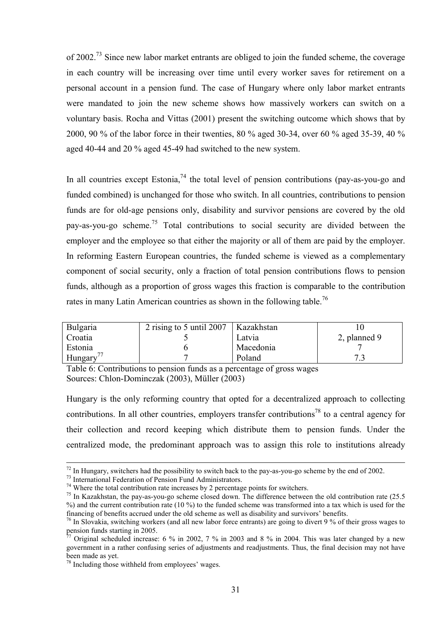of 2002.<sup>73</sup> Since new labor market entrants are obliged to join the funded scheme, the coverage in each country will be increasing over time until every worker saves for retirement on a personal account in a pension fund. The case of Hungary where only labor market entrants were mandated to join the new scheme shows how massively workers can switch on a voluntary basis. Rocha and Vittas (2001) present the switching outcome which shows that by 2000, 90 % of the labor force in their twenties, 80 % aged 30-34, over 60 % aged 35-39, 40 % aged 40-44 and 20 % aged 45-49 had switched to the new system.

In all countries except Estonia,  $^{74}$  the total level of pension contributions (pay-as-you-go and funded combined) is unchanged for those who switch. In all countries, contributions to pension funds are for old-age pensions only, disability and survivor pensions are covered by the old pay-as-you-go scheme.<sup>75</sup> Total contributions to social security are divided between the employer and the employee so that either the majority or all of them are paid by the employer. In reforming Eastern European countries, the funded scheme is viewed as a complementary component of social security, only a fraction of total pension contributions flows to pension funds, although as a proportion of gross wages this fraction is comparable to the contribution rates in many Latin American countries as shown in the following table.<sup>76</sup>

| <b>Bulgaria</b> | 2 rising to 5 until 2007 | Kazakhstan |              |
|-----------------|--------------------------|------------|--------------|
| Croatia         |                          | Latvia     | 2, planned 9 |
| Estonia         |                          | Macedonia  |              |
| Hungary         |                          | Poland     |              |

Table 6: Contributions to pension funds as a percentage of gross wages Sources: Chlon-Dominczak (2003), Müller (2003)

Hungary is the only reforming country that opted for a decentralized approach to collecting contributions. In all other countries, employers transfer contributions<sup>78</sup> to a central agency for their collection and record keeping which distribute them to pension funds. Under the centralized mode, the predominant approach was to assign this role to institutions already

 $^{72}$  In Hungary, switchers had the possibility to switch back to the pay-as-you-go scheme by the end of 2002.

<sup>73</sup> International Federation of Pension Fund Administrators.

 $74$  Where the total contribution rate increases by 2 percentage points for switchers.

<sup>&</sup>lt;sup>75</sup> In Kazakhstan, the pay-as-you-go scheme closed down. The difference between the old contribution rate (25.5) %) and the current contribution rate (10 %) to the funded scheme was transformed into a tax which is used for the financing of benefits accrued under the old scheme as well as disability and survivorsí benefits.

 $\frac{76}{10}$  In Slovakia, switching workers (and all new labor force entrants) are going to divert 9 % of their gross wages to pension funds starting in 2005.

Original scheduled increase: 6 % in 2002, 7 % in 2003 and 8 % in 2004. This was later changed by a new government in a rather confusing series of adjustments and readjustments. Thus, the final decision may not have been made as yet.

 $78$  Including those withheld from employees' wages.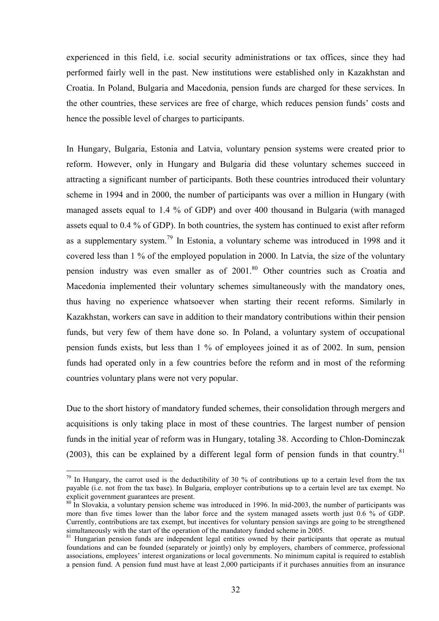experienced in this field, i.e. social security administrations or tax offices, since they had performed fairly well in the past. New institutions were established only in Kazakhstan and Croatia. In Poland, Bulgaria and Macedonia, pension funds are charged for these services. In the other countries, these services are free of charge, which reduces pension funds' costs and hence the possible level of charges to participants.

In Hungary, Bulgaria, Estonia and Latvia, voluntary pension systems were created prior to reform. However, only in Hungary and Bulgaria did these voluntary schemes succeed in attracting a significant number of participants. Both these countries introduced their voluntary scheme in 1994 and in 2000, the number of participants was over a million in Hungary (with managed assets equal to 1.4 % of GDP) and over 400 thousand in Bulgaria (with managed assets equal to 0.4 % of GDP). In both countries, the system has continued to exist after reform as a supplementary system.<sup>79</sup> In Estonia, a voluntary scheme was introduced in 1998 and it covered less than 1 % of the employed population in 2000. In Latvia, the size of the voluntary pension industry was even smaller as of 2001. 80 Other countries such as Croatia and Macedonia implemented their voluntary schemes simultaneously with the mandatory ones, thus having no experience whatsoever when starting their recent reforms. Similarly in Kazakhstan, workers can save in addition to their mandatory contributions within their pension funds, but very few of them have done so. In Poland, a voluntary system of occupational pension funds exists, but less than 1 % of employees joined it as of 2002. In sum, pension funds had operated only in a few countries before the reform and in most of the reforming countries voluntary plans were not very popular.

Due to the short history of mandatory funded schemes, their consolidation through mergers and acquisitions is only taking place in most of these countries. The largest number of pension funds in the initial year of reform was in Hungary, totaling 38. According to Chlon-Dominczak (2003), this can be explained by a different legal form of pension funds in that country. $81$ 

<sup>&</sup>lt;sup>79</sup> In Hungary, the carrot used is the deductibility of 30 % of contributions up to a certain level from the tax payable (i.e. not from the tax base). In Bulgaria, employer contributions up to a certain level are tax exempt. No explicit government guarantees are present.

<sup>80</sup> In Slovakia, a voluntary pension scheme was introduced in 1996. In mid-2003, the number of participants was more than five times lower than the labor force and the system managed assets worth just 0.6 % of GDP. Currently, contributions are tax exempt, but incentives for voluntary pension savings are going to be strengthened simultaneously with the start of the operation of the mandatory funded scheme in 2005.

<sup>&</sup>lt;sup>81</sup> Hungarian pension funds are independent legal entities owned by their participants that operate as mutual foundations and can be founded (separately or jointly) only by employers, chambers of commerce, professional associations, employees' interest organizations or local governments. No minimum capital is required to establish a pension fund. A pension fund must have at least 2,000 participants if it purchases annuities from an insurance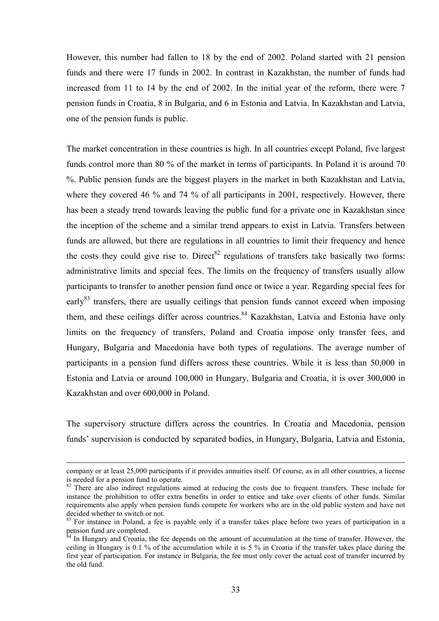However, this number had fallen to 18 by the end of 2002. Poland started with 21 pension funds and there were 17 funds in 2002. In contrast in Kazakhstan, the number of funds had increased from 11 to 14 by the end of 2002. In the initial year of the reform, there were 7 pension funds in Croatia, 8 in Bulgaria, and 6 in Estonia and Latvia. In Kazakhstan and Latvia, one of the pension funds is public.

The market concentration in these countries is high. In all countries except Poland, five largest funds control more than 80 % of the market in terms of participants. In Poland it is around 70 %. Public pension funds are the biggest players in the market in both Kazakhstan and Latvia, where they covered 46 % and 74 % of all participants in 2001, respectively. However, there has been a steady trend towards leaving the public fund for a private one in Kazakhstan since the inception of the scheme and a similar trend appears to exist in Latvia. Transfers between funds are allowed, but there are regulations in all countries to limit their frequency and hence the costs they could give rise to. Direct<sup>82</sup> regulations of transfers take basically two forms: administrative limits and special fees. The limits on the frequency of transfers usually allow participants to transfer to another pension fund once or twice a year. Regarding special fees for early<sup>83</sup> transfers, there are usually ceilings that pension funds cannot exceed when imposing them, and these ceilings differ across countries.<sup>84</sup> Kazakhstan, Latvia and Estonia have only limits on the frequency of transfers, Poland and Croatia impose only transfer fees, and Hungary, Bulgaria and Macedonia have both types of regulations. The average number of participants in a pension fund differs across these countries. While it is less than 50,000 in Estonia and Latvia or around 100,000 in Hungary, Bulgaria and Croatia, it is over 300,000 in Kazakhstan and over 600,000 in Poland.

The supervisory structure differs across the countries. In Croatia and Macedonia, pension funds' supervision is conducted by separated bodies, in Hungary, Bulgaria, Latvia and Estonia,

company or at least 25,000 participants if it provides annuities itself. Of course, as in all other countries, a license is needed for a pension fund to operate.

<sup>&</sup>lt;sup>82</sup> There are also indirect regulations aimed at reducing the costs due to frequent transfers. These include for instance the prohibition to offer extra benefits in order to entice and take over clients of other funds. Similar requirements also apply when pension funds compete for workers who are in the old public system and have not decided whether to switch or not.

<sup>&</sup>lt;sup>83</sup> For instance in Poland, a fee is payable only if a transfer takes place before two years of participation in a  $p$ ension fund are completed.

In Hungary and Croatia, the fee depends on the amount of accumulation at the time of transfer. However, the ceiling in Hungary is 0.1 % of the accumulation while it is 5 % in Croatia if the transfer takes place during the first year of participation. For instance in Bulgaria, the fee must only cover the actual cost of transfer incurred by the old fund.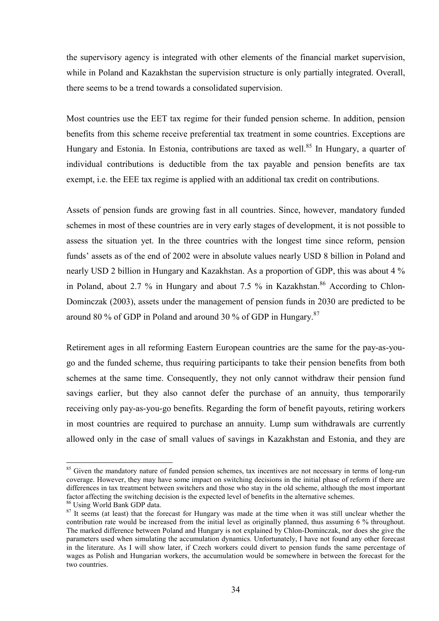the supervisory agency is integrated with other elements of the financial market supervision, while in Poland and Kazakhstan the supervision structure is only partially integrated. Overall, there seems to be a trend towards a consolidated supervision.

Most countries use the EET tax regime for their funded pension scheme. In addition, pension benefits from this scheme receive preferential tax treatment in some countries. Exceptions are Hungary and Estonia. In Estonia, contributions are taxed as well.<sup>85</sup> In Hungary, a quarter of individual contributions is deductible from the tax payable and pension benefits are tax exempt, i.e. the EEE tax regime is applied with an additional tax credit on contributions.

Assets of pension funds are growing fast in all countries. Since, however, mandatory funded schemes in most of these countries are in very early stages of development, it is not possible to assess the situation yet. In the three countries with the longest time since reform, pension funds<sup>7</sup> assets as of the end of 2002 were in absolute values nearly USD 8 billion in Poland and nearly USD 2 billion in Hungary and Kazakhstan. As a proportion of GDP, this was about 4 % in Poland, about 2.7 % in Hungary and about 7.5 % in Kazakhstan. $86$  According to Chlon-Dominczak (2003), assets under the management of pension funds in 2030 are predicted to be around 80 % of GDP in Poland and around 30 % of GDP in Hungary.<sup>87</sup>

Retirement ages in all reforming Eastern European countries are the same for the pay-as-yougo and the funded scheme, thus requiring participants to take their pension benefits from both schemes at the same time. Consequently, they not only cannot withdraw their pension fund savings earlier, but they also cannot defer the purchase of an annuity, thus temporarily receiving only pay-as-you-go benefits. Regarding the form of benefit payouts, retiring workers in most countries are required to purchase an annuity. Lump sum withdrawals are currently allowed only in the case of small values of savings in Kazakhstan and Estonia, and they are

<sup>&</sup>lt;sup>85</sup> Given the mandatory nature of funded pension schemes, tax incentives are not necessary in terms of long-run coverage. However, they may have some impact on switching decisions in the initial phase of reform if there are differences in tax treatment between switchers and those who stay in the old scheme, although the most important factor affecting the switching decision is the expected level of benefits in the alternative schemes.

<sup>86</sup> Using World Bank GDP data.

<sup>&</sup>lt;sup>87</sup> It seems (at least) that the forecast for Hungary was made at the time when it was still unclear whether the contribution rate would be increased from the initial level as originally planned, thus assuming 6 % throughout. The marked difference between Poland and Hungary is not explained by Chlon-Dominczak, nor does she give the parameters used when simulating the accumulation dynamics. Unfortunately, I have not found any other forecast in the literature. As I will show later, if Czech workers could divert to pension funds the same percentage of wages as Polish and Hungarian workers, the accumulation would be somewhere in between the forecast for the two countries.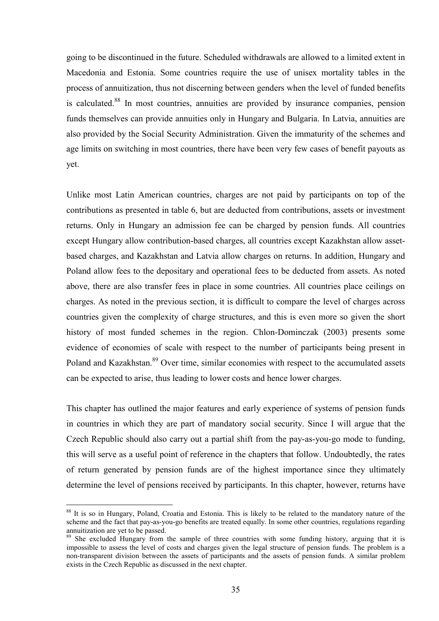going to be discontinued in the future. Scheduled withdrawals are allowed to a limited extent in Macedonia and Estonia. Some countries require the use of unisex mortality tables in the process of annuitization, thus not discerning between genders when the level of funded benefits is calculated.<sup>88</sup> In most countries, annuities are provided by insurance companies, pension funds themselves can provide annuities only in Hungary and Bulgaria. In Latvia, annuities are also provided by the Social Security Administration. Given the immaturity of the schemes and age limits on switching in most countries, there have been very few cases of benefit payouts as yet.

Unlike most Latin American countries, charges are not paid by participants on top of the contributions as presented in table 6, but are deducted from contributions, assets or investment returns. Only in Hungary an admission fee can be charged by pension funds. All countries except Hungary allow contribution-based charges, all countries except Kazakhstan allow assetbased charges, and Kazakhstan and Latvia allow charges on returns. In addition, Hungary and Poland allow fees to the depositary and operational fees to be deducted from assets. As noted above, there are also transfer fees in place in some countries. All countries place ceilings on charges. As noted in the previous section, it is difficult to compare the level of charges across countries given the complexity of charge structures, and this is even more so given the short history of most funded schemes in the region. Chlon-Dominczak (2003) presents some evidence of economies of scale with respect to the number of participants being present in Poland and Kazakhstan.<sup>89</sup> Over time, similar economies with respect to the accumulated assets can be expected to arise, thus leading to lower costs and hence lower charges.

This chapter has outlined the major features and early experience of systems of pension funds in countries in which they are part of mandatory social security. Since I will argue that the Czech Republic should also carry out a partial shift from the pay-as-you-go mode to funding, this will serve as a useful point of reference in the chapters that follow. Undoubtedly, the rates of return generated by pension funds are of the highest importance since they ultimately determine the level of pensions received by participants. In this chapter, however, returns have

<sup>88</sup> It is so in Hungary, Poland, Croatia and Estonia. This is likely to be related to the mandatory nature of the scheme and the fact that pay-as-you-go benefits are treated equally. In some other countries, regulations regarding annuitization are yet to be passed.

<sup>&</sup>lt;sup>89</sup> She excluded Hungary from the sample of three countries with some funding history, arguing that it is impossible to assess the level of costs and charges given the legal structure of pension funds. The problem is a non-transparent division between the assets of participants and the assets of pension funds. A similar problem exists in the Czech Republic as discussed in the next chapter.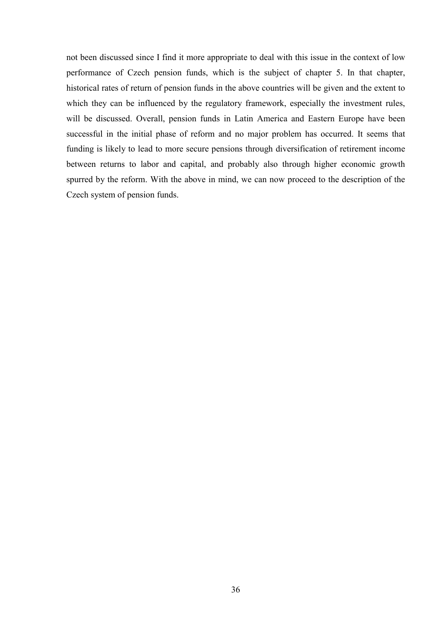not been discussed since I find it more appropriate to deal with this issue in the context of low performance of Czech pension funds, which is the subject of chapter 5. In that chapter, historical rates of return of pension funds in the above countries will be given and the extent to which they can be influenced by the regulatory framework, especially the investment rules, will be discussed. Overall, pension funds in Latin America and Eastern Europe have been successful in the initial phase of reform and no major problem has occurred. It seems that funding is likely to lead to more secure pensions through diversification of retirement income between returns to labor and capital, and probably also through higher economic growth spurred by the reform. With the above in mind, we can now proceed to the description of the Czech system of pension funds.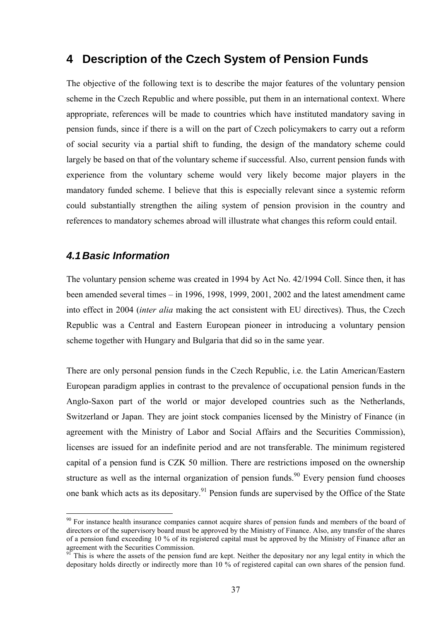# **4 Description of the Czech System of Pension Funds**

The objective of the following text is to describe the major features of the voluntary pension scheme in the Czech Republic and where possible, put them in an international context. Where appropriate, references will be made to countries which have instituted mandatory saving in pension funds, since if there is a will on the part of Czech policymakers to carry out a reform of social security via a partial shift to funding, the design of the mandatory scheme could largely be based on that of the voluntary scheme if successful. Also, current pension funds with experience from the voluntary scheme would very likely become major players in the mandatory funded scheme. I believe that this is especially relevant since a systemic reform could substantially strengthen the ailing system of pension provision in the country and references to mandatory schemes abroad will illustrate what changes this reform could entail.

### *4.1 Basic Information*

 $\overline{a}$ 

The voluntary pension scheme was created in 1994 by Act No. 42/1994 Coll. Since then, it has been amended several times  $-$  in 1996, 1998, 1999, 2001, 2002 and the latest amendment came into effect in 2004 (*inter alia* making the act consistent with EU directives). Thus, the Czech Republic was a Central and Eastern European pioneer in introducing a voluntary pension scheme together with Hungary and Bulgaria that did so in the same year.

There are only personal pension funds in the Czech Republic, i.e. the Latin American/Eastern European paradigm applies in contrast to the prevalence of occupational pension funds in the Anglo-Saxon part of the world or major developed countries such as the Netherlands, Switzerland or Japan. They are joint stock companies licensed by the Ministry of Finance (in agreement with the Ministry of Labor and Social Affairs and the Securities Commission), licenses are issued for an indefinite period and are not transferable. The minimum registered capital of a pension fund is CZK 50 million. There are restrictions imposed on the ownership structure as well as the internal organization of pension funds.<sup>90</sup> Every pension fund chooses one bank which acts as its depositary.<sup>91</sup> Pension funds are supervised by the Office of the State

<sup>&</sup>lt;sup>90</sup> For instance health insurance companies cannot acquire shares of pension funds and members of the board of directors or of the supervisory board must be approved by the Ministry of Finance. Also, any transfer of the shares of a pension fund exceeding 10 % of its registered capital must be approved by the Ministry of Finance after an agreement with the Securities Commission.

<sup>&</sup>lt;sup>91</sup> This is where the assets of the pension fund are kept. Neither the depositary nor any legal entity in which the depositary holds directly or indirectly more than 10 % of registered capital can own shares of the pension fund.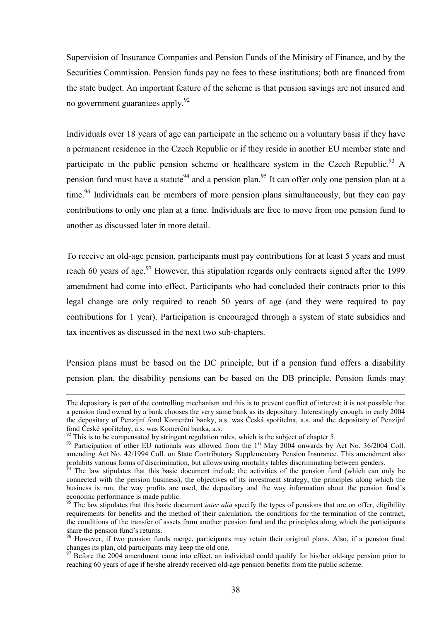Supervision of Insurance Companies and Pension Funds of the Ministry of Finance, and by the Securities Commission. Pension funds pay no fees to these institutions; both are financed from the state budget. An important feature of the scheme is that pension savings are not insured and no government guarantees apply.<sup>92</sup>

Individuals over 18 years of age can participate in the scheme on a voluntary basis if they have a permanent residence in the Czech Republic or if they reside in another EU member state and participate in the public pension scheme or healthcare system in the Czech Republic.<sup>93</sup> A pension fund must have a statute<sup>94</sup> and a pension plan.<sup>95</sup> It can offer only one pension plan at a time.<sup>96</sup> Individuals can be members of more pension plans simultaneously, but they can pay contributions to only one plan at a time. Individuals are free to move from one pension fund to another as discussed later in more detail.

To receive an old-age pension, participants must pay contributions for at least 5 years and must reach 60 years of age.<sup>97</sup> However, this stipulation regards only contracts signed after the 1999 amendment had come into effect. Participants who had concluded their contracts prior to this legal change are only required to reach 50 years of age (and they were required to pay contributions for 1 year). Participation is encouraged through a system of state subsidies and tax incentives as discussed in the next two sub-chapters.

Pension plans must be based on the DC principle, but if a pension fund offers a disability pension plan, the disability pensions can be based on the DB principle. Pension funds may

The depositary is part of the controlling mechanism and this is to prevent conflict of interest; it is not possible that a pension fund owned by a bank chooses the very same bank as its depositary. Interestingly enough, in early 2004 the depositary of Penzijní fond Komerční banky, a.s. was Česká spořitelna, a.s. and the depositary of Penzijní fond České spořitelny, a.s. was Komerční banka, a.s. <sup>92</sup> This is to be compensated by stringent regulation rules, which is the subject of chapter 5.

<sup>&</sup>lt;sup>93</sup> Participation of other EU nationals was allowed from the 1<sup>st</sup> May 2004 onwards by Act No. 36/2004 Coll. amending Act No. 42/1994 Coll. on State Contributory Supplementary Pension Insurance. This amendment also prohibits various forms of discrimination, but allows using mortality tables discriminating between genders.

 $94$  The law stipulates that this basic document include the activities of the pension fund (which can only be connected with the pension business), the objectives of its investment strategy, the principles along which the business is run, the way profits are used, the depositary and the way information about the pension fund's economic performance is made public.

<sup>&</sup>lt;sup>95</sup> The law stipulates that this basic document *inter alia* specify the types of pensions that are on offer, eligibility requirements for benefits and the method of their calculation, the conditions for the termination of the contract, the conditions of the transfer of assets from another pension fund and the principles along which the participants share the pension fund's returns.

<sup>&</sup>lt;sup>96</sup> However, if two pension funds merge, participants may retain their original plans. Also, if a pension fund changes its plan, old participants may keep the old one.

 $97$  Before the 2004 amendment came into effect, an individual could qualify for his/her old-age pension prior to reaching 60 years of age if he/she already received old-age pension benefits from the public scheme.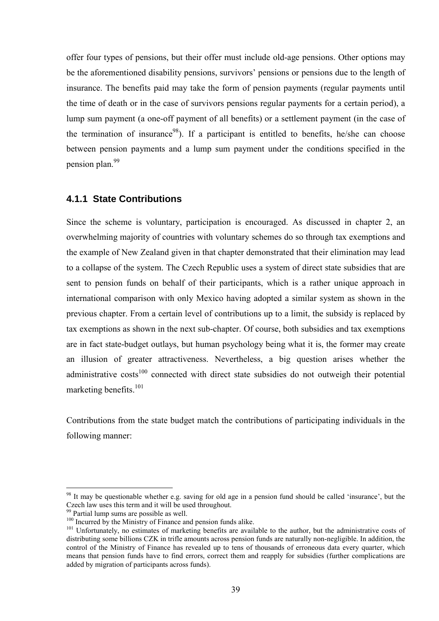offer four types of pensions, but their offer must include old-age pensions. Other options may be the aforementioned disability pensions, survivors' pensions or pensions due to the length of insurance. The benefits paid may take the form of pension payments (regular payments until the time of death or in the case of survivors pensions regular payments for a certain period), a lump sum payment (a one-off payment of all benefits) or a settlement payment (in the case of the termination of insurance<sup>98</sup>). If a participant is entitled to benefits, he/she can choose between pension payments and a lump sum payment under the conditions specified in the pension plan<sup>99</sup>

#### **4.1.1 State Contributions**

Since the scheme is voluntary, participation is encouraged. As discussed in chapter 2, an overwhelming majority of countries with voluntary schemes do so through tax exemptions and the example of New Zealand given in that chapter demonstrated that their elimination may lead to a collapse of the system. The Czech Republic uses a system of direct state subsidies that are sent to pension funds on behalf of their participants, which is a rather unique approach in international comparison with only Mexico having adopted a similar system as shown in the previous chapter. From a certain level of contributions up to a limit, the subsidy is replaced by tax exemptions as shown in the next sub-chapter. Of course, both subsidies and tax exemptions are in fact state-budget outlays, but human psychology being what it is, the former may create an illusion of greater attractiveness. Nevertheless, a big question arises whether the administrative  $costs<sup>100</sup>$  connected with direct state subsidies do not outweigh their potential marketing benefits.<sup>101</sup>

Contributions from the state budget match the contributions of participating individuals in the following manner:

 $98$  It may be questionable whether e.g. saving for old age in a pension fund should be called 'insurance', but the Czech law uses this term and it will be used throughout.

Partial lump sums are possible as well.

 $100$  Incurred by the Ministry of Finance and pension funds alike.

<sup>&</sup>lt;sup>101</sup> Unfortunately, no estimates of marketing benefits are available to the author, but the administrative costs of distributing some billions CZK in trifle amounts across pension funds are naturally non-negligible. In addition, the control of the Ministry of Finance has revealed up to tens of thousands of erroneous data every quarter, which means that pension funds have to find errors, correct them and reapply for subsidies (further complications are added by migration of participants across funds).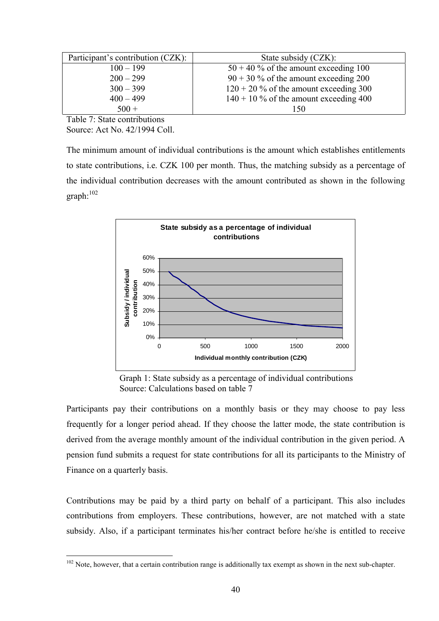| Participant's contribution (CZK): | State subsidy (CZK):                     |
|-----------------------------------|------------------------------------------|
| $100 - 199$                       | $50 + 40\%$ of the amount exceeding 100  |
| $200 - 299$                       | $90 + 30\%$ of the amount exceeding 200  |
| $300 - 399$                       | $120 + 20$ % of the amount exceeding 300 |
| $400 - 499$                       | $140 + 10\%$ of the amount exceeding 400 |
| $500 +$                           | 150                                      |

Table 7: State contributions Source: Act No. 42/1994 Coll.

 $\overline{a}$ 

The minimum amount of individual contributions is the amount which establishes entitlements to state contributions, i.e. CZK 100 per month. Thus, the matching subsidy as a percentage of the individual contribution decreases with the amount contributed as shown in the following graph:<sup>1</sup><sup>02</sup>



Graph 1: State subsidy as a percentage of individual contributions Source: Calculations based on table 7

Participants pay their contributions on a monthly basis or they may choose to pay less frequently for a longer period ahead. If they choose the latter mode, the state contribution is derived from the average monthly amount of the individual contribution in the given period. A pension fund submits a request for state contributions for all its participants to the Ministry of Finance on a quarterly basis.

Contributions may be paid by a third party on behalf of a participant. This also includes contributions from employers. These contributions, however, are not matched with a state subsidy. Also, if a participant terminates his/her contract before he/she is entitled to receive

 $102$  Note, however, that a certain contribution range is additionally tax exempt as shown in the next sub-chapter.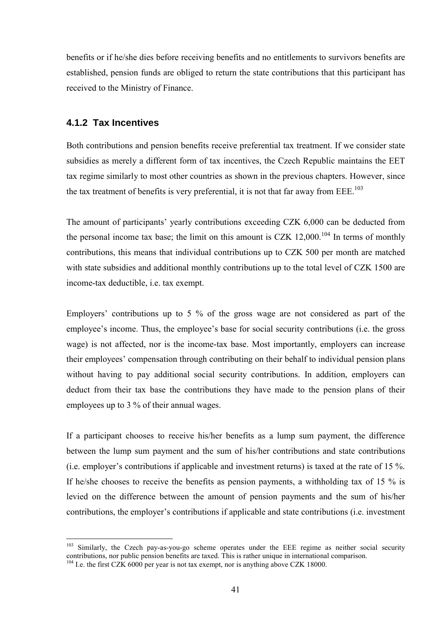benefits or if he/she dies before receiving benefits and no entitlements to survivors benefits are established, pension funds are obliged to return the state contributions that this participant has received to the Ministry of Finance.

#### **4.1.2 Tax Incentives**

 $\overline{a}$ 

Both contributions and pension benefits receive preferential tax treatment. If we consider state subsidies as merely a different form of tax incentives, the Czech Republic maintains the EET tax regime similarly to most other countries as shown in the previous chapters. However, since the tax treatment of benefits is very preferential, it is not that far away from  $EEE$ <sup>103</sup>

The amount of participants' yearly contributions exceeding CZK 6,000 can be deducted from the personal income tax base; the limit on this amount is CZK  $12,000$ .<sup>104</sup> In terms of monthly contributions, this means that individual contributions up to CZK 500 per month are matched with state subsidies and additional monthly contributions up to the total level of CZK 1500 are income-tax deductible, i.e. tax exempt.

Employers' contributions up to 5  $\%$  of the gross wage are not considered as part of the employee's income. Thus, the employee's base for social security contributions (i.e. the gross wage) is not affected, nor is the income-tax base. Most importantly, employers can increase their employees' compensation through contributing on their behalf to individual pension plans without having to pay additional social security contributions. In addition, employers can deduct from their tax base the contributions they have made to the pension plans of their employees up to 3 % of their annual wages.

If a participant chooses to receive his/her benefits as a lump sum payment, the difference between the lump sum payment and the sum of his/her contributions and state contributions (i.e. employer's contributions if applicable and investment returns) is taxed at the rate of 15  $\%$ . If he/she chooses to receive the benefits as pension payments, a withholding tax of 15 % is levied on the difference between the amount of pension payments and the sum of his/her contributions, the employer's contributions if applicable and state contributions (i.e. investment

<sup>&</sup>lt;sup>103</sup> Similarly, the Czech pay-as-you-go scheme operates under the EEE regime as neither social security contributions, nor public pension benefits are taxed. This is rather unique in international comparison.  $104$  I.e. the first CZK 6000 per year is not tax exempt, nor is anything above CZK 18000.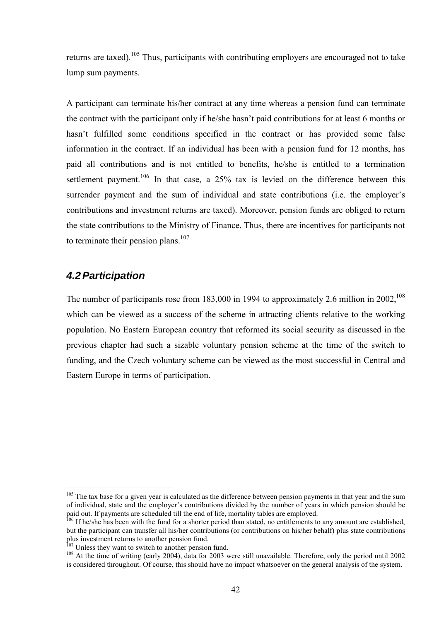returns are taxed).<sup>105</sup> Thus, participants with contributing employers are encouraged not to take lump sum payments.

A participant can terminate his/her contract at any time whereas a pension fund can terminate the contract with the participant only if he/she hasn't paid contributions for at least 6 months or hasn't fulfilled some conditions specified in the contract or has provided some false information in the contract. If an individual has been with a pension fund for 12 months, has paid all contributions and is not entitled to benefits, he/she is entitled to a termination settlement payment.<sup>106</sup> In that case, a  $25\%$  tax is levied on the difference between this surrender payment and the sum of individual and state contributions (i.e. the employer's contributions and investment returns are taxed). Moreover, pension funds are obliged to return the state contributions to the Ministry of Finance. Thus, there are incentives for participants not to terminate their pension plans.<sup>107</sup>

### *4.2 Participation*

 $\overline{a}$ 

The number of participants rose from  $183,000$  in 1994 to approximately 2.6 million in 2002.<sup>108</sup> which can be viewed as a success of the scheme in attracting clients relative to the working population. No Eastern European country that reformed its social security as discussed in the previous chapter had such a sizable voluntary pension scheme at the time of the switch to funding, and the Czech voluntary scheme can be viewed as the most successful in Central and Eastern Europe in terms of participation.

 $105$  The tax base for a given year is calculated as the difference between pension payments in that year and the sum of individual, state and the employer's contributions divided by the number of years in which pension should be paid out. If payments are scheduled till the end of life, mortality tables are employed.

<sup>&</sup>lt;sup>106</sup> If he/she has been with the fund for a shorter period than stated, no entitlements to any amount are established, but the participant can transfer all his/her contributions (or contributions on his/her behalf) plus state contributions plus investment returns to another pension fund.<br><sup>107</sup> Unless they want to switch to another pension fund.

 $108$  At the time of writing (early 2004), data for 2003 were still unavailable. Therefore, only the period until 2002 is considered throughout. Of course, this should have no impact whatsoever on the general analysis of the system.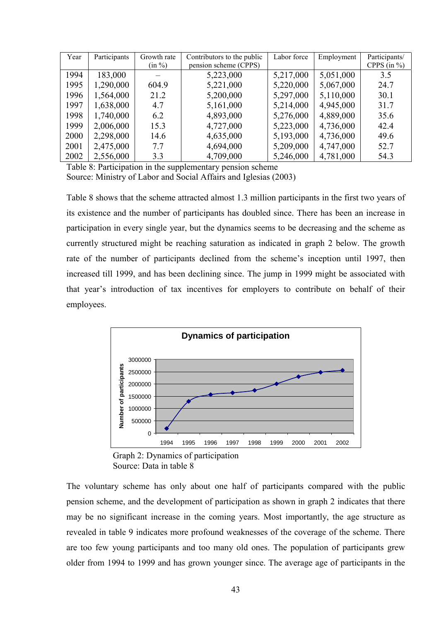| Year | Participants | Growth rate | Contributors to the public | Labor force | Employment | Participants/   |
|------|--------------|-------------|----------------------------|-------------|------------|-----------------|
|      |              | (in %)      | pension scheme (CPPS)      |             |            | CPPS (in $\%$ ) |
| 1994 | 183,000      |             | 5,223,000                  | 5,217,000   | 5,051,000  | 3.5             |
| 1995 | 1,290,000    | 604.9       | 5,221,000                  | 5,220,000   | 5,067,000  | 24.7            |
| 1996 | 1,564,000    | 21.2        | 5,200,000                  | 5,297,000   | 5,110,000  | 30.1            |
| 1997 | 1,638,000    | 4.7         | 5,161,000                  | 5,214,000   | 4,945,000  | 31.7            |
| 1998 | 1,740,000    | 6.2         | 4,893,000                  | 5,276,000   | 4,889,000  | 35.6            |
| 1999 | 2,006,000    | 15.3        | 4,727,000                  | 5,223,000   | 4,736,000  | 42.4            |
| 2000 | 2,298,000    | 14.6        | 4,635,000                  | 5,193,000   | 4,736,000  | 49.6            |
| 2001 | 2,475,000    | 7.7         | 4,694,000                  | 5,209,000   | 4,747,000  | 52.7            |
| 2002 | 2,556,000    | 3.3         | 4,709,000                  | 5,246,000   | 4,781,000  | 54.3            |

Table 8: Participation in the supplementary pension scheme Source: Ministry of Labor and Social Affairs and Iglesias (2003)

Table 8 shows that the scheme attracted almost 1.3 million participants in the first two years of its existence and the number of participants has doubled since. There has been an increase in participation in every single year, but the dynamics seems to be decreasing and the scheme as currently structured might be reaching saturation as indicated in graph 2 below. The growth rate of the number of participants declined from the scheme's inception until 1997, then increased till 1999, and has been declining since. The jump in 1999 might be associated with that year's introduction of tax incentives for employers to contribute on behalf of their employees.



Graph 2: Dynamics of participation Source: Data in table 8

The voluntary scheme has only about one half of participants compared with the public pension scheme, and the development of participation as shown in graph 2 indicates that there may be no significant increase in the coming years. Most importantly, the age structure as revealed in table 9 indicates more profound weaknesses of the coverage of the scheme. There are too few young participants and too many old ones. The population of participants grew older from 1994 to 1999 and has grown younger since. The average age of participants in the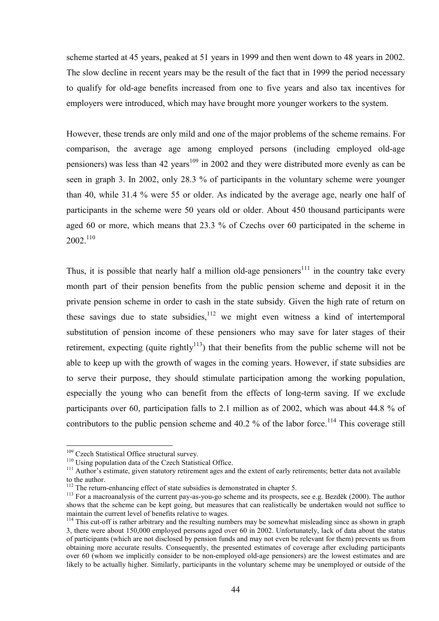scheme started at 45 years, peaked at 51 years in 1999 and then went down to 48 years in 2002. The slow decline in recent years may be the result of the fact that in 1999 the period necessary to qualify for old-age benefits increased from one to five years and also tax incentives for employers were introduced, which may have brought more younger workers to the system.

However, these trends are only mild and one of the major problems of the scheme remains. For comparison, the average age among employed persons (including employed old-age pensioners) was less than 42 years<sup>109</sup> in 2002 and they were distributed more evenly as can be seen in graph 3. In 2002, only 28.3 % of participants in the voluntary scheme were younger than 40, while 31.4 % were 55 or older. As indicated by the average age, nearly one half of participants in the scheme were 50 years old or older. About 450 thousand participants were aged 60 or more, which means that 23.3 % of Czechs over 60 participated in the scheme in 2002.<sup>11</sup><sup>0</sup>

Thus, it is possible that nearly half a million old-age pensioners<sup>111</sup> in the country take every month part of their pension benefits from the public pension scheme and deposit it in the private pension scheme in order to cash in the state subsidy. Given the high rate of return on these savings due to state subsidies,  $12$  we might even witness a kind of intertemporal substitution of pension income of these pensioners who may save for later stages of their retirement, expecting (quite rightly<sup>113</sup>) that their benefits from the public scheme will not be able to keep up with the growth of wages in the coming years. However, if state subsidies are to serve their purpose, they should stimulate participation among the working population, especially the young who can benefit from the effects of long-term saving. If we exclude participants over 60, participation falls to 2.1 million as of 2002, which was about 44.8 % of contributors to the public pension scheme and  $40.2$  % of the labor force.<sup>114</sup> This coverage still

 $109$  Czech Statistical Office structural survey.<br> $110$  Using population data of the Czech Statistical Office.

 $\frac{111}{111}$  Author's estimate, given statutory retirement ages and the extent of early retirements; better data not available to the author.

<sup>&</sup>lt;sup>112</sup> The return-enhancing effect of state subsidies is demonstrated in chapter 5.<br><sup>113</sup> For a meansanalyzis of the survey that as you go solvene and its programs.

<sup>&</sup>lt;sup>113</sup> For a macroanalysis of the current pay-as-you-go scheme and its prospects, see e.g. Bezděk (2000). The author shows that the scheme can be kept going, but measures that can realistically be undertaken would not suffice to maintain the current level of benefits relative to wages.

<sup>&</sup>lt;sup>114</sup> This cut-off is rather arbitrary and the resulting numbers may be somewhat misleading since as shown in graph 3, there were about 150,000 employed persons aged over 60 in 2002. Unfortunately, lack of data about the status of participants (which are not disclosed by pension funds and may not even be relevant for them) prevents us from obtaining more accurate results. Consequently, the presented estimates of coverage after excluding participants over 60 (whom we implicitly consider to be non-employed old-age pensioners) are the lowest estimates and are likely to be actually higher. Similarly, participants in the voluntary scheme may be unemployed or outside of the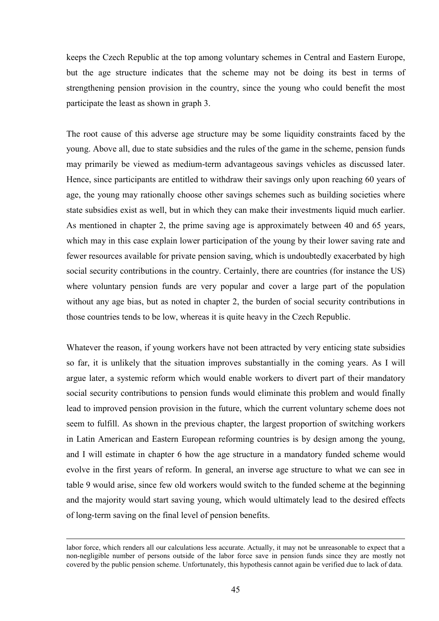keeps the Czech Republic at the top among voluntary schemes in Central and Eastern Europe, but the age structure indicates that the scheme may not be doing its best in terms of strengthening pension provision in the country, since the young who could benefit the most participate the least as shown in graph 3.

The root cause of this adverse age structure may be some liquidity constraints faced by the young. Above all, due to state subsidies and the rules of the game in the scheme, pension funds may primarily be viewed as medium-term advantageous savings vehicles as discussed later. Hence, since participants are entitled to withdraw their savings only upon reaching 60 years of age, the young may rationally choose other savings schemes such as building societies where state subsidies exist as well, but in which they can make their investments liquid much earlier. As mentioned in chapter 2, the prime saving age is approximately between 40 and 65 years, which may in this case explain lower participation of the young by their lower saving rate and fewer resources available for private pension saving, which is undoubtedly exacerbated by high social security contributions in the country. Certainly, there are countries (for instance the US) where voluntary pension funds are very popular and cover a large part of the population without any age bias, but as noted in chapter 2, the burden of social security contributions in those countries tends to be low, whereas it is quite heavy in the Czech Republic.

Whatever the reason, if young workers have not been attracted by very enticing state subsidies so far, it is unlikely that the situation improves substantially in the coming years. As I will argue later, a systemic reform which would enable workers to divert part of their mandatory social security contributions to pension funds would eliminate this problem and would finally lead to improved pension provision in the future, which the current voluntary scheme does not seem to fulfill. As shown in the previous chapter, the largest proportion of switching workers in Latin American and Eastern European reforming countries is by design among the young, and I will estimate in chapter 6 how the age structure in a mandatory funded scheme would evolve in the first years of reform. In general, an inverse age structure to what we can see in table 9 would arise, since few old workers would switch to the funded scheme at the beginning and the majority would start saving young, which would ultimately lead to the desired effects of long-term saving on the final level of pension benefits.

labor force, which renders all our calculations less accurate. Actually, it may not be unreasonable to expect that a non-negligible number of persons outside of the labor force save in pension funds since they are mostly not covered by the public pension scheme. Unfortunately, this hypothesis cannot again be verified due to lack of data.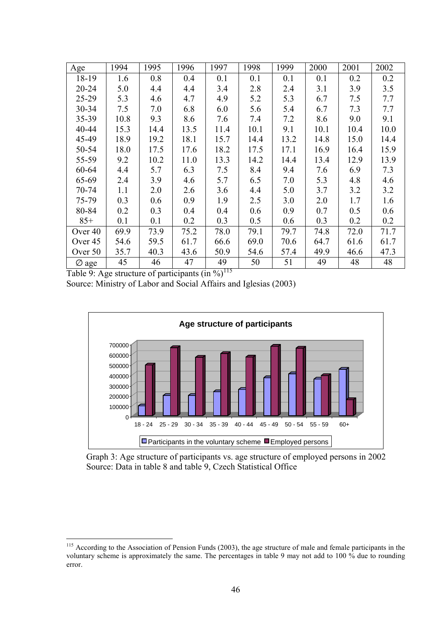| Age                | 1994 | 1995 | 1996 | 1997 | 1998 | 1999 | 2000 | 2001 | 2002 |
|--------------------|------|------|------|------|------|------|------|------|------|
| 18-19              | 1.6  | 0.8  | 0.4  | 0.1  | 0.1  | 0.1  | 0.1  | 0.2  | 0.2  |
| $20 - 24$          | 5.0  | 4.4  | 4.4  | 3.4  | 2.8  | 2.4  | 3.1  | 3.9  | 3.5  |
| $25 - 29$          | 5.3  | 4.6  | 4.7  | 4.9  | 5.2  | 5.3  | 6.7  | 7.5  | 7.7  |
| 30-34              | 7.5  | 7.0  | 6.8  | 6.0  | 5.6  | 5.4  | 6.7  | 7.3  | 7.7  |
| 35-39              | 10.8 | 9.3  | 8.6  | 7.6  | 7.4  | 7.2  | 8.6  | 9.0  | 9.1  |
| 40-44              | 15.3 | 14.4 | 13.5 | 11.4 | 10.1 | 9.1  | 10.1 | 10.4 | 10.0 |
| 45-49              | 18.9 | 19.2 | 18.1 | 15.7 | 14.4 | 13.2 | 14.8 | 15.0 | 14.4 |
| 50-54              | 18.0 | 17.5 | 17.6 | 18.2 | 17.5 | 17.1 | 16.9 | 16.4 | 15.9 |
| 55-59              | 9.2  | 10.2 | 11.0 | 13.3 | 14.2 | 14.4 | 13.4 | 12.9 | 13.9 |
| 60-64              | 4.4  | 5.7  | 6.3  | 7.5  | 8.4  | 9.4  | 7.6  | 6.9  | 7.3  |
| 65-69              | 2.4  | 3.9  | 4.6  | 5.7  | 6.5  | 7.0  | 5.3  | 4.8  | 4.6  |
| 70-74              | 1.1  | 2.0  | 2.6  | 3.6  | 4.4  | 5.0  | 3.7  | 3.2  | 3.2  |
| 75-79              | 0.3  | 0.6  | 0.9  | 1.9  | 2.5  | 3.0  | 2.0  | 1.7  | 1.6  |
| 80-84              | 0.2  | 0.3  | 0.4  | 0.4  | 0.6  | 0.9  | 0.7  | 0.5  | 0.6  |
| $85+$              | 0.1  | 0.1  | 0.2  | 0.3  | 0.5  | 0.6  | 0.3  | 0.2  | 0.2  |
| Over <sub>40</sub> | 69.9 | 73.9 | 75.2 | 78.0 | 79.1 | 79.7 | 74.8 | 72.0 | 71.7 |
| Over 45            | 54.6 | 59.5 | 61.7 | 66.6 | 69.0 | 70.6 | 64.7 | 61.6 | 61.7 |
| Over 50            | 35.7 | 40.3 | 43.6 | 50.9 | 54.6 | 57.4 | 49.9 | 46.6 | 47.3 |
| $\varnothing$ age  | 45   | 46   | 47   | 49   | 50   | 51   | 49   | 48   | 48   |

Table 9: Age structure of participants  $(in %)$ <sup>115</sup>

Source: Ministry of Labor and Social Affairs and Iglesias (2003)



Graph 3: Age structure of participants vs. age structure of employed persons in 2002 Source: Data in table 8 and table 9, Czech Statistical Office

<sup>&</sup>lt;sup>115</sup> According to the Association of Pension Funds (2003), the age structure of male and female participants in the voluntary scheme is approximately the same. The percentages in table 9 may not add to 100 % due to rounding error.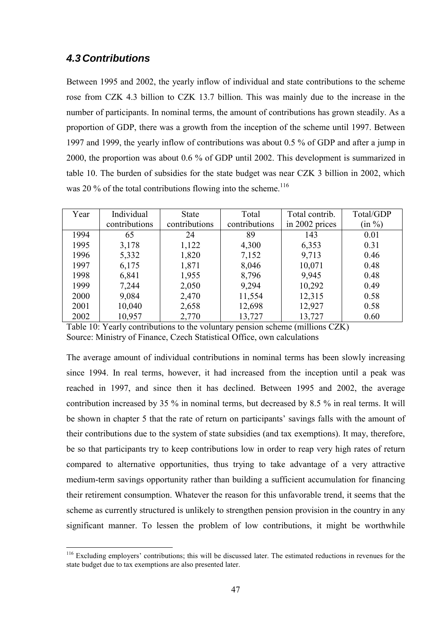## *4.3 Contributions*

Between 1995 and 2002, the yearly inflow of individual and state contributions to the scheme rose from CZK 4.3 billion to CZK 13.7 billion. This was mainly due to the increase in the number of participants. In nominal terms, the amount of contributions has grown steadily. As a proportion of GDP, there was a growth from the inception of the scheme until 1997. Between 1997 and 1999, the yearly inflow of contributions was about 0.5 % of GDP and after a jump in 2000, the proportion was about 0.6 % of GDP until 2002. This development is summarized in table 10. The burden of subsidies for the state budget was near CZK 3 billion in 2002, which was 20  $\%$  of the total contributions flowing into the scheme.<sup>116</sup>

| Year | Individual    | <b>State</b>  | Total         | Total contrib. | Total/GDP |
|------|---------------|---------------|---------------|----------------|-----------|
|      | contributions | contributions | contributions | in 2002 prices | $(in \%)$ |
| 1994 | 65            | 24            | 89            | 143            | 0.01      |
| 1995 | 3,178         | 1,122         | 4,300         | 6,353          | 0.31      |
| 1996 | 5,332         | 1,820         | 7,152         | 9,713          | 0.46      |
| 1997 | 6,175         | 1,871         | 8,046         | 10,071         | 0.48      |
| 1998 | 6,841         | 1,955         | 8,796         | 9,945          | 0.48      |
| 1999 | 7,244         | 2,050         | 9,294         | 10,292         | 0.49      |
| 2000 | 9,084         | 2,470         | 11,554        | 12,315         | 0.58      |
| 2001 | 10,040        | 2,658         | 12,698        | 12,927         | 0.58      |
| 2002 | 10,957        | 2,770         | 13,727        | 13,727         | 0.60      |

Table 10: Yearly contributions to the voluntary pension scheme (millions CZK) Source: Ministry of Finance, Czech Statistical Office, own calculations

The average amount of individual contributions in nominal terms has been slowly increasing since 1994. In real terms, however, it had increased from the inception until a peak was reached in 1997, and since then it has declined. Between 1995 and 2002, the average contribution increased by 35 % in nominal terms, but decreased by 8.5 % in real terms. It will be shown in chapter 5 that the rate of return on participants' savings falls with the amount of their contributions due to the system of state subsidies (and tax exemptions). It may, therefore, be so that participants try to keep contributions low in order to reap very high rates of return compared to alternative opportunities, thus trying to take advantage of a very attractive medium-term savings opportunity rather than building a sufficient accumulation for financing their retirement consumption. Whatever the reason for this unfavorable trend, it seems that the scheme as currently structured is unlikely to strengthen pension provision in the country in any significant manner. To lessen the problem of low contributions, it might be worthwhile

<sup>&</sup>lt;sup>116</sup> Excluding employers' contributions; this will be discussed later. The estimated reductions in revenues for the state budget due to tax exemptions are also presented later.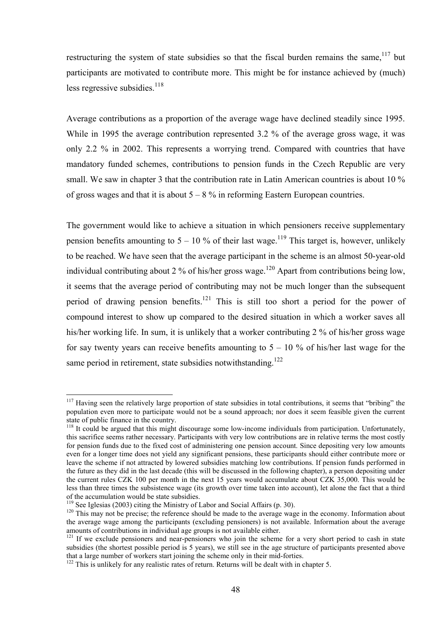restructuring the system of state subsidies so that the fiscal burden remains the same,  $117$  but participants are motivated to contribute more. This might be for instance achieved by (much) less regressive subsidies. $118$ 

Average contributions as a proportion of the average wage have declined steadily since 1995. While in 1995 the average contribution represented 3.2 % of the average gross wage, it was only 2.2 % in 2002. This represents a worrying trend. Compared with countries that have mandatory funded schemes, contributions to pension funds in the Czech Republic are very small. We saw in chapter 3 that the contribution rate in Latin American countries is about 10 % of gross wages and that it is about  $5 - 8$  % in reforming Eastern European countries.

The government would like to achieve a situation in which pensioners receive supplementary pension benefits amounting to  $5 - 10$  % of their last wage.<sup>119</sup> This target is, however, unlikely to be reached. We have seen that the average participant in the scheme is an almost 50-year-old individual contributing about 2 % of his/her gross wage.<sup>120</sup> Apart from contributions being low, it seems that the average period of contributing may not be much longer than the subsequent period of drawing pension benefits.<sup>121</sup> This is still too short a period for the power of compound interest to show up compared to the desired situation in which a worker saves all his/her working life. In sum, it is unlikely that a worker contributing 2 % of his/her gross wage for say twenty years can receive benefits amounting to  $5 - 10$  % of his/her last wage for the same period in retirement, state subsidies notwithstanding.<sup>122</sup>

 $117$  Having seen the relatively large proportion of state subsidies in total contributions, it seems that "bribing" the population even more to participate would not be a sound approach; nor does it seem feasible given the current state of public finance in the country.<br><sup>118</sup> It could be argued that this might discourage some low-income individuals from participation. Unfortunately,

this sacrifice seems rather necessary. Participants with very low contributions are in relative terms the most costly for pension funds due to the fixed cost of administering one pension account. Since depositing very low amounts even for a longer time does not yield any significant pensions, these participants should either contribute more or leave the scheme if not attracted by lowered subsidies matching low contributions. If pension funds performed in the future as they did in the last decade (this will be discussed in the following chapter), a person depositing under the current rules CZK 100 per month in the next 15 years would accumulate about CZK 35,000. This would be less than three times the subsistence wage (its growth over time taken into account), let alone the fact that a third of the accumulation would be state subsidies.

 $119$  See Iglesias (2003) citing the Ministry of Labor and Social Affairs (p. 30).

 $\frac{120}{120}$  This may not be precise; the reference should be made to the average wage in the economy. Information about the average wage among the participants (excluding pensioners) is not available. Information about the average amounts of contributions in individual age groups is not available either.<br><sup>121</sup> If we exclude pensioners and near-pensioners who join the scheme for a very short period to cash in state

subsidies (the shortest possible period is 5 years), we still see in the age structure of participants presented above that a large number of workers start joining the scheme only in their mid-forties.

<sup>&</sup>lt;sup>122</sup> This is unlikely for any realistic rates of return. Returns will be dealt with in chapter 5.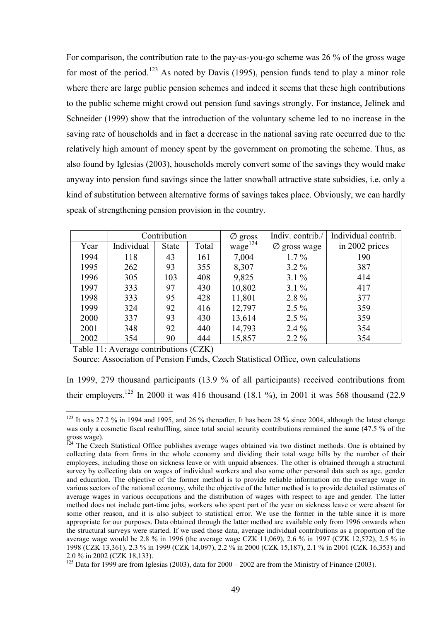For comparison, the contribution rate to the pay-as-you-go scheme was 26 % of the gross wage for most of the period.<sup>123</sup> As noted by Davis (1995), pension funds tend to play a minor role where there are large public pension schemes and indeed it seems that these high contributions to the public scheme might crowd out pension fund savings strongly. For instance, Jelinek and Schneider (1999) show that the introduction of the voluntary scheme led to no increase in the saving rate of households and in fact a decrease in the national saving rate occurred due to the relatively high amount of money spent by the government on promoting the scheme. Thus, as also found by Iglesias (2003), households merely convert some of the savings they would make anyway into pension fund savings since the latter snowball attractive state subsidies, i.e. only a kind of substitution between alternative forms of savings takes place. Obviously, we can hardly speak of strengthening pension provision in the country.

|      | Contribution |       | $\varnothing$ gross | Indiv. contrib./ | Individual contrib. |                |
|------|--------------|-------|---------------------|------------------|---------------------|----------------|
| Year | Individual   | State | Total               | $wage^{124}$     | Ø<br>gross wage     | in 2002 prices |
| 1994 | 118          | 43    | 161                 | 7,004            | $1.7\%$             | 190            |
| 1995 | 262          | 93    | 355                 | 8,307            | $3.2\%$             | 387            |
| 1996 | 305          | 103   | 408                 | 9,825            | $3.1\%$             | 414            |
| 1997 | 333          | 97    | 430                 | 10,802           | $3.1\%$             | 417            |
| 1998 | 333          | 95    | 428                 | 11,801           | $2.8\%$             | 377            |
| 1999 | 324          | 92    | 416                 | 12,797           | $2.5\%$             | 359            |
| 2000 | 337          | 93    | 430                 | 13,614           | $2.5\%$             | 359            |
| 2001 | 348          | 92    | 440                 | 14,793           | $2.4\%$             | 354            |
| 2002 | 354          | 90    | 444                 | 15,857           | $2.2\%$             | 354            |

Table 11: Average contributions (CZK)

 $\overline{a}$ 

Source: Association of Pension Funds, Czech Statistical Office, own calculations

In 1999, 279 thousand participants (13.9 % of all participants) received contributions from their employers.<sup>125</sup> In 2000 it was 416 thousand (18.1 %), in 2001 it was 568 thousand (22.9

<sup>&</sup>lt;sup>123</sup> It was 27.2 % in 1994 and 1995, and 26 % thereafter. It has been 28 % since 2004, although the latest change was only a cosmetic fiscal reshuffling, since total social security contributions remained the same (47.5 % of the gross wage).

 $^{124}$  The Czech Statistical Office publishes average wages obtained via two distinct methods. One is obtained by collecting data from firms in the whole economy and dividing their total wage bills by the number of their employees, including those on sickness leave or with unpaid absences. The other is obtained through a structural survey by collecting data on wages of individual workers and also some other personal data such as age, gender and education. The objective of the former method is to provide reliable information on the average wage in various sectors of the national economy, while the objective of the latter method is to provide detailed estimates of average wages in various occupations and the distribution of wages with respect to age and gender. The latter method does not include part-time jobs, workers who spent part of the year on sickness leave or were absent for some other reason, and it is also subject to statistical error. We use the former in the table since it is more appropriate for our purposes. Data obtained through the latter method are available only from 1996 onwards when the structural surveys were started. If we used those data, average individual contributions as a proportion of the average wage would be 2.8 % in 1996 (the average wage CZK 11,069), 2.6 % in 1997 (CZK 12,572), 2.5 % in 1998 (CZK 13,361), 2.3 % in 1999 (CZK 14,097), 2.2 % in 2000 (CZK 15,187), 2.1 % in 2001 (CZK 16,353) and 2.0 % in 2002 (CZK 18,133).<br><sup>125</sup> Data for 1999 are from Iglesias (2003), data for 2000 – 2002 are from the Ministry of Finance (2003).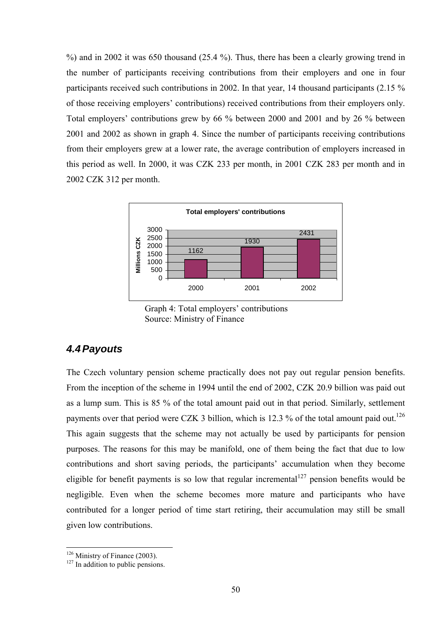%) and in 2002 it was 650 thousand (25.4 %). Thus, there has been a clearly growing trend in the number of participants receiving contributions from their employers and one in four participants received such contributions in 2002. In that year, 14 thousand participants (2.15 % of those receiving employers' contributions) received contributions from their employers only. Total employers' contributions grew by  $66\%$  between 2000 and 2001 and by 26 % between 2001 and 2002 as shown in graph 4. Since the number of participants receiving contributions from their employers grew at a lower rate, the average contribution of employers increased in this period as well. In 2000, it was CZK 233 per month, in 2001 CZK 283 per month and in 2002 CZK 312 per month.



Graph 4: Total employers' contributions Source: Ministry of Finance

### *4.4 Payouts*

The Czech voluntary pension scheme practically does not pay out regular pension benefits. From the inception of the scheme in 1994 until the end of 2002, CZK 20.9 billion was paid out as a lump sum. This is 85 % of the total amount paid out in that period. Similarly, settlement payments over that period were CZK 3 billion, which is 12.3 % of the total amount paid out.<sup>126</sup> This again suggests that the scheme may not actually be used by participants for pension purposes. The reasons for this may be manifold, one of them being the fact that due to low contributions and short saving periods, the participants' accumulation when they become eligible for benefit payments is so low that regular incremental  $127$  pension benefits would be negligible. Even when the scheme becomes more mature and participants who have contributed for a longer period of time start retiring, their accumulation may still be small given low contributions.

<sup>&</sup>lt;sup>126</sup> Ministry of Finance (2003).<br><sup>127</sup> In addition to public pensions.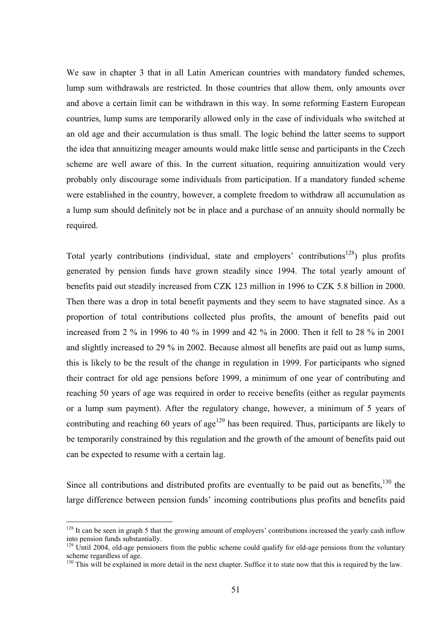We saw in chapter 3 that in all Latin American countries with mandatory funded schemes, lump sum withdrawals are restricted. In those countries that allow them, only amounts over and above a certain limit can be withdrawn in this way. In some reforming Eastern European countries, lump sums are temporarily allowed only in the case of individuals who switched at an old age and their accumulation is thus small. The logic behind the latter seems to support the idea that annuitizing meager amounts would make little sense and participants in the Czech scheme are well aware of this. In the current situation, requiring annuitization would very probably only discourage some individuals from participation. If a mandatory funded scheme were established in the country, however, a complete freedom to withdraw all accumulation as a lump sum should definitely not be in place and a purchase of an annuity should normally be required.

Total yearly contributions (individual, state and employers' contributions<sup>128</sup>) plus profits generated by pension funds have grown steadily since 1994. The total yearly amount of benefits paid out steadily increased from CZK 123 million in 1996 to CZK 5.8 billion in 2000. Then there was a drop in total benefit payments and they seem to have stagnated since. As a proportion of total contributions collected plus profits, the amount of benefits paid out increased from 2 % in 1996 to 40 % in 1999 and 42 % in 2000. Then it fell to 28 % in 2001 and slightly increased to 29 % in 2002. Because almost all benefits are paid out as lump sums, this is likely to be the result of the change in regulation in 1999. For participants who signed their contract for old age pensions before 1999, a minimum of one year of contributing and reaching 50 years of age was required in order to receive benefits (either as regular payments or a lump sum payment). After the regulatory change, however, a minimum of 5 years of contributing and reaching 60 years of age<sup>129</sup> has been required. Thus, participants are likely to be temporarily constrained by this regulation and the growth of the amount of benefits paid out can be expected to resume with a certain lag.

Since all contributions and distributed profits are eventually to be paid out as benefits, $130$  the large difference between pension funds' incoming contributions plus profits and benefits paid

 $128$  It can be seen in graph 5 that the growing amount of employers' contributions increased the yearly cash inflow into pension funds substantially.

 $129$  Until 2004, old-age pensioners from the public scheme could qualify for old-age pensions from the voluntary scheme regardless of age.

 $130$  This will be explained in more detail in the next chapter. Suffice it to state now that this is required by the law.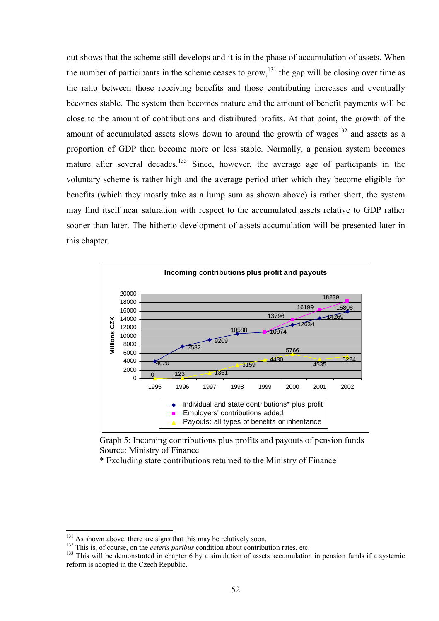out shows that the scheme still develops and it is in the phase of accumulation of assets. When the number of participants in the scheme ceases to grow,  $^{131}$  the gap will be closing over time as the ratio between those receiving benefits and those contributing increases and eventually becomes stable. The system then becomes mature and the amount of benefit payments will be close to the amount of contributions and distributed profits. At that point, the growth of the amount of accumulated assets slows down to around the growth of wages $132$  and assets as a proportion of GDP then become more or less stable. Normally, a pension system becomes mature after several decades.<sup>133</sup> Since, however, the average age of participants in the voluntary scheme is rather high and the average period after which they become eligible for benefits (which they mostly take as a lump sum as shown above) is rather short, the system may find itself near saturation with respect to the accumulated assets relative to GDP rather sooner than later. The hitherto development of assets accumulation will be presented later in this chapter.





\* Excluding state contributions returned to the Ministry of Finance

<sup>&</sup>lt;u>131</u>

<sup>&</sup>lt;sup>132</sup> This is, of course, on the *ceteris paribus* condition about contribution rates, etc.<br><sup>133</sup> This will be demonstrated in chapter 6 by a simulation of assets accumulation in pension funds if a systemic reform is adopted in the Czech Republic.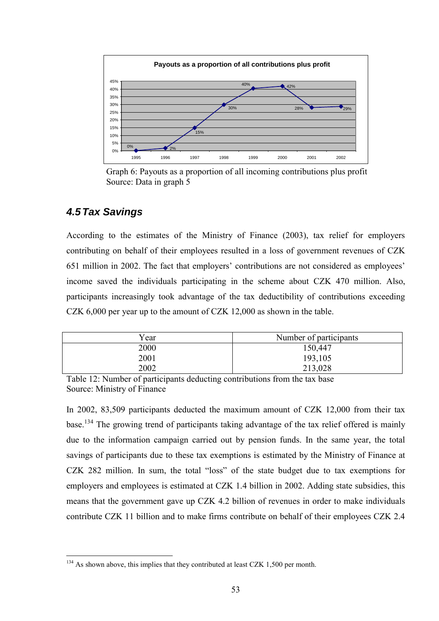

Graph 6: Payouts as a proportion of all incoming contributions plus profit Source: Data in graph 5

## *4.5 Tax Savings*

 $\overline{a}$ 

According to the estimates of the Ministry of Finance (2003), tax relief for employers contributing on behalf of their employees resulted in a loss of government revenues of CZK 651 million in 2002. The fact that employers' contributions are not considered as employees' income saved the individuals participating in the scheme about CZK 470 million. Also, participants increasingly took advantage of the tax deductibility of contributions exceeding CZK 6,000 per year up to the amount of CZK 12,000 as shown in the table.

| Year | Number of participants |
|------|------------------------|
| 2000 | 150,447                |
| 2001 | 193,105                |
| 2002 | 213,028                |

Table 12: Number of participants deducting contributions from the tax base Source: Ministry of Finance

In 2002, 83,509 participants deducted the maximum amount of CZK 12,000 from their tax base.<sup>1</sup>34 The growing trend of participants taking advantage of the tax relief offered is mainly due to the information campaign carried out by pension funds. In the same year, the total savings of participants due to these tax exemptions is estimated by the Ministry of Finance at CZK 282 million. In sum, the total "loss" of the state budget due to tax exemptions for employers and employees is estimated at CZK 1.4 billion in 2002. Adding state subsidies, this means that the government gave up CZK 4.2 billion of revenues in order to make individuals contribute CZK 11 billion and to make firms contribute on behalf of their employees CZK 2.4

 $134$  As shown above, this implies that they contributed at least CZK 1,500 per month.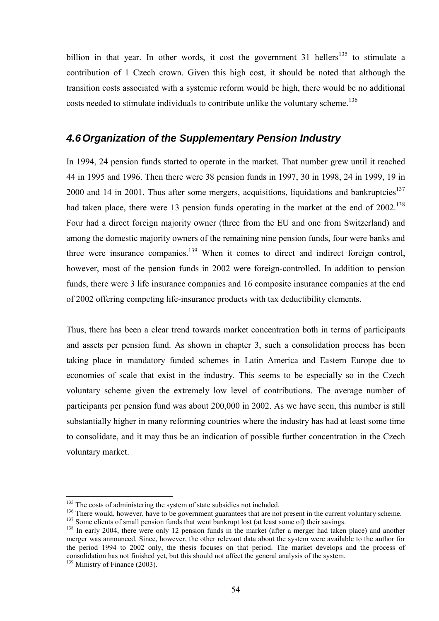billion in that year. In other words, it cost the government 31 hellers<sup>135</sup> to stimulate a contribution of 1 Czech crown. Given this high cost, it should be noted that although the transition costs associated with a systemic reform would be high, there would be no additional costs needed to stimulate individuals to contribute unlike the voluntary scheme.<sup>136</sup>

### *4.6 Organization of the Supplementary Pension Industry*

In 1994, 24 pension funds started to operate in the market. That number grew until it reached 44 in 1995 and 1996. Then there were 38 pension funds in 1997, 30 in 1998, 24 in 1999, 19 in 2000 and 14 in 2001. Thus after some mergers, acquisitions, liquidations and bankruptcies<sup>137</sup> had taken place, there were 13 pension funds operating in the market at the end of 2002.<sup>138</sup> Four had a direct foreign majority owner (three from the EU and one from Switzerland) and among the domestic majority owners of the remaining nine pension funds, four were banks and three were insurance companies.<sup>139</sup> When it comes to direct and indirect foreign control, however, most of the pension funds in 2002 were foreign-controlled. In addition to pension funds, there were 3 life insurance companies and 16 composite insurance companies at the end of 2002 offering competing life-insurance products with tax deductibility elements.

Thus, there has been a clear trend towards market concentration both in terms of participants and assets per pension fund. As shown in chapter 3, such a consolidation process has been taking place in mandatory funded schemes in Latin America and Eastern Europe due to economies of scale that exist in the industry. This seems to be especially so in the Czech voluntary scheme given the extremely low level of contributions. The average number of participants per pension fund was about 200,000 in 2002. As we have seen, this number is still substantially higher in many reforming countries where the industry has had at least some time to consolidate, and it may thus be an indication of possible further concentration in the Czech voluntary market.

 $135$  The costs of administering the system of state subsidies not included.

<sup>&</sup>lt;sup>136</sup> There would, however, have to be government guarantees that are not present in the current voluntary scheme.<br><sup>137</sup> Some clients of small pension funds that went bankrupt lost (at least some of) their savings.<br><sup>138</sup>

merger was announced. Since, however, the other relevant data about the system were available to the author for the period 1994 to 2002 only, the thesis focuses on that period. The market develops and the process of consolidation has not finished yet, but this should not affect the general analysis of the system.

<sup>&</sup>lt;sup>139</sup> Ministry of Finance (2003).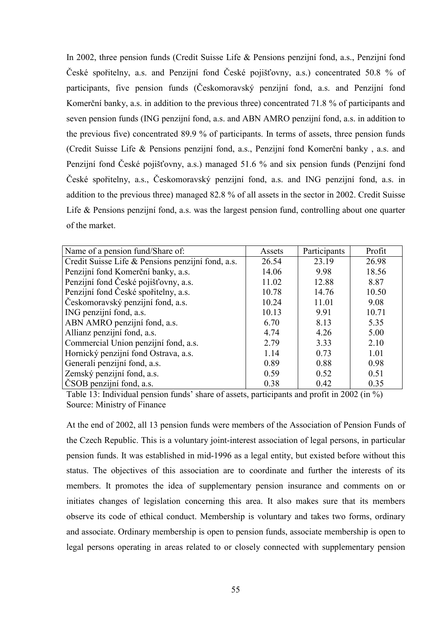In 2002, three pension funds (Credit Suisse Life  $\&$  Pensions penzijní fond, a.s., Penzijní fond České spořitelny, a.s. and Penzijní fond České pojišťovny, a.s.) concentrated 50.8 % of participants, five pension funds (Českomoravský penzijní fond, a.s. and Penzijní fond Komerční banky, a.s. in addition to the previous three) concentrated 71.8 % of participants and seven pension funds (ING penzijní fond, a.s. and ABN AMRO penzijní fond, a.s. in addition to the previous five) concentrated 89.9 % of participants. In terms of assets, three pension funds (Credit Suisse Life & Pensions penzijní fond, a.s., Penzijní fond Komerční banky, a.s. and Penzijní fond České pojišťovny, a.s.) managed 51.6 % and six pension funds (Penzijní fond České spořitelny, a.s., Českomoravský penzijní fond, a.s. and ING penzijní fond, a.s. in addition to the previous three) managed 82.8 % of all assets in the sector in 2002. Credit Suisse Life  $&$  Pensions penzijní fond, a.s. was the largest pension fund, controlling about one quarter of the market.

| Name of a pension fund/Share of:                  | Assets | Participants | Profit |
|---------------------------------------------------|--------|--------------|--------|
| Credit Suisse Life & Pensions penzijní fond, a.s. | 26.54  | 23.19        | 26.98  |
| Penzijní fond Komerční banky, a.s.                | 14.06  | 9.98         | 18.56  |
| Penzijní fond České pojišťovny, a.s.              | 11.02  | 12.88        | 8.87   |
| Penzijní fond České spořitelny, a.s.              | 10.78  | 14.76        | 10.50  |
| Českomoravský penzijní fond, a.s.                 | 10.24  | 11.01        | 9.08   |
| ING penzijní fond, a.s.                           | 10.13  | 9.91         | 10.71  |
| ABN AMRO penzijní fond, a.s.                      | 6.70   | 8.13         | 5.35   |
| Allianz penzijní fond, a.s.                       | 4.74   | 4.26         | 5.00   |
| Commercial Union penzijní fond, a.s.              | 2.79   | 3.33         | 2.10   |
| Hornický penzijní fond Ostrava, a.s.              | 1.14   | 0.73         | 1.01   |
| Generali penzijní fond, a.s.                      | 0.89   | 0.88         | 0.98   |
| Zemský penzijní fond, a.s.                        | 0.59   | 0.52         | 0.51   |
| ČSOB penzijní fond, a.s.                          | 0.38   | 0.42         | 0.35   |

Table 13: Individual pension funds' share of assets, participants and profit in 2002 (in  $\%$ ) Source: Ministry of Finance

At the end of 2002, all 13 pension funds were members of the Association of Pension Funds of the Czech Republic. This is a voluntary joint-interest association of legal persons, in particular pension funds. It was established in mid-1996 as a legal entity, but existed before without this status. The objectives of this association are to coordinate and further the interests of its members. It promotes the idea of supplementary pension insurance and comments on or initiates changes of legislation concerning this area. It also makes sure that its members observe its code of ethical conduct. Membership is voluntary and takes two forms, ordinary and associate. Ordinary membership is open to pension funds, associate membership is open to legal persons operating in areas related to or closely connected with supplementary pension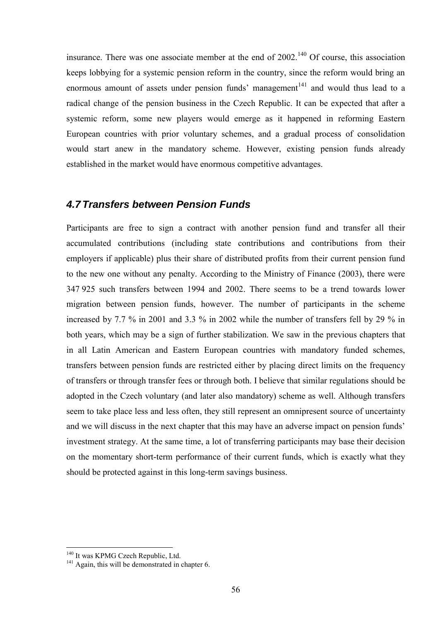insurance. There was one associate member at the end of  $2002$ <sup> $140$ </sup> Of course, this association keeps lobbying for a systemic pension reform in the country, since the reform would bring an enormous amount of assets under pension funds' management $141$  and would thus lead to a radical change of the pension business in the Czech Republic. It can be expected that after a systemic reform, some new players would emerge as it happened in reforming Eastern European countries with prior voluntary schemes, and a gradual process of consolidation would start anew in the mandatory scheme. However, existing pension funds already established in the market would have enormous competitive advantages.

### *4.7 Transfers between Pension Funds*

Participants are free to sign a contract with another pension fund and transfer all their accumulated contributions (including state contributions and contributions from their employers if applicable) plus their share of distributed profits from their current pension fund to the new one without any penalty. According to the Ministry of Finance (2003), there were 347 925 such transfers between 1994 and 2002. There seems to be a trend towards lower migration between pension funds, however. The number of participants in the scheme increased by 7.7 % in 2001 and 3.3 % in 2002 while the number of transfers fell by 29 % in both years, which may be a sign of further stabilization. We saw in the previous chapters that in all Latin American and Eastern European countries with mandatory funded schemes, transfers between pension funds are restricted either by placing direct limits on the frequency of transfers or through transfer fees or through both. I believe that similar regulations should be adopted in the Czech voluntary (and later also mandatory) scheme as well. Although transfers seem to take place less and less often, they still represent an omnipresent source of uncertainty and we will discuss in the next chapter that this may have an adverse impact on pension funds<sup>7</sup> investment strategy. At the same time, a lot of transferring participants may base their decision on the momentary short-term performance of their current funds, which is exactly what they should be protected against in this long-term savings business.

<sup>&</sup>lt;sup>140</sup> It was KPMG Czech Republic, Ltd.  $\frac{141}{2}$  Again, this will be demonstrated in a

<sup>&</sup>lt;sup>141</sup> Again, this will be demonstrated in chapter 6.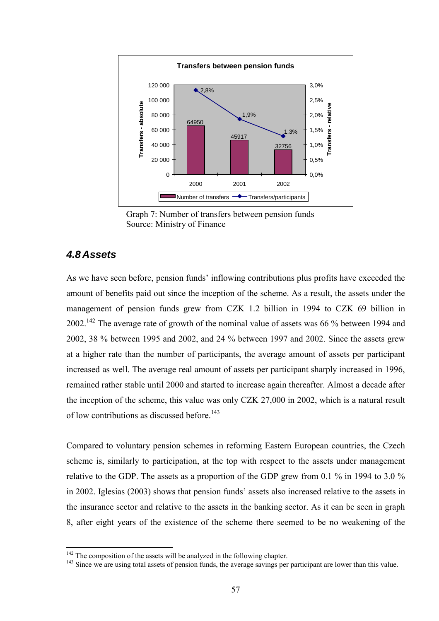

Graph 7: Number of transfers between pension funds Source: Ministry of Finance

### *4.8 Assets*

As we have seen before, pension funds' inflowing contributions plus profits have exceeded the amount of benefits paid out since the inception of the scheme. As a result, the assets under the management of pension funds grew from CZK 1.2 billion in 1994 to CZK 69 billion in 2002.<sup>142</sup> The average rate of growth of the nominal value of assets was 66 % between 1994 and 2002, 38 % between 1995 and 2002, and 24 % between 1997 and 2002. Since the assets grew at a higher rate than the number of participants, the average amount of assets per participant increased as well. The average real amount of assets per participant sharply increased in 1996, remained rather stable until 2000 and started to increase again thereafter. Almost a decade after the inception of the scheme, this value was only CZK 27,000 in 2002, which is a natural result of low contributions as discussed before.<sup>143</sup>

Compared to voluntary pension schemes in reforming Eastern European countries, the Czech scheme is, similarly to participation, at the top with respect to the assets under management relative to the GDP. The assets as a proportion of the GDP grew from 0.1 % in 1994 to 3.0 % in 2002. Iglesias (2003) shows that pension funds' assets also increased relative to the assets in the insurance sector and relative to the assets in the banking sector. As it can be seen in graph 8, after eight years of the existence of the scheme there seemed to be no weakening of the

<sup>&</sup>lt;sup>142</sup> The composition of the assets will be analyzed in the following chapter.

<sup>&</sup>lt;sup>143</sup> Since we are using total assets of pension funds, the average savings per participant are lower than this value.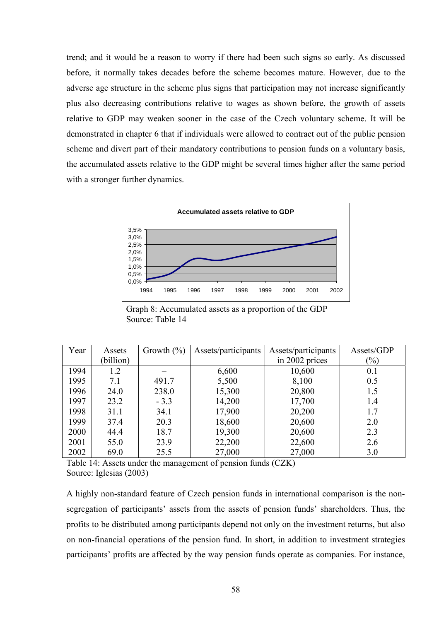trend; and it would be a reason to worry if there had been such signs so early. As discussed before, it normally takes decades before the scheme becomes mature. However, due to the adverse age structure in the scheme plus signs that participation may not increase significantly plus also decreasing contributions relative to wages as shown before, the growth of assets relative to GDP may weaken sooner in the case of the Czech voluntary scheme. It will be demonstrated in chapter 6 that if individuals were allowed to contract out of the public pension scheme and divert part of their mandatory contributions to pension funds on a voluntary basis, the accumulated assets relative to the GDP might be several times higher after the same period with a stronger further dynamics.



Graph 8: Accumulated assets as a proportion of the GDP Source: Table 14

| Year | Assets    | Growth $(\% )$ | Assets/participants | Assets/participants | Assets/GDP                 |
|------|-----------|----------------|---------------------|---------------------|----------------------------|
|      | (billion) |                |                     | in 2002 prices      | $\left(\frac{0}{0}\right)$ |
| 1994 | 1.2       |                | 6,600               | 10,600              | 0.1                        |
| 1995 | 7.1       | 491.7          | 5,500               | 8,100               | 0.5                        |
| 1996 | 24.0      | 238.0          | 15,300              | 20,800              | 1.5                        |
| 1997 | 23.2      | $-3.3$         | 14,200              | 17,700              | 1.4                        |
| 1998 | 31.1      | 34.1           | 17,900              | 20,200              | 1.7                        |
| 1999 | 37.4      | 20.3           | 18,600              | 20,600              | 2.0                        |
| 2000 | 44.4      | 18.7           | 19,300              | 20,600              | 2.3                        |
| 2001 | 55.0      | 23.9           | 22,200              | 22,600              | 2.6                        |
| 2002 | 69.0      | 25.5           | 27,000              | 27,000              | 3.0                        |

Table 14: Assets under the management of pension funds (CZK) Source: Iglesias (2003)

A highly non-standard feature of Czech pension funds in international comparison is the nonsegregation of participants' assets from the assets of pension funds' shareholders. Thus, the profits to be distributed among participants depend not only on the investment returns, but also on non-financial operations of the pension fund. In short, in addition to investment strategies participants' profits are affected by the way pension funds operate as companies. For instance,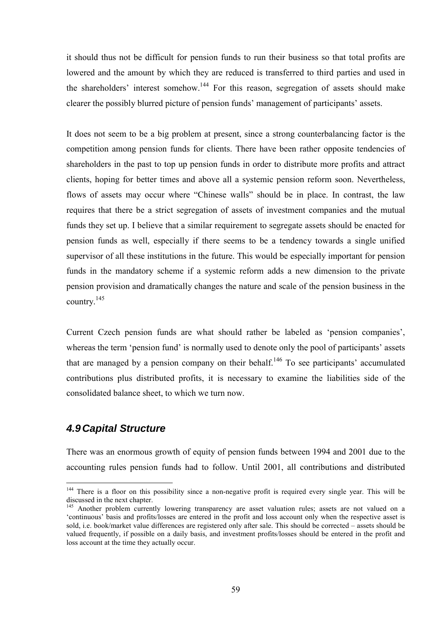it should thus not be difficult for pension funds to run their business so that total profits are lowered and the amount by which they are reduced is transferred to third parties and used in the shareholders' interest somehow.<sup>144</sup> For this reason, segregation of assets should make clearer the possibly blurred picture of pension funds' management of participants' assets.

It does not seem to be a big problem at present, since a strong counterbalancing factor is the competition among pension funds for clients. There have been rather opposite tendencies of shareholders in the past to top up pension funds in order to distribute more profits and attract clients, hoping for better times and above all a systemic pension reform soon. Nevertheless, flows of assets may occur where "Chinese walls" should be in place. In contrast, the law requires that there be a strict segregation of assets of investment companies and the mutual funds they set up. I believe that a similar requirement to segregate assets should be enacted for pension funds as well, especially if there seems to be a tendency towards a single unified supervisor of all these institutions in the future. This would be especially important for pension funds in the mandatory scheme if a systemic reform adds a new dimension to the private pension provision and dramatically changes the nature and scale of the pension business in the country.<sup>1</sup><sup>45</sup>

Current Czech pension funds are what should rather be labeled as 'pension companies', whereas the term 'pension fund' is normally used to denote only the pool of participants' assets that are managed by a pension company on their behalf.<sup>146</sup> To see participants' accumulated contributions plus distributed profits, it is necessary to examine the liabilities side of the consolidated balance sheet, to which we turn now.

### *4.9 Capital Structure*

There was an enormous growth of equity of pension funds between 1994 and 2001 due to the accounting rules pension funds had to follow. Until 2001, all contributions and distributed

<sup>&</sup>lt;sup>144</sup> There is a floor on this possibility since a non-negative profit is required every single year. This will be discussed in the next chapter.

<sup>&</sup>lt;sup>145</sup> Another problem currently lowering transparency are asset valuation rules; assets are not valued on a ëcontinuousí basis and profits/losses are entered in the profit and loss account only when the respective asset is sold, i.e. book/market value differences are registered only after sale. This should be corrected – assets should be valued frequently, if possible on a daily basis, and investment profits/losses should be entered in the profit and loss account at the time they actually occur.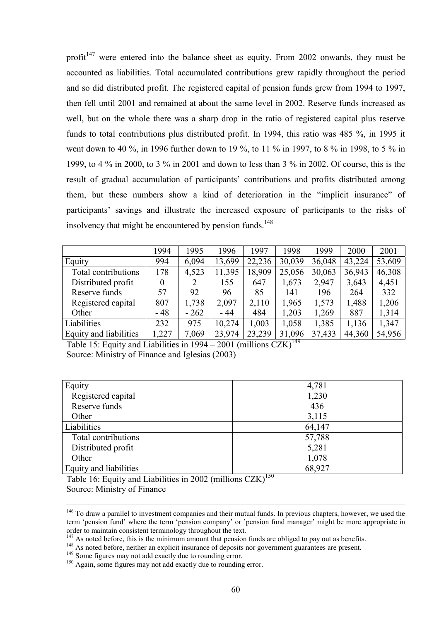profit<sup> $147$ </sup> were entered into the balance sheet as equity. From 2002 onwards, they must be accounted as liabilities. Total accumulated contributions grew rapidly throughout the period and so did distributed profit. The registered capital of pension funds grew from 1994 to 1997, then fell until 2001 and remained at about the same level in 2002. Reserve funds increased as well, but on the whole there was a sharp drop in the ratio of registered capital plus reserve funds to total contributions plus distributed profit. In 1994, this ratio was 485 %, in 1995 it went down to 40 %, in 1996 further down to 19 %, to 11 % in 1997, to 8 % in 1998, to 5 % in 1999, to 4 % in 2000, to 3 % in 2001 and down to less than 3 % in 2002. Of course, this is the result of gradual accumulation of participants' contributions and profits distributed among them, but these numbers show a kind of deterioration in the "implicit insurance" of participants' savings and illustrate the increased exposure of participants to the risks of insolvency that might be encountered by pension funds.<sup>148</sup>

|                        | 1994  | 1995   | 1996   | 997    | 1998   | 1999   | 2000   | 2001   |
|------------------------|-------|--------|--------|--------|--------|--------|--------|--------|
| Equity                 | 994   | 6,094  | 13,699 | 22,236 | 30,039 | 36,048 | 43,224 | 53,609 |
| Total contributions    | 178   | 4,523  | 11,395 | 18,909 | 25,056 | 30,063 | 36,943 | 46,308 |
| Distributed profit     |       |        | 155    | 647    | 1,673  | 2,947  | 3,643  | 4,451  |
| Reserve funds          | 57    | 92     | 96     | 85     | 141    | 196    | 264    | 332    |
| Registered capital     | 807   | 1,738  | 2,097  | 2,110  | 1,965  | 1,573  | 1,488  | 1,206  |
| Other                  | $-48$ | $-262$ | $-44$  | 484    | 1,203  | 1,269  | 887    | 1,314  |
| Liabilities            | 232   | 975    | 10,274 | 1,003  | 1,058  | 1,385  | 1,136  | 1,347  |
| Equity and liabilities | 1,227 | 7,069  | 23,974 | 23,239 | 31,096 | 37,433 | 44,360 | 54,956 |

Table 15: Equity and Liabilities in  $1994 - 2001$  (millions CZK)<sup>149</sup> Source: Ministry of Finance and Iglesias (2003)

| Equity                 | 4,781                              |
|------------------------|------------------------------------|
| Registered capital     | 1,230                              |
| Reserve funds          | 436                                |
| Other                  | 3,115                              |
| Liabilities            | 64,147                             |
| Total contributions    | 57,788                             |
| Distributed profit     | 5,281                              |
| Other                  | 1,078                              |
| Equity and liabilities | 68,927<br>$\overline{\phantom{a}}$ |

Table 16: Equity and Liabilities in 2002 (millions  $CZK$ )<sup>150</sup> Source: Ministry of Finance

<sup>&</sup>lt;sup>146</sup> To draw a parallel to investment companies and their mutual funds. In previous chapters, however, we used the term 'pension fund' where the term 'pension company' or 'pension fund manager' might be more appropriate in order to maintain consistent terminology throughout the text.<br><sup>147</sup> As noted before, this is the minimum amount that pension funds are obliged to pay out as benefits.

<sup>&</sup>lt;sup>148</sup> As noted before, neither an explicit insurance of deposits nor government guarantees are present.<br><sup>149</sup> Some figures may not add exactly due to rounding error.<br><sup>150</sup> Again, some figures may not add exactly due to rou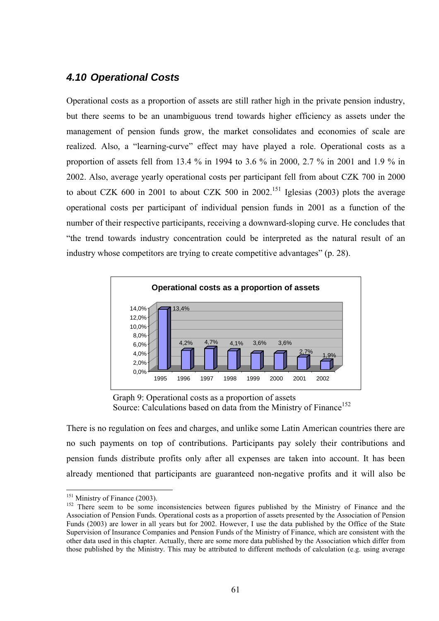## *4.10 Operational Costs*

Operational costs as a proportion of assets are still rather high in the private pension industry, but there seems to be an unambiguous trend towards higher efficiency as assets under the management of pension funds grow, the market consolidates and economies of scale are realized. Also, a "learning-curve" effect may have played a role. Operational costs as a proportion of assets fell from 13.4 % in 1994 to 3.6 % in 2000, 2.7 % in 2001 and 1.9 % in 2002. Also, average yearly operational costs per participant fell from about CZK 700 in 2000 to about CZK 600 in 2001 to about CZK 500 in 2002.<sup>151</sup> Iglesias (2003) plots the average operational costs per participant of individual pension funds in 2001 as a function of the number of their respective participants, receiving a downward-sloping curve. He concludes that ìthe trend towards industry concentration could be interpreted as the natural result of an industry whose competitors are trying to create competitive advantages" (p. 28).



Graph 9: Operational costs as a proportion of assets Source: Calculations based on data from the Ministry of Finance<sup>152</sup>

There is no regulation on fees and charges, and unlike some Latin American countries there are no such payments on top of contributions. Participants pay solely their contributions and pension funds distribute profits only after all expenses are taken into account. It has been already mentioned that participants are guaranteed non-negative profits and it will also be

<sup>&</sup>lt;sup>151</sup> Ministry of Finance (2003).

<sup>&</sup>lt;sup>152</sup> There seem to be some inconsistencies between figures published by the Ministry of Finance and the Association of Pension Funds. Operational costs as a proportion of assets presented by the Association of Pension Funds (2003) are lower in all years but for 2002. However, I use the data published by the Office of the State Supervision of Insurance Companies and Pension Funds of the Ministry of Finance, which are consistent with the other data used in this chapter. Actually, there are some more data published by the Association which differ from those published by the Ministry. This may be attributed to different methods of calculation (e.g. using average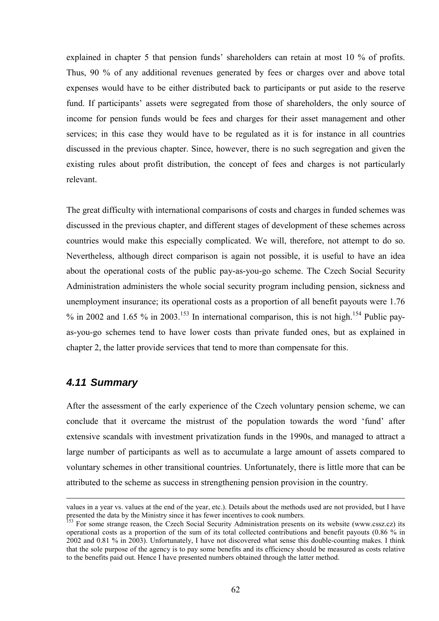explained in chapter 5 that pension funds' shareholders can retain at most 10 % of profits. Thus, 90 % of any additional revenues generated by fees or charges over and above total expenses would have to be either distributed back to participants or put aside to the reserve fund. If participants' assets were segregated from those of shareholders, the only source of income for pension funds would be fees and charges for their asset management and other services; in this case they would have to be regulated as it is for instance in all countries discussed in the previous chapter. Since, however, there is no such segregation and given the existing rules about profit distribution, the concept of fees and charges is not particularly relevant.

The great difficulty with international comparisons of costs and charges in funded schemes was discussed in the previous chapter, and different stages of development of these schemes across countries would make this especially complicated. We will, therefore, not attempt to do so. Nevertheless, although direct comparison is again not possible, it is useful to have an idea about the operational costs of the public pay-as-you-go scheme. The Czech Social Security Administration administers the whole social security program including pension, sickness and unemployment insurance; its operational costs as a proportion of all benefit payouts were 1.76 % in 2002 and 1.65 % in 2003.<sup>153</sup> In international comparison, this is not high.<sup>154</sup> Public payas-you-go schemes tend to have lower costs than private funded ones, but as explained in chapter 2, the latter provide services that tend to more than compensate for this.

### *4.11 Summary*

 $\overline{a}$ 

After the assessment of the early experience of the Czech voluntary pension scheme, we can conclude that it overcame the mistrust of the population towards the word 'fund' after extensive scandals with investment privatization funds in the 1990s, and managed to attract a large number of participants as well as to accumulate a large amount of assets compared to voluntary schemes in other transitional countries. Unfortunately, there is little more that can be attributed to the scheme as success in strengthening pension provision in the country.

values in a year vs. values at the end of the year, etc.). Details about the methods used are not provided, but I have presented the data by the Ministry since it has fewer incentives to cook numbers.

<sup>&</sup>lt;sup>153</sup> For some strange reason, the Czech Social Security Administration presents on its website (www.cssz.cz) its operational costs as a proportion of the sum of its total collected contributions and benefit payouts (0.86 % in 2002 and 0.81 % in 2003). Unfortunately, I have not discovered what sense this double-counting makes. I think that the sole purpose of the agency is to pay some benefits and its efficiency should be measured as costs relative to the benefits paid out. Hence I have presented numbers obtained through the latter method.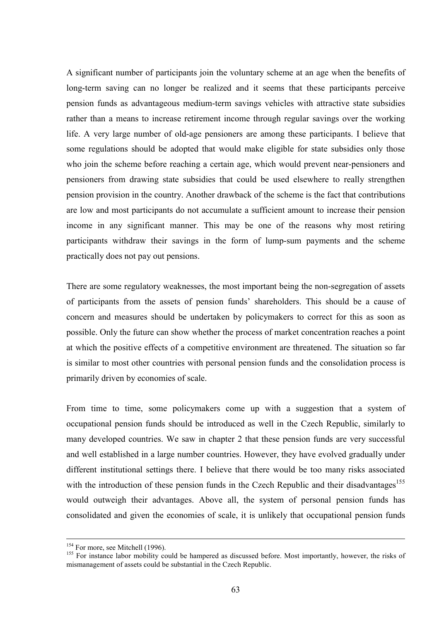A significant number of participants join the voluntary scheme at an age when the benefits of long-term saving can no longer be realized and it seems that these participants perceive pension funds as advantageous medium-term savings vehicles with attractive state subsidies rather than a means to increase retirement income through regular savings over the working life. A very large number of old-age pensioners are among these participants. I believe that some regulations should be adopted that would make eligible for state subsidies only those who join the scheme before reaching a certain age, which would prevent near-pensioners and pensioners from drawing state subsidies that could be used elsewhere to really strengthen pension provision in the country. Another drawback of the scheme is the fact that contributions are low and most participants do not accumulate a sufficient amount to increase their pension income in any significant manner. This may be one of the reasons why most retiring participants withdraw their savings in the form of lump-sum payments and the scheme practically does not pay out pensions.

There are some regulatory weaknesses, the most important being the non-segregation of assets of participants from the assets of pension funds' shareholders. This should be a cause of concern and measures should be undertaken by policymakers to correct for this as soon as possible. Only the future can show whether the process of market concentration reaches a point at which the positive effects of a competitive environment are threatened. The situation so far is similar to most other countries with personal pension funds and the consolidation process is primarily driven by economies of scale.

From time to time, some policymakers come up with a suggestion that a system of occupational pension funds should be introduced as well in the Czech Republic, similarly to many developed countries. We saw in chapter 2 that these pension funds are very successful and well established in a large number countries. However, they have evolved gradually under different institutional settings there. I believe that there would be too many risks associated with the introduction of these pension funds in the Czech Republic and their disadvantages<sup>155</sup> would outweigh their advantages. Above all, the system of personal pension funds has consolidated and given the economies of scale, it is unlikely that occupational pension funds

<sup>&</sup>lt;sup>154</sup> For more, see Mitchell (1996).<br><sup>155</sup> For instance labor mobility could be hampered as discussed before. Most importantly, however, the risks of mismanagement of assets could be substantial in the Czech Republic.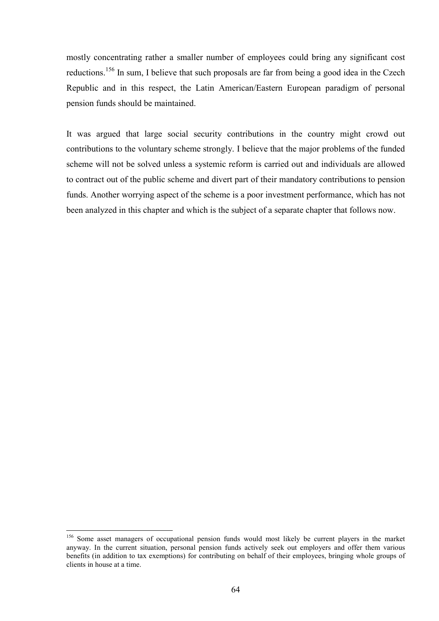mostly concentrating rather a smaller number of employees could bring any significant cost reductions.<sup>1</sup>56 In sum, I believe that such proposals are far from being a good idea in the Czech Republic and in this respect, the Latin American/Eastern European paradigm of personal pension funds should be maintained.

It was argued that large social security contributions in the country might crowd out contributions to the voluntary scheme strongly. I believe that the major problems of the funded scheme will not be solved unless a systemic reform is carried out and individuals are allowed to contract out of the public scheme and divert part of their mandatory contributions to pension funds. Another worrying aspect of the scheme is a poor investment performance, which has not been analyzed in this chapter and which is the subject of a separate chapter that follows now.

<sup>&</sup>lt;sup>156</sup> Some asset managers of occupational pension funds would most likely be current players in the market anyway. In the current situation, personal pension funds actively seek out employers and offer them various benefits (in addition to tax exemptions) for contributing on behalf of their employees, bringing whole groups of clients in house at a time.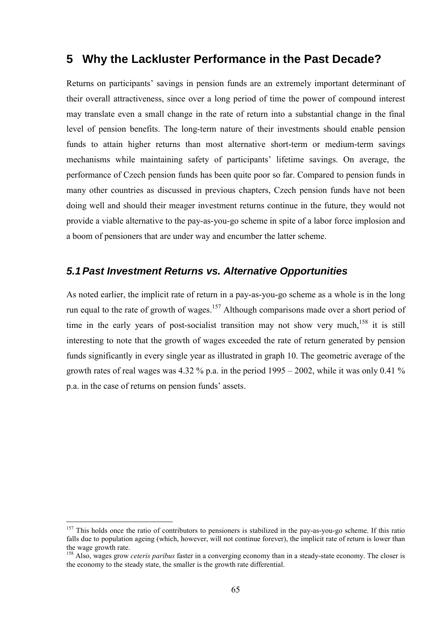# **5 Why the Lackluster Performance in the Past Decade?**

Returns on participants' savings in pension funds are an extremely important determinant of their overall attractiveness, since over a long period of time the power of compound interest may translate even a small change in the rate of return into a substantial change in the final level of pension benefits. The long-term nature of their investments should enable pension funds to attain higher returns than most alternative short-term or medium-term savings mechanisms while maintaining safety of participants' lifetime savings. On average, the performance of Czech pension funds has been quite poor so far. Compared to pension funds in many other countries as discussed in previous chapters, Czech pension funds have not been doing well and should their meager investment returns continue in the future, they would not provide a viable alternative to the pay-as-you-go scheme in spite of a labor force implosion and a boom of pensioners that are under way and encumber the latter scheme.

## *5.1 Past Investment Returns vs. Alternative Opportunities*

As noted earlier, the implicit rate of return in a pay-as-you-go scheme as a whole is in the long run equal to the rate of growth of wages.<sup>157</sup> Although comparisons made over a short period of time in the early years of post-socialist transition may not show very much,<sup>158</sup> it is still interesting to note that the growth of wages exceeded the rate of return generated by pension funds significantly in every single year as illustrated in graph 10. The geometric average of the growth rates of real wages was 4.32 % p.a. in the period  $1995 - 2002$ , while it was only 0.41 % p.a. in the case of returns on pension funds' assets.

<sup>&</sup>lt;sup>157</sup> This holds once the ratio of contributors to pensioners is stabilized in the pay-as-you-go scheme. If this ratio falls due to population ageing (which, however, will not continue forever), the implicit rate of return is lower than the wage growth rate.

<sup>1</sup>58 Also, wages grow *ceteris paribus* faster in a converging economy than in a steady-state economy. The closer is the economy to the steady state, the smaller is the growth rate differential.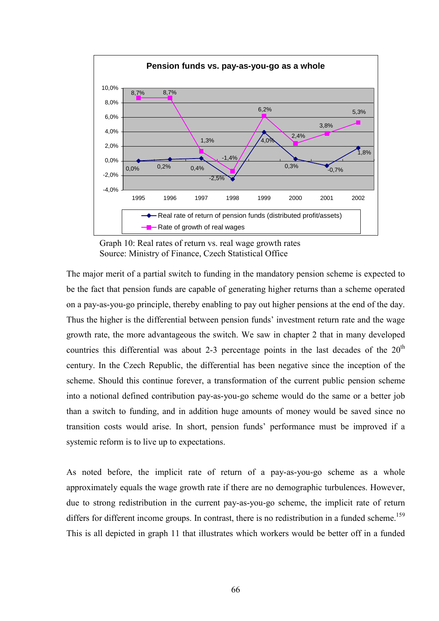

Graph 10: Real rates of return vs. real wage growth rates Source: Ministry of Finance, Czech Statistical Office

The major merit of a partial switch to funding in the mandatory pension scheme is expected to be the fact that pension funds are capable of generating higher returns than a scheme operated on a pay-as-you-go principle, thereby enabling to pay out higher pensions at the end of the day. Thus the higher is the differential between pension funds' investment return rate and the wage growth rate, the more advantageous the switch. We saw in chapter 2 that in many developed countries this differential was about 2-3 percentage points in the last decades of the  $20<sup>th</sup>$ century. In the Czech Republic, the differential has been negative since the inception of the scheme. Should this continue forever, a transformation of the current public pension scheme into a notional defined contribution pay-as-you-go scheme would do the same or a better job than a switch to funding, and in addition huge amounts of money would be saved since no transition costs would arise. In short, pension funds' performance must be improved if a systemic reform is to live up to expectations.

As noted before, the implicit rate of return of a pay-as-you-go scheme as a whole approximately equals the wage growth rate if there are no demographic turbulences. However, due to strong redistribution in the current pay-as-you-go scheme, the implicit rate of return differs for different income groups. In contrast, there is no redistribution in a funded scheme.<sup>159</sup> This is all depicted in graph 11 that illustrates which workers would be better off in a funded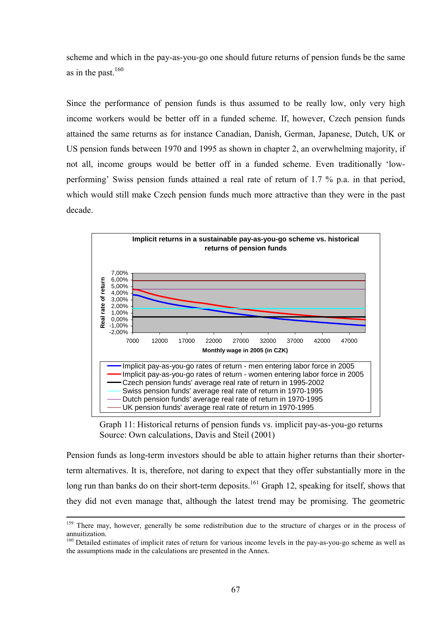scheme and which in the pay-as-you-go one should future returns of pension funds be the same as in the past. $160$ 

Since the performance of pension funds is thus assumed to be really low, only very high income workers would be better off in a funded scheme. If, however, Czech pension funds attained the same returns as for instance Canadian, Danish, German, Japanese, Dutch, UK or US pension funds between 1970 and 1995 as shown in chapter 2, an overwhelming majority, if not all, income groups would be better off in a funded scheme. Even traditionally 'lowperforming' Swiss pension funds attained a real rate of return of 1.7 % p.a. in that period, which would still make Czech pension funds much more attractive than they were in the past decade.



Graph 11: Historical returns of pension funds vs. implicit pay-as-you-go returns Source: Own calculations, Davis and Steil (2001)

Pension funds as long-term investors should be able to attain higher returns than their shorterterm alternatives. It is, therefore, not daring to expect that they offer substantially more in the long run than banks do on their short-term deposits.<sup>161</sup> Graph 12, speaking for itself, shows that they did not even manage that, although the latest trend may be promising. The geometric

<sup>&</sup>lt;sup>159</sup> There may, however, generally be some redistribution due to the structure of charges or in the process of annuitization.

<sup>&</sup>lt;sup>160</sup> Detailed estimates of implicit rates of return for various income levels in the pay-as-you-go scheme as well as the assumptions made in the calculations are presented in the Annex.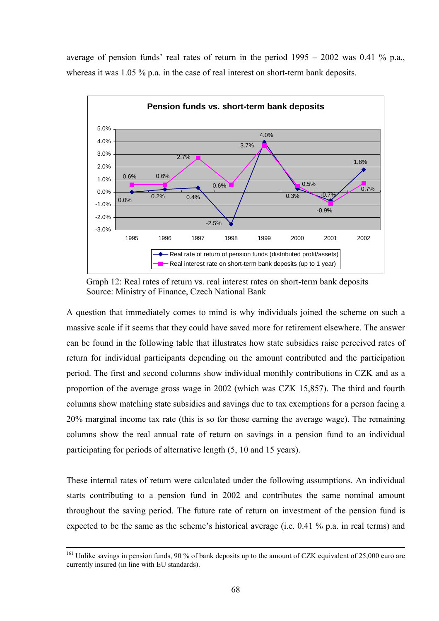average of pension funds' real rates of return in the period  $1995 - 2002$  was 0.41 % p.a., whereas it was 1.05 % p.a. in the case of real interest on short-term bank deposits.



Graph 12: Real rates of return vs. real interest rates on short-term bank deposits Source: Ministry of Finance, Czech National Bank

A question that immediately comes to mind is why individuals joined the scheme on such a massive scale if it seems that they could have saved more for retirement elsewhere. The answer can be found in the following table that illustrates how state subsidies raise perceived rates of return for individual participants depending on the amount contributed and the participation period. The first and second columns show individual monthly contributions in CZK and as a proportion of the average gross wage in 2002 (which was CZK 15,857). The third and fourth columns show matching state subsidies and savings due to tax exemptions for a person facing a 20% marginal income tax rate (this is so for those earning the average wage). The remaining columns show the real annual rate of return on savings in a pension fund to an individual participating for periods of alternative length (5, 10 and 15 years).

These internal rates of return were calculated under the following assumptions. An individual starts contributing to a pension fund in 2002 and contributes the same nominal amount throughout the saving period. The future rate of return on investment of the pension fund is expected to be the same as the scheme's historical average (i.e.  $0.41\%$  p.a. in real terms) and

<sup>&</sup>lt;sup>161</sup> Unlike savings in pension funds, 90 % of bank deposits up to the amount of CZK equivalent of 25,000 euro are currently insured (in line with EU standards).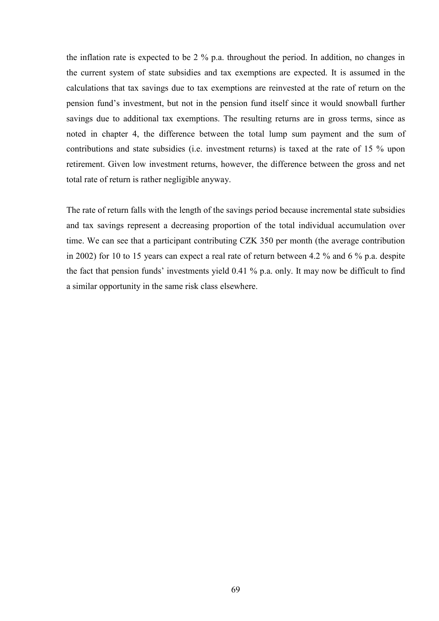the inflation rate is expected to be 2 % p.a. throughout the period. In addition, no changes in the current system of state subsidies and tax exemptions are expected. It is assumed in the calculations that tax savings due to tax exemptions are reinvested at the rate of return on the pension fund's investment, but not in the pension fund itself since it would snowball further savings due to additional tax exemptions. The resulting returns are in gross terms, since as noted in chapter 4, the difference between the total lump sum payment and the sum of contributions and state subsidies (i.e. investment returns) is taxed at the rate of 15 % upon retirement. Given low investment returns, however, the difference between the gross and net total rate of return is rather negligible anyway.

The rate of return falls with the length of the savings period because incremental state subsidies and tax savings represent a decreasing proportion of the total individual accumulation over time. We can see that a participant contributing CZK 350 per month (the average contribution in 2002) for 10 to 15 years can expect a real rate of return between 4.2 % and 6 % p.a. despite the fact that pension funds' investments yield  $0.41\%$  p.a. only. It may now be difficult to find a similar opportunity in the same risk class elsewhere.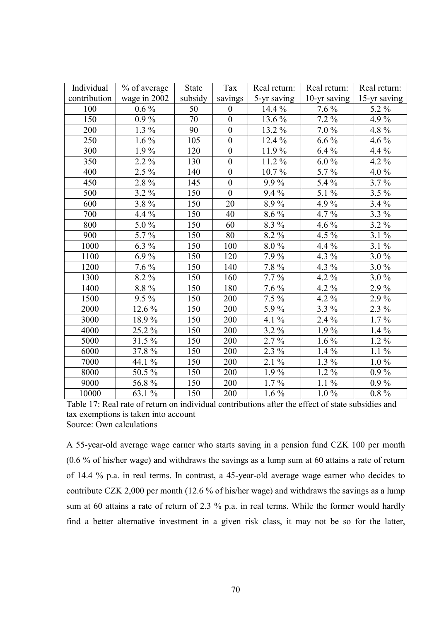| Individual   | % of average    | State   | Tax              | Real return:           | Real return: | Real return:                 |
|--------------|-----------------|---------|------------------|------------------------|--------------|------------------------------|
| contribution | wage in 2002    | subsidy | savings          | 5-yr saving            | 10-yr saving | 15-yr saving                 |
| 100          | $0.6\%$         | 50      | $\boldsymbol{0}$ | 14.4 %                 | $7.6\%$      | 5.2 %                        |
| 150          | $0.9\%$         | 70      | $\boldsymbol{0}$ | 13.6 %                 | 7.2 %        | 4.9%                         |
| 200          | $1.3\%$         | 90      | $\boldsymbol{0}$ | 13.2%                  | 7.0%         | 4.8%                         |
| 250          | $1.6\%$         | 105     | $\boldsymbol{0}$ | 12.4 %                 | $6.6\%$      | $4.6\,\sqrt[6]{\frac{6}{2}}$ |
| 300          | $1.9\%$         | 120     | $\boldsymbol{0}$ | 11.9%                  | $6.4\%$      | 4.4 %                        |
| 350          | $2.2\%$         | 130     | $\overline{0}$   | 11.2%                  | $6.0\%$      | 4.2 %                        |
| 400          | 2.5 %           | 140     | $\boldsymbol{0}$ | 10.7%                  | 5.7%         | 4.0%                         |
| 450          | 2.8%            | 145     | $\boldsymbol{0}$ | 9.9%                   | 5.4 %        | 3.7%                         |
| 500          | $3.2\%$         | 150     | $\overline{0}$   | $9.4\%$                | 5.1 %        | 3.5 %                        |
| 600          | 3.8%            | 150     | 20               | 8.9%                   | 4.9%         | $3.4\%$                      |
| 700          | 4.4 %           | 150     | 40               | $8.6\%$                | 4.7%         | 3.3 %                        |
| 800          | 5.0%            | 150     | 60               | 8.3 %                  | 4.6 %        | 3.2%                         |
| 900          | 5.7%            | 150     | 80               | 8.2 %                  | 4.5 %        | $3.1\%$                      |
| 1000         | $6.3\%$         | 150     | 100              | 8.0%                   | 4.4 %        | $3.1\%$                      |
| 1100         | $6.9\%$         | 150     | 120              | 7.9%                   | 4.3 %        | $3.0\%$                      |
| 1200         | $7.6\%$         | 150     | 140              | 7.8 %                  | 4.3 $%$      | $3.0\%$                      |
| 1300         | 8.2%            | 150     | 160              | $7.7\%$                | 4.2 %        | $3.0\%$                      |
| 1400         | 8.8%            | 150     | 180              | $7.6\%$                | 4.2 %        | 2.9%                         |
| 1500         | $9.5\%$         | 150     | 200              | $7.5\%$                | 4.2 %        | $2.9\%$                      |
| 2000         | 12.6 %          | 150     | 200              | 5.9%                   | $3.3\%$      | 2.3 %                        |
| 3000         | 18.9%           | 150     | 200              | 4.1 %                  | 2.4 %        | $1.7\%$                      |
| 4000         | 25.2 %          | 150     | 200              | 3.2 %                  | 1.9%         | $1.4\%$                      |
| 5000         | 31.5%           | 150     | 200              | $2.7\%$                | $1.6\%$      | $1.2\%$                      |
| 6000         | 37.8%           | 150     | 200              | $2.3\%$                | $1.4\%$      | $1.1\%$                      |
| 7000         | 44.1 %          | 150     | 200              | $2.1 \%$               | 1.3 %        | $1.0\%$                      |
| 8000         | 50.5 %          | 150     | 200              | $1.9\%$                | $1.2 \%$     | $0.9\%$                      |
| 9000         | 56.8%           | 150     | 200              | $1.7\%$                | $1.1\%$      | $0.9\%$                      |
| 10000        | 63.1 $\sqrt{6}$ | 150     | 200              | $1.6\,\sqrt[6]{\cdot}$ | $1.0\%$      | $0.8\ \%$                    |

Table 17: Real rate of return on individual contributions after the effect of state subsidies and tax exemptions is taken into account Source: Own calculations

A 55-year-old average wage earner who starts saving in a pension fund CZK 100 per month (0.6 % of his/her wage) and withdraws the savings as a lump sum at 60 attains a rate of return of 14.4 % p.a. in real terms. In contrast, a 45-year-old average wage earner who decides to contribute CZK 2,000 per month (12.6 % of his/her wage) and withdraws the savings as a lump sum at 60 attains a rate of return of 2.3 % p.a. in real terms. While the former would hardly find a better alternative investment in a given risk class, it may not be so for the latter,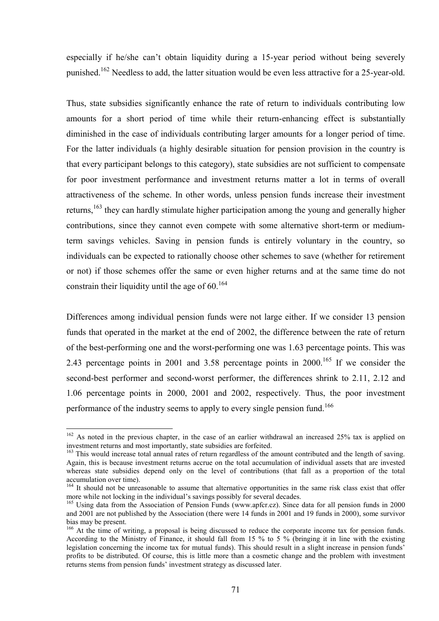especially if he/she can't obtain liquidity during a 15-year period without being severely punished.<sup>162</sup> Needless to add, the latter situation would be even less attractive for a 25-year-old.

Thus, state subsidies significantly enhance the rate of return to individuals contributing low amounts for a short period of time while their return-enhancing effect is substantially diminished in the case of individuals contributing larger amounts for a longer period of time. For the latter individuals (a highly desirable situation for pension provision in the country is that every participant belongs to this category), state subsidies are not sufficient to compensate for poor investment performance and investment returns matter a lot in terms of overall attractiveness of the scheme. In other words, unless pension funds increase their investment returns,<sup>163</sup> they can hardly stimulate higher participation among the young and generally higher contributions, since they cannot even compete with some alternative short-term or mediumterm savings vehicles. Saving in pension funds is entirely voluntary in the country, so individuals can be expected to rationally choose other schemes to save (whether for retirement or not) if those schemes offer the same or even higher returns and at the same time do not constrain their liquidity until the age of  $60^{164}$ 

Differences among individual pension funds were not large either. If we consider 13 pension funds that operated in the market at the end of 2002, the difference between the rate of return of the best-performing one and the worst-performing one was 1.63 percentage points. This was 2.43 percentage points in 2001 and 3.58 percentage points in 2000.<sup>165</sup> If we consider the second-best performer and second-worst performer, the differences shrink to 2.11, 2.12 and 1.06 percentage points in 2000, 2001 and 2002, respectively. Thus, the poor investment performance of the industry seems to apply to every single pension fund.<sup>166</sup>

<sup>&</sup>lt;sup>162</sup> As noted in the previous chapter, in the case of an earlier withdrawal an increased 25% tax is applied on investment returns and most importantly, state subsidies are forfeited.

<sup>&</sup>lt;sup>163</sup> This would increase total annual rates of return regardless of the amount contributed and the length of saving. Again, this is because investment returns accrue on the total accumulation of individual assets that are invested whereas state subsidies depend only on the level of contributions (that fall as a proportion of the total accumulation over time).

<sup>&</sup>lt;sup>164</sup> It should not be unreasonable to assume that alternative opportunities in the same risk class exist that offer more while not locking in the individual's savings possibly for several decades.

<sup>&</sup>lt;sup>165</sup> Using data from the Association of Pension Funds (www.apfcr.cz). Since data for all pension funds in 2000 and 2001 are not published by the Association (there were 14 funds in 2001 and 19 funds in 2000), some survivor bias may be present.

<sup>&</sup>lt;sup>166</sup> At the time of writing, a proposal is being discussed to reduce the corporate income tax for pension funds. According to the Ministry of Finance, it should fall from 15 % to 5 % (bringing it in line with the existing legislation concerning the income tax for mutual funds). This should result in a slight increase in pension funds<sup>7</sup> profits to be distributed. Of course, this is little more than a cosmetic change and the problem with investment returns stems from pension funds' investment strategy as discussed later.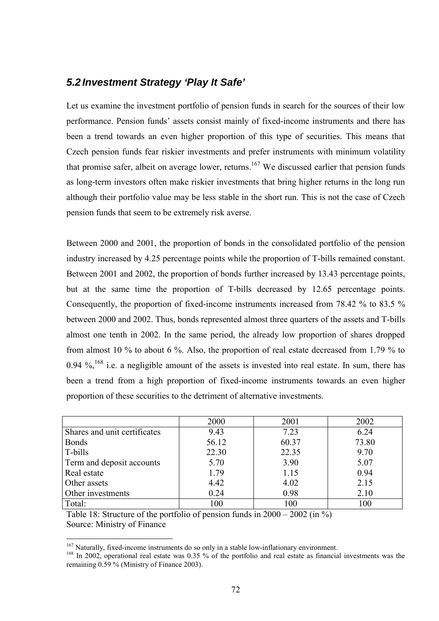#### *5.2 Investment Strategy 'Play It Safe'*

Let us examine the investment portfolio of pension funds in search for the sources of their low performance. Pension funds' assets consist mainly of fixed-income instruments and there has been a trend towards an even higher proportion of this type of securities. This means that Czech pension funds fear riskier investments and prefer instruments with minimum volatility that promise safer, albeit on average lower, returns.<sup>167</sup> We discussed earlier that pension funds as long-term investors often make riskier investments that bring higher returns in the long run although their portfolio value may be less stable in the short run. This is not the case of Czech pension funds that seem to be extremely risk averse.

Between 2000 and 2001, the proportion of bonds in the consolidated portfolio of the pension industry increased by 4.25 percentage points while the proportion of T-bills remained constant. Between 2001 and 2002, the proportion of bonds further increased by 13.43 percentage points, but at the same time the proportion of T-bills decreased by 12.65 percentage points. Consequently, the proportion of fixed-income instruments increased from 78.42 % to 83.5 % between 2000 and 2002. Thus, bonds represented almost three quarters of the assets and T-bills almost one tenth in 2002. In the same period, the already low proportion of shares dropped from almost 10 % to about 6 %. Also, the proportion of real estate decreased from 1.79 % to 0.94  $\%$ , <sup>168</sup> i.e. a negligible amount of the assets is invested into real estate. In sum, there has been a trend from a high proportion of fixed-income instruments towards an even higher proportion of these securities to the detriment of alternative investments.

|                              | 2000  | 2001  | 2002  |
|------------------------------|-------|-------|-------|
| Shares and unit certificates | 9.43  | 7.23  | 6.24  |
| <b>Bonds</b>                 | 56.12 | 60.37 | 73.80 |
| T-bills                      | 22.30 | 22.35 | 9.70  |
| Term and deposit accounts    | 5.70  | 3.90  | 5.07  |
| Real estate                  | 1.79  | 1.15  | 0.94  |
| Other assets                 | 4.42  | 4.02  | 2.15  |
| Other investments            | 0.24  | 0.98  | 2.10  |
| Total:                       | 100   | 100   | 100   |

Table 18: Structure of the portfolio of pension funds in  $2000 - 2002$  (in %) Source: Ministry of Finance

<sup>&</sup>lt;sup>167</sup> Naturally, fixed-income instruments do so only in a stable low-inflationary environment.

<sup>&</sup>lt;sup>168</sup> In 2002, operational real estate was 0.35 % of the portfolio and real estate as financial investments was the remaining 0.59 % (Ministry of Finance 2003).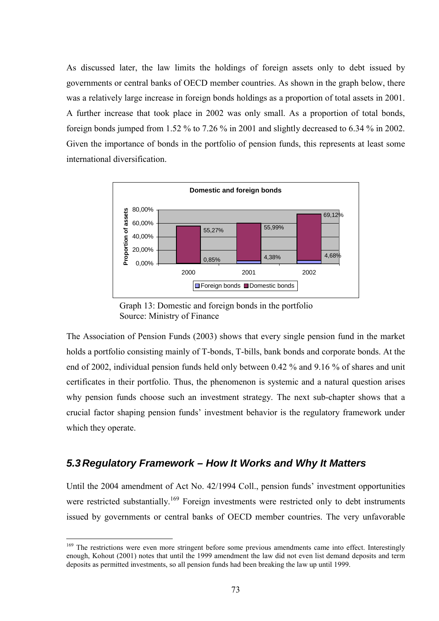As discussed later, the law limits the holdings of foreign assets only to debt issued by governments or central banks of OECD member countries. As shown in the graph below, there was a relatively large increase in foreign bonds holdings as a proportion of total assets in 2001. A further increase that took place in 2002 was only small. As a proportion of total bonds, foreign bonds jumped from 1.52 % to 7.26 % in 2001 and slightly decreased to 6.34 % in 2002. Given the importance of bonds in the portfolio of pension funds, this represents at least some international diversification.



Graph 13: Domestic and foreign bonds in the portfolio Source: Ministry of Finance

The Association of Pension Funds (2003) shows that every single pension fund in the market holds a portfolio consisting mainly of T-bonds, T-bills, bank bonds and corporate bonds. At the end of 2002, individual pension funds held only between 0.42 % and 9.16 % of shares and unit certificates in their portfolio. Thus, the phenomenon is systemic and a natural question arises why pension funds choose such an investment strategy. The next sub-chapter shows that a crucial factor shaping pension funds' investment behavior is the regulatory framework under which they operate.

#### *5.3 Regulatory Framework – How It Works and Why It Matters*

 $\overline{a}$ 

Until the 2004 amendment of Act No. 42/1994 Coll., pension funds' investment opportunities were restricted substantially.<sup>169</sup> Foreign investments were restricted only to debt instruments issued by governments or central banks of OECD member countries. The very unfavorable

<sup>&</sup>lt;sup>169</sup> The restrictions were even more stringent before some previous amendments came into effect. Interestingly enough, Kohout (2001) notes that until the 1999 amendment the law did not even list demand deposits and term deposits as permitted investments, so all pension funds had been breaking the law up until 1999.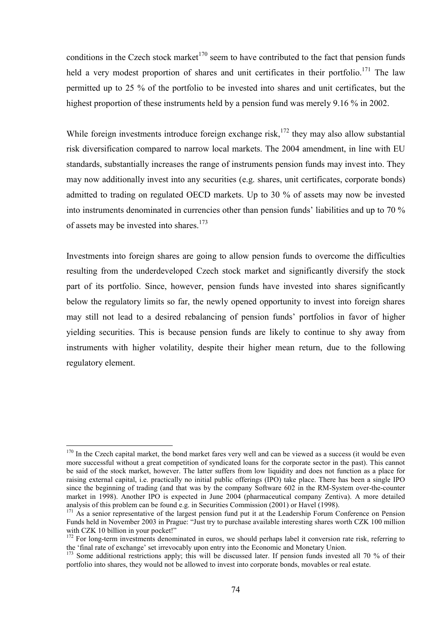conditions in the Czech stock market<sup>170</sup> seem to have contributed to the fact that pension funds held a very modest proportion of shares and unit certificates in their portfolio.<sup>171</sup> The law permitted up to 25 % of the portfolio to be invested into shares and unit certificates, but the highest proportion of these instruments held by a pension fund was merely 9.16 % in 2002.

While foreign investments introduce foreign exchange risk,<sup>172</sup> they may also allow substantial risk diversification compared to narrow local markets. The 2004 amendment, in line with EU standards, substantially increases the range of instruments pension funds may invest into. They may now additionally invest into any securities (e.g. shares, unit certificates, corporate bonds) admitted to trading on regulated OECD markets. Up to 30 % of assets may now be invested into instruments denominated in currencies other than pension funds' liabilities and up to 70 % of assets may be invested into shares.<sup>173</sup>

Investments into foreign shares are going to allow pension funds to overcome the difficulties resulting from the underdeveloped Czech stock market and significantly diversify the stock part of its portfolio. Since, however, pension funds have invested into shares significantly below the regulatory limits so far, the newly opened opportunity to invest into foreign shares may still not lead to a desired rebalancing of pension funds' portfolios in favor of higher yielding securities. This is because pension funds are likely to continue to shy away from instruments with higher volatility, despite their higher mean return, due to the following regulatory element.

 $170$  In the Czech capital market, the bond market fares very well and can be viewed as a success (it would be even more successful without a great competition of syndicated loans for the corporate sector in the past). This cannot be said of the stock market, however. The latter suffers from low liquidity and does not function as a place for raising external capital, i.e. practically no initial public offerings (IPO) take place. There has been a single IPO since the beginning of trading (and that was by the company Software 602 in the RM-System over-the-counter market in 1998). Another IPO is expected in June 2004 (pharmaceutical company Zentiva). A more detailed analysis of this problem can be found e.g. in Securities Commission  $(2001)$  or Havel  $(1998)$ .

<sup>&</sup>lt;sup>171</sup> As a senior representative of the largest pension fund put it at the Leadership Forum Conference on Pension Funds held in November 2003 in Prague: "Just try to purchase available interesting shares worth CZK 100 million with CZK 10 billion in your pocket!"<br><sup>172</sup> For long-term investments denominated in euros, we should perhaps label it conversion rate risk, referring to

the 'final rate of exchange' set irrevocably upon entry into the Economic and Monetary Union.

 $173$  Some additional restrictions apply; this will be discussed later. If pension funds invested all 70 % of their portfolio into shares, they would not be allowed to invest into corporate bonds, movables or real estate.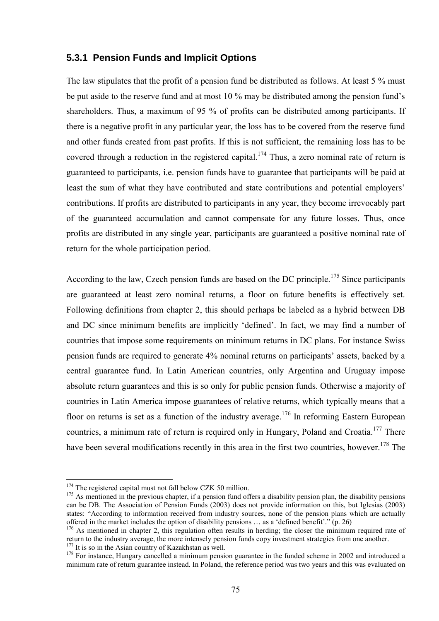#### **5.3.1 Pension Funds and Implicit Options**

The law stipulates that the profit of a pension fund be distributed as follows. At least 5 % must be put aside to the reserve fund and at most 10 % may be distributed among the pension fund's shareholders. Thus, a maximum of 95 % of profits can be distributed among participants. If there is a negative profit in any particular year, the loss has to be covered from the reserve fund and other funds created from past profits. If this is not sufficient, the remaining loss has to be covered through a reduction in the registered capital.<sup>174</sup> Thus, a zero nominal rate of return is guaranteed to participants, i.e. pension funds have to guarantee that participants will be paid at least the sum of what they have contributed and state contributions and potential employers' contributions. If profits are distributed to participants in any year, they become irrevocably part of the guaranteed accumulation and cannot compensate for any future losses. Thus, once profits are distributed in any single year, participants are guaranteed a positive nominal rate of return for the whole participation period.

According to the law, Czech pension funds are based on the DC principle.<sup>175</sup> Since participants are guaranteed at least zero nominal returns, a floor on future benefits is effectively set. Following definitions from chapter 2, this should perhaps be labeled as a hybrid between DB and DC since minimum benefits are implicitly 'defined'. In fact, we may find a number of countries that impose some requirements on minimum returns in DC plans. For instance Swiss pension funds are required to generate 4% nominal returns on participants' assets, backed by a central guarantee fund. In Latin American countries, only Argentina and Uruguay impose absolute return guarantees and this is so only for public pension funds. Otherwise a majority of countries in Latin America impose guarantees of relative returns, which typically means that a floor on returns is set as a function of the industry average.<sup>176</sup> In reforming Eastern European countries, a minimum rate of return is required only in Hungary, Poland and Croatia.<sup>177</sup> There have been several modifications recently in this area in the first two countries, however.<sup>178</sup> The

<sup>&</sup>lt;sup>174</sup> The registered capital must not fall below CZK 50 million.<br><sup>175</sup> As mentioned in the previous chapter, if a pension fund offers a disability pension plan, the disability pensions can be DB. The Association of Pension Funds (2003) does not provide information on this, but Iglesias (2003) states: "According to information received from industry sources, none of the pension plans which are actually offered in the market includes the option of disability pensions  $\dots$  as a 'defined benefit'." (p. 26)

<sup>&</sup>lt;sup>176</sup> As mentioned in chapter 2, this regulation often results in herding; the closer the minimum required rate of return to the industry average, the more intensely pension funds copy investment strategies from one another.<br><sup>177</sup> It is so in the Asian country of Kazakhstan as well.

 $178$  For instance, Hungary cancelled a minimum pension guarantee in the funded scheme in 2002 and introduced a minimum rate of return guarantee instead. In Poland, the reference period was two years and this was evaluated on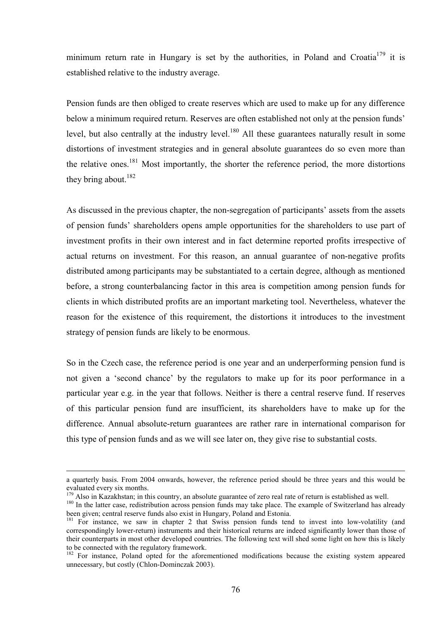minimum return rate in Hungary is set by the authorities, in Poland and Croatia<sup>179</sup> it is established relative to the industry average.

Pension funds are then obliged to create reserves which are used to make up for any difference below a minimum required return. Reserves are often established not only at the pension funds' level, but also centrally at the industry level.<sup>180</sup> All these guarantees naturally result in some distortions of investment strategies and in general absolute guarantees do so even more than the relative ones.<sup>181</sup> Most importantly, the shorter the reference period, the more distortions they bring about. $182$ 

As discussed in the previous chapter, the non-segregation of participants' assets from the assets of pension fundsí shareholders opens ample opportunities for the shareholders to use part of investment profits in their own interest and in fact determine reported profits irrespective of actual returns on investment. For this reason, an annual guarantee of non-negative profits distributed among participants may be substantiated to a certain degree, although as mentioned before, a strong counterbalancing factor in this area is competition among pension funds for clients in which distributed profits are an important marketing tool. Nevertheless, whatever the reason for the existence of this requirement, the distortions it introduces to the investment strategy of pension funds are likely to be enormous.

So in the Czech case, the reference period is one year and an underperforming pension fund is not given a 'second chance' by the regulators to make up for its poor performance in a particular year e.g. in the year that follows. Neither is there a central reserve fund. If reserves of this particular pension fund are insufficient, its shareholders have to make up for the difference. Annual absolute-return guarantees are rather rare in international comparison for this type of pension funds and as we will see later on, they give rise to substantial costs.

a quarterly basis. From 2004 onwards, however, the reference period should be three years and this would be evaluated every six months.<br><sup>179</sup> Also in Kazakhstan; in this country, an absolute guarantee of zero real rate of return is established as well.

<sup>&</sup>lt;sup>180</sup> In the latter case, redistribution across pension funds may take place. The example of Switzerland has already been given; central reserve funds also exist in Hungary, Poland and Estonia.

<sup>&</sup>lt;sup>181</sup> For instance, we saw in chapter 2 that Swiss pension funds tend to invest into low-volatility (and correspondingly lower-return) instruments and their historical returns are indeed significantly lower than those of their counterparts in most other developed countries. The following text will shed some light on how this is likely to be connected with the regulatory framework.

<sup>&</sup>lt;sup>182</sup> For instance, Poland opted for the aforementioned modifications because the existing system appeared unnecessary, but costly (Chlon-Dominczak 2003).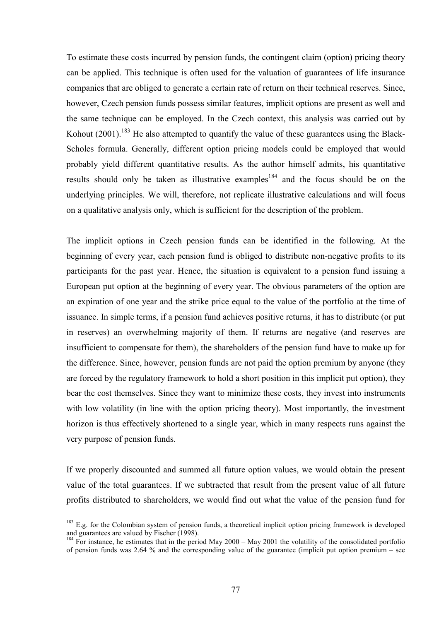To estimate these costs incurred by pension funds, the contingent claim (option) pricing theory can be applied. This technique is often used for the valuation of guarantees of life insurance companies that are obliged to generate a certain rate of return on their technical reserves. Since, however, Czech pension funds possess similar features, implicit options are present as well and the same technique can be employed. In the Czech context, this analysis was carried out by Kohout (2001).<sup>183</sup> He also attempted to quantify the value of these guarantees using the Black-Scholes formula. Generally, different option pricing models could be employed that would probably yield different quantitative results. As the author himself admits, his quantitative results should only be taken as illustrative examples<sup>184</sup> and the focus should be on the underlying principles. We will, therefore, not replicate illustrative calculations and will focus on a qualitative analysis only, which is sufficient for the description of the problem.

The implicit options in Czech pension funds can be identified in the following. At the beginning of every year, each pension fund is obliged to distribute non-negative profits to its participants for the past year. Hence, the situation is equivalent to a pension fund issuing a European put option at the beginning of every year. The obvious parameters of the option are an expiration of one year and the strike price equal to the value of the portfolio at the time of issuance. In simple terms, if a pension fund achieves positive returns, it has to distribute (or put in reserves) an overwhelming majority of them. If returns are negative (and reserves are insufficient to compensate for them), the shareholders of the pension fund have to make up for the difference. Since, however, pension funds are not paid the option premium by anyone (they are forced by the regulatory framework to hold a short position in this implicit put option), they bear the cost themselves. Since they want to minimize these costs, they invest into instruments with low volatility (in line with the option pricing theory). Most importantly, the investment horizon is thus effectively shortened to a single year, which in many respects runs against the very purpose of pension funds.

If we properly discounted and summed all future option values, we would obtain the present value of the total guarantees. If we subtracted that result from the present value of all future profits distributed to shareholders, we would find out what the value of the pension fund for

<sup>&</sup>lt;sup>183</sup> E.g. for the Colombian system of pension funds, a theoretical implicit option pricing framework is developed and guarantees are valued by Fischer  $(1998)$ .

 $184$  For instance, he estimates that in the period May 2000 – May 2001 the volatility of the consolidated portfolio of pension funds was 2.64 % and the corresponding value of the guarantee (implicit put option premium  $-$  see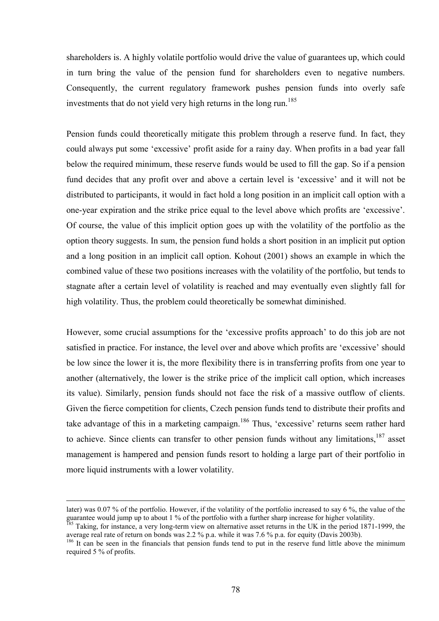shareholders is. A highly volatile portfolio would drive the value of guarantees up, which could in turn bring the value of the pension fund for shareholders even to negative numbers. Consequently, the current regulatory framework pushes pension funds into overly safe investments that do not yield very high returns in the long run.<sup>185</sup>

Pension funds could theoretically mitigate this problem through a reserve fund. In fact, they could always put some 'excessive' profit aside for a rainy day. When profits in a bad year fall below the required minimum, these reserve funds would be used to fill the gap. So if a pension fund decides that any profit over and above a certain level is 'excessive' and it will not be distributed to participants, it would in fact hold a long position in an implicit call option with a one-year expiration and the strike price equal to the level above which profits are 'excessive'. Of course, the value of this implicit option goes up with the volatility of the portfolio as the option theory suggests. In sum, the pension fund holds a short position in an implicit put option and a long position in an implicit call option. Kohout (2001) shows an example in which the combined value of these two positions increases with the volatility of the portfolio, but tends to stagnate after a certain level of volatility is reached and may eventually even slightly fall for high volatility. Thus, the problem could theoretically be somewhat diminished.

However, some crucial assumptions for the 'excessive profits approach' to do this job are not satisfied in practice. For instance, the level over and above which profits are 'excessive' should be low since the lower it is, the more flexibility there is in transferring profits from one year to another (alternatively, the lower is the strike price of the implicit call option, which increases its value). Similarly, pension funds should not face the risk of a massive outflow of clients. Given the fierce competition for clients, Czech pension funds tend to distribute their profits and take advantage of this in a marketing campaign.<sup>186</sup> Thus, 'excessive' returns seem rather hard to achieve. Since clients can transfer to other pension funds without any limitations.<sup>187</sup> asset management is hampered and pension funds resort to holding a large part of their portfolio in more liquid instruments with a lower volatility.

later) was 0.07 % of the portfolio. However, if the volatility of the portfolio increased to say 6 %, the value of the guarantee would jump up to about 1 % of the portfolio with a further sharp increase for higher volatility.<br><sup>185</sup> Taking, for instance, a very long-term view on alternative asset returns in the UK in the period 1871-1999, t

average real rate of return on bonds was 2.2 % p.a. while it was 7.6 % p.a. for equity (Davis 2003b).

<sup>&</sup>lt;sup>186</sup> It can be seen in the financials that pension funds tend to put in the reserve fund little above the minimum required 5 % of profits.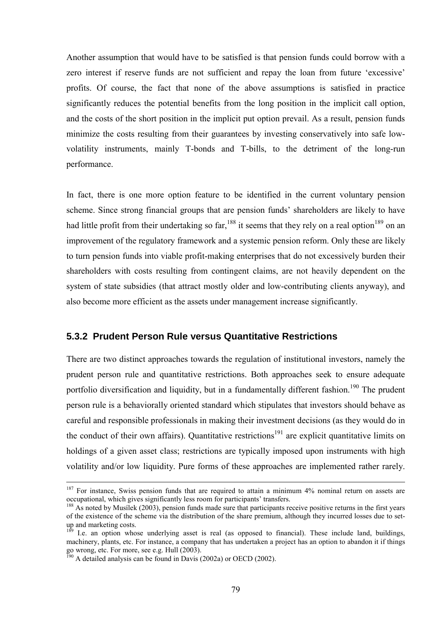Another assumption that would have to be satisfied is that pension funds could borrow with a zero interest if reserve funds are not sufficient and repay the loan from future 'excessive' profits. Of course, the fact that none of the above assumptions is satisfied in practice significantly reduces the potential benefits from the long position in the implicit call option, and the costs of the short position in the implicit put option prevail. As a result, pension funds minimize the costs resulting from their guarantees by investing conservatively into safe lowvolatility instruments, mainly T-bonds and T-bills, to the detriment of the long-run performance.

In fact, there is one more option feature to be identified in the current voluntary pension scheme. Since strong financial groups that are pension funds' shareholders are likely to have had little profit from their undertaking so far,<sup>188</sup> it seems that they rely on a real option<sup>189</sup> on an improvement of the regulatory framework and a systemic pension reform. Only these are likely to turn pension funds into viable profit-making enterprises that do not excessively burden their shareholders with costs resulting from contingent claims, are not heavily dependent on the system of state subsidies (that attract mostly older and low-contributing clients anyway), and also become more efficient as the assets under management increase significantly.

#### **5.3.2 Prudent Person Rule versus Quantitative Restrictions**

There are two distinct approaches towards the regulation of institutional investors, namely the prudent person rule and quantitative restrictions. Both approaches seek to ensure adequate portfolio diversification and liquidity, but in a fundamentally different fashion.<sup>190</sup> The prudent person rule is a behaviorally oriented standard which stipulates that investors should behave as careful and responsible professionals in making their investment decisions (as they would do in the conduct of their own affairs). Quantitative restrictions<sup>191</sup> are explicit quantitative limits on holdings of a given asset class; restrictions are typically imposed upon instruments with high volatility and/or low liquidity. Pure forms of these approaches are implemented rather rarely.

<sup>&</sup>lt;sup>187</sup> For instance, Swiss pension funds that are required to attain a minimum 4% nominal return on assets are occupational, which gives significantly less room for participants' transfers.

<sup>&</sup>lt;sup>188</sup> As noted by Musílek (2003), pension funds made sure that participants receive positive returns in the first years of the existence of the scheme via the distribution of the share premium, although they incurred losses due to setup and marketing costs.

<sup>&</sup>lt;sup>189</sup> I.e. an option whose underlying asset is real (as opposed to financial). These include land, buildings, machinery, plants, etc. For instance, a company that has undertaken a project has an option to abandon it if things go wrong, etc. For more, see e.g. Hull (2003).

 $190$  A detailed analysis can be found in Davis (2002a) or OECD (2002).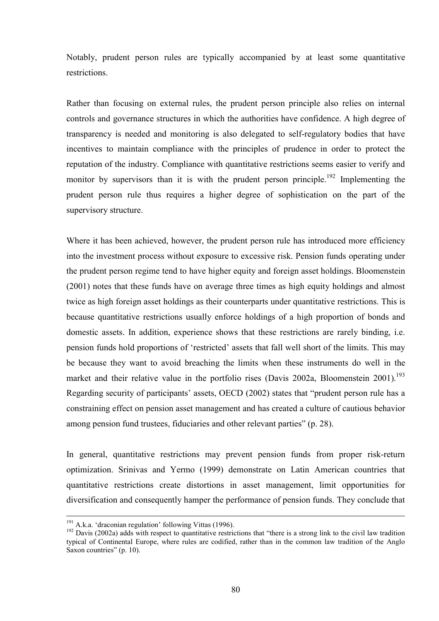Notably, prudent person rules are typically accompanied by at least some quantitative restrictions.

Rather than focusing on external rules, the prudent person principle also relies on internal controls and governance structures in which the authorities have confidence. A high degree of transparency is needed and monitoring is also delegated to self-regulatory bodies that have incentives to maintain compliance with the principles of prudence in order to protect the reputation of the industry. Compliance with quantitative restrictions seems easier to verify and monitor by supervisors than it is with the prudent person principle.<sup>192</sup> Implementing the prudent person rule thus requires a higher degree of sophistication on the part of the supervisory structure.

Where it has been achieved, however, the prudent person rule has introduced more efficiency into the investment process without exposure to excessive risk. Pension funds operating under the prudent person regime tend to have higher equity and foreign asset holdings. Bloomenstein (2001) notes that these funds have on average three times as high equity holdings and almost twice as high foreign asset holdings as their counterparts under quantitative restrictions. This is because quantitative restrictions usually enforce holdings of a high proportion of bonds and domestic assets. In addition, experience shows that these restrictions are rarely binding, i.e. pension funds hold proportions of 'restricted' assets that fall well short of the limits. This may be because they want to avoid breaching the limits when these instruments do well in the market and their relative value in the portfolio rises (Davis 2002a, Bloomenstein  $2001$ ).<sup>193</sup> Regarding security of participants' assets, OECD (2002) states that "prudent person rule has a constraining effect on pension asset management and has created a culture of cautious behavior among pension fund trustees, fiduciaries and other relevant parties" (p. 28).

In general, quantitative restrictions may prevent pension funds from proper risk-return optimization. Srinivas and Yermo (1999) demonstrate on Latin American countries that quantitative restrictions create distortions in asset management, limit opportunities for diversification and consequently hamper the performance of pension funds. They conclude that

 $191$  A.k.a. 'draconian regulation' following Vittas (1996).

<sup>&</sup>lt;sup>192</sup> Davis (2002a) adds with respect to quantitative restrictions that "there is a strong link to the civil law tradition typical of Continental Europe, where rules are codified, rather than in the common law tradition of the Anglo Saxon countries"  $(p. 10)$ .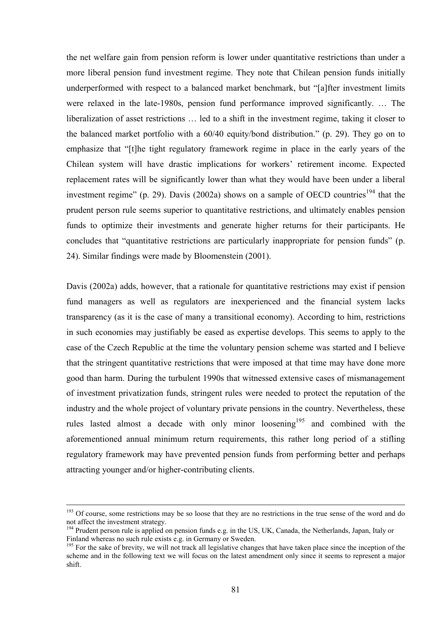the net welfare gain from pension reform is lower under quantitative restrictions than under a more liberal pension fund investment regime. They note that Chilean pension funds initially underperformed with respect to a balanced market benchmark, but "[a]fter investment limits were relaxed in the late-1980s, pension fund performance improved significantly.  $\ldots$  The liberalization of asset restrictions  $\ldots$  led to a shift in the investment regime, taking it closer to the balanced market portfolio with a  $60/40$  equity/bond distribution." (p. 29). They go on to emphasize that "[t]he tight regulatory framework regime in place in the early years of the Chilean system will have drastic implications for workers' retirement income. Expected replacement rates will be significantly lower than what they would have been under a liberal investment regime" (p. 29). Davis (2002a) shows on a sample of OECD countries<sup>194</sup> that the prudent person rule seems superior to quantitative restrictions, and ultimately enables pension funds to optimize their investments and generate higher returns for their participants. He concludes that "quantitative restrictions are particularly inappropriate for pension funds" (p. 24). Similar findings were made by Bloomenstein (2001).

Davis (2002a) adds, however, that a rationale for quantitative restrictions may exist if pension fund managers as well as regulators are inexperienced and the financial system lacks transparency (as it is the case of many a transitional economy). According to him, restrictions in such economies may justifiably be eased as expertise develops. This seems to apply to the case of the Czech Republic at the time the voluntary pension scheme was started and I believe that the stringent quantitative restrictions that were imposed at that time may have done more good than harm. During the turbulent 1990s that witnessed extensive cases of mismanagement of investment privatization funds, stringent rules were needed to protect the reputation of the industry and the whole project of voluntary private pensions in the country. Nevertheless, these rules lasted almost a decade with only minor loosening<sup>195</sup> and combined with the aforementioned annual minimum return requirements, this rather long period of a stifling regulatory framework may have prevented pension funds from performing better and perhaps attracting younger and/or higher-contributing clients.

<sup>&</sup>lt;sup>193</sup> Of course, some restrictions may be so loose that they are no restrictions in the true sense of the word and do not affect the investment strategy.

<sup>&</sup>lt;sup>194</sup> Prudent person rule is applied on pension funds e.g. in the US, UK, Canada, the Netherlands, Japan, Italy or Finland whereas no such rule exists e.g. in Germany or Sweden.

<sup>&</sup>lt;sup>195</sup> For the sake of brevity, we will not track all legislative changes that have taken place since the inception of the scheme and in the following text we will focus on the latest amendment only since it seems to represent a major shift.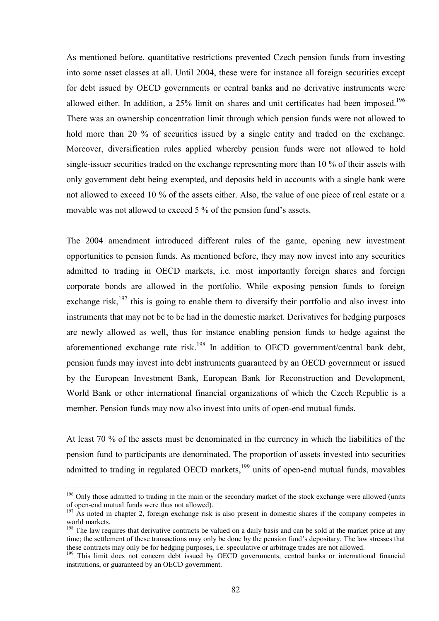As mentioned before, quantitative restrictions prevented Czech pension funds from investing into some asset classes at all. Until 2004, these were for instance all foreign securities except for debt issued by OECD governments or central banks and no derivative instruments were allowed either. In addition, a 25% limit on shares and unit certificates had been imposed.<sup>196</sup> There was an ownership concentration limit through which pension funds were not allowed to hold more than 20 % of securities issued by a single entity and traded on the exchange. Moreover, diversification rules applied whereby pension funds were not allowed to hold single-issuer securities traded on the exchange representing more than 10 % of their assets with only government debt being exempted, and deposits held in accounts with a single bank were not allowed to exceed 10 % of the assets either. Also, the value of one piece of real estate or a movable was not allowed to exceed  $5\%$  of the pension fund's assets.

The 2004 amendment introduced different rules of the game, opening new investment opportunities to pension funds. As mentioned before, they may now invest into any securities admitted to trading in OECD markets, i.e. most importantly foreign shares and foreign corporate bonds are allowed in the portfolio. While exposing pension funds to foreign exchange risk, $197$  this is going to enable them to diversify their portfolio and also invest into instruments that may not be to be had in the domestic market. Derivatives for hedging purposes are newly allowed as well, thus for instance enabling pension funds to hedge against the aforementioned exchange rate risk.<sup>198</sup> In addition to OECD government/central bank debt, pension funds may invest into debt instruments guaranteed by an OECD government or issued by the European Investment Bank, European Bank for Reconstruction and Development, World Bank or other international financial organizations of which the Czech Republic is a member. Pension funds may now also invest into units of open-end mutual funds.

At least 70 % of the assets must be denominated in the currency in which the liabilities of the pension fund to participants are denominated. The proportion of assets invested into securities admitted to trading in regulated OECD markets, $199$  units of open-end mutual funds, movables

 $196$  Only those admitted to trading in the main or the secondary market of the stock exchange were allowed (units of open-end mutual funds were thus not allowed).

 $197$  As noted in chapter 2, foreign exchange risk is also present in domestic shares if the company competes in world markets.

<sup>&</sup>lt;sup>198</sup> The law requires that derivative contracts be valued on a daily basis and can be sold at the market price at any time; the settlement of these transactions may only be done by the pension fund's depositary. The law stresses that these contracts may only be for hedging purposes, i.e. speculative or arbitrage trades are not allowed.

<sup>&</sup>lt;sup>199</sup> This limit does not concern debt issued by OECD governments, central banks or international financial institutions, or guaranteed by an OECD government.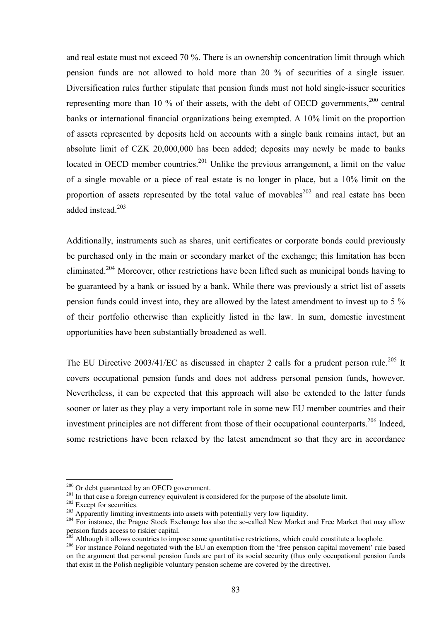and real estate must not exceed 70 %. There is an ownership concentration limit through which pension funds are not allowed to hold more than 20 % of securities of a single issuer. Diversification rules further stipulate that pension funds must not hold single-issuer securities representing more than 10 % of their assets, with the debt of OECD governments,  $200$  central banks or international financial organizations being exempted. A 10% limit on the proportion of assets represented by deposits held on accounts with a single bank remains intact, but an absolute limit of CZK 20,000,000 has been added; deposits may newly be made to banks located in OECD member countries.<sup>201</sup> Unlike the previous arrangement, a limit on the value of a single movable or a piece of real estate is no longer in place, but a 10% limit on the proportion of assets represented by the total value of movables<sup>202</sup> and real estate has been added instead.<sup>203</sup>

Additionally, instruments such as shares, unit certificates or corporate bonds could previously be purchased only in the main or secondary market of the exchange; this limitation has been eliminated.<sup>204</sup> Moreover, other restrictions have been lifted such as municipal bonds having to be guaranteed by a bank or issued by a bank. While there was previously a strict list of assets pension funds could invest into, they are allowed by the latest amendment to invest up to 5 % of their portfolio otherwise than explicitly listed in the law. In sum, domestic investment opportunities have been substantially broadened as well.

The EU Directive 2003/41/EC as discussed in chapter 2 calls for a prudent person rule.<sup>205</sup> It covers occupational pension funds and does not address personal pension funds, however. Nevertheless, it can be expected that this approach will also be extended to the latter funds sooner or later as they play a very important role in some new EU member countries and their investment principles are not different from those of their occupational counterparts.<sup>206</sup> Indeed, some restrictions have been relaxed by the latest amendment so that they are in accordance

 $^{200}$  Or debt guaranteed by an OECD government.

<sup>&</sup>lt;sup>201</sup> In that case a foreign currency equivalent is considered for the purpose of the absolute limit.<br><sup>202</sup> Except for securities.<br><sup>202</sup> Except for securities.<br><sup>203</sup> Apparently limiting investments into assets with potent pension funds access to riskier capital.<br><sup>205</sup> Although it allows countries to impose some quantitative restrictions, which could constitute a loophole.

<sup>&</sup>lt;sup>206</sup> For instance Poland negotiated with the EU an exemption from the 'free pension capital movement' rule based on the argument that personal pension funds are part of its social security (thus only occupational pension funds that exist in the Polish negligible voluntary pension scheme are covered by the directive).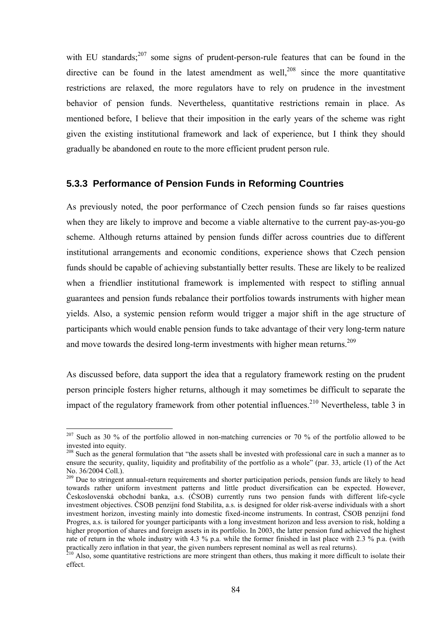with EU standards; $^{207}$  some signs of prudent-person-rule features that can be found in the directive can be found in the latest amendment as well,<sup>208</sup> since the more quantitative restrictions are relaxed, the more regulators have to rely on prudence in the investment behavior of pension funds. Nevertheless, quantitative restrictions remain in place. As mentioned before, I believe that their imposition in the early years of the scheme was right given the existing institutional framework and lack of experience, but I think they should gradually be abandoned en route to the more efficient prudent person rule.

#### **5.3.3 Performance of Pension Funds in Reforming Countries**

As previously noted, the poor performance of Czech pension funds so far raises questions when they are likely to improve and become a viable alternative to the current pay-as-you-go scheme. Although returns attained by pension funds differ across countries due to different institutional arrangements and economic conditions, experience shows that Czech pension funds should be capable of achieving substantially better results. These are likely to be realized when a friendlier institutional framework is implemented with respect to stifling annual guarantees and pension funds rebalance their portfolios towards instruments with higher mean yields. Also, a systemic pension reform would trigger a major shift in the age structure of participants which would enable pension funds to take advantage of their very long-term nature and move towards the desired long-term investments with higher mean returns.<sup>209</sup>

As discussed before, data support the idea that a regulatory framework resting on the prudent person principle fosters higher returns, although it may sometimes be difficult to separate the impact of the regulatory framework from other potential influences.<sup>210</sup> Nevertheless, table 3 in

<sup>&</sup>lt;sup>207</sup> Such as 30 % of the portfolio allowed in non-matching currencies or 70 % of the portfolio allowed to be invested into equity.

 $208$  Such as the general formulation that "the assets shall be invested with professional care in such a manner as to ensure the security, quality, liquidity and profitability of the portfolio as a whole" (par.  $33$ , article (1) of the Act No. 36/2004 Coll.).

<sup>&</sup>lt;sup>209</sup> Due to stringent annual-return requirements and shorter participation periods, pension funds are likely to head towards rather uniform investment patterns and little product diversification can be expected. However, Československá obchodní banka, a.s. (ČSOB) currently runs two pension funds with different life-cycle investment objectives. ČSOB penzijní fond Stabilita, a.s. is designed for older risk-averse individuals with a short investment horizon, investing mainly into domestic fixed-income instruments. In contrast, ČSOB penzijní fond Progres, a.s. is tailored for younger participants with a long investment horizon and less aversion to risk, holding a higher proportion of shares and foreign assets in its portfolio. In 2003, the latter pension fund achieved the highest rate of return in the whole industry with 4.3 % p.a. while the former finished in last place with 2.3 % p.a. (with practically zero inflation in that year, the given numbers represent nominal as well as real returns).<br><sup>210</sup> Also, some quantitative restrictions are more stringent than others, thus making it more difficult to isolate the

effect.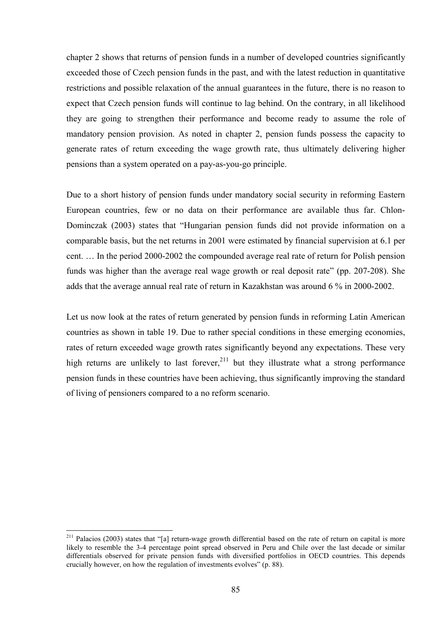chapter 2 shows that returns of pension funds in a number of developed countries significantly exceeded those of Czech pension funds in the past, and with the latest reduction in quantitative restrictions and possible relaxation of the annual guarantees in the future, there is no reason to expect that Czech pension funds will continue to lag behind. On the contrary, in all likelihood they are going to strengthen their performance and become ready to assume the role of mandatory pension provision. As noted in chapter 2, pension funds possess the capacity to generate rates of return exceeding the wage growth rate, thus ultimately delivering higher pensions than a system operated on a pay-as-you-go principle.

Due to a short history of pension funds under mandatory social security in reforming Eastern European countries, few or no data on their performance are available thus far. Chlon-Dominczak (2003) states that "Hungarian pension funds did not provide information on a comparable basis, but the net returns in 2001 were estimated by financial supervision at 6.1 per cent.  $\ldots$  In the period 2000-2002 the compounded average real rate of return for Polish pension funds was higher than the average real wage growth or real deposit rate" (pp.  $207-208$ ). She adds that the average annual real rate of return in Kazakhstan was around 6 % in 2000-2002.

Let us now look at the rates of return generated by pension funds in reforming Latin American countries as shown in table 19. Due to rather special conditions in these emerging economies, rates of return exceeded wage growth rates significantly beyond any expectations. These very high returns are unlikely to last forever,  $2^{11}$  but they illustrate what a strong performance pension funds in these countries have been achieving, thus significantly improving the standard of living of pensioners compared to a no reform scenario.

<sup>&</sup>lt;sup>211</sup> Palacios (2003) states that "[a] return-wage growth differential based on the rate of return on capital is more likely to resemble the 3-4 percentage point spread observed in Peru and Chile over the last decade or similar differentials observed for private pension funds with diversified portfolios in OECD countries. This depends crucially however, on how the regulation of investments evolves" (p. 88).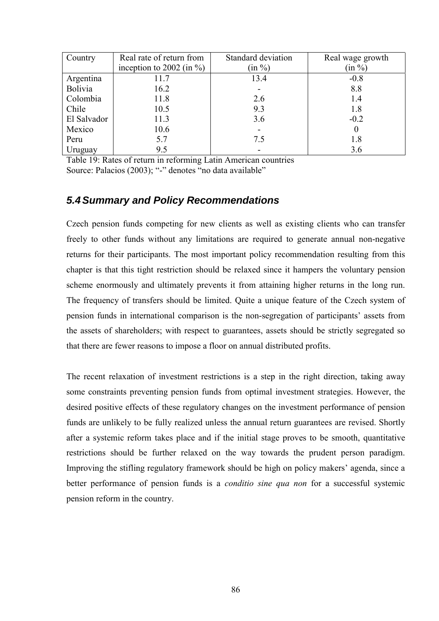| Country     | Real rate of return from     | Standard deviation | Real wage growth |
|-------------|------------------------------|--------------------|------------------|
|             | inception to 2002 (in $\%$ ) | $(in \%)$          | (in %)           |
| Argentina   | 11.7                         | 13.4               | $-0.8$           |
| Bolivia     | 16.2                         |                    | 8.8              |
| Colombia    | 11.8                         | 2.6                | 1.4              |
| Chile       | 10.5                         | 9.3                | 1.8              |
| El Salvador | 11.3                         | 3.6                | $-0.2$           |
| Mexico      | 10.6                         |                    | $\theta$         |
| Peru        | 5.7                          | 7.5                | 1.8              |
| Uruguay     | 9.5                          |                    | 3.6              |

Table 19: Rates of return in reforming Latin American countries Source: Palacios (2003); "-" denotes "no data available"

### *5.4 Summary and Policy Recommendations*

Czech pension funds competing for new clients as well as existing clients who can transfer freely to other funds without any limitations are required to generate annual non-negative returns for their participants. The most important policy recommendation resulting from this chapter is that this tight restriction should be relaxed since it hampers the voluntary pension scheme enormously and ultimately prevents it from attaining higher returns in the long run. The frequency of transfers should be limited. Quite a unique feature of the Czech system of pension funds in international comparison is the non-segregation of participants' assets from the assets of shareholders; with respect to guarantees, assets should be strictly segregated so that there are fewer reasons to impose a floor on annual distributed profits.

The recent relaxation of investment restrictions is a step in the right direction, taking away some constraints preventing pension funds from optimal investment strategies. However, the desired positive effects of these regulatory changes on the investment performance of pension funds are unlikely to be fully realized unless the annual return guarantees are revised. Shortly after a systemic reform takes place and if the initial stage proves to be smooth, quantitative restrictions should be further relaxed on the way towards the prudent person paradigm. Improving the stifling regulatory framework should be high on policy makers' agenda, since a better performance of pension funds is a *conditio sine qua non* for a successful systemic pension reform in the country.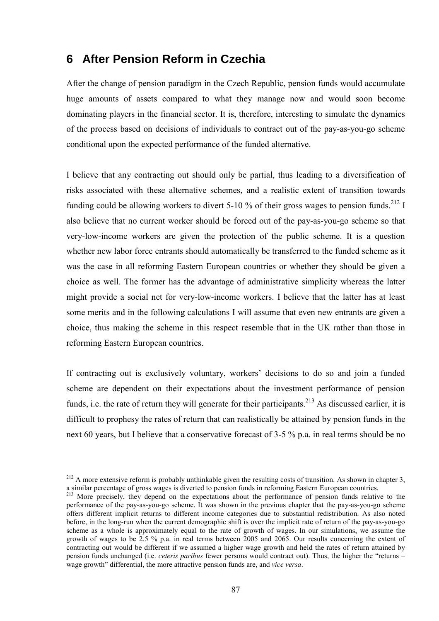# **6 After Pension Reform in Czechia**

After the change of pension paradigm in the Czech Republic, pension funds would accumulate huge amounts of assets compared to what they manage now and would soon become dominating players in the financial sector. It is, therefore, interesting to simulate the dynamics of the process based on decisions of individuals to contract out of the pay-as-you-go scheme conditional upon the expected performance of the funded alternative.

I believe that any contracting out should only be partial, thus leading to a diversification of risks associated with these alternative schemes, and a realistic extent of transition towards funding could be allowing workers to divert 5-10 % of their gross wages to pension funds.<sup>212</sup> I also believe that no current worker should be forced out of the pay-as-you-go scheme so that very-low-income workers are given the protection of the public scheme. It is a question whether new labor force entrants should automatically be transferred to the funded scheme as it was the case in all reforming Eastern European countries or whether they should be given a choice as well. The former has the advantage of administrative simplicity whereas the latter might provide a social net for very-low-income workers. I believe that the latter has at least some merits and in the following calculations I will assume that even new entrants are given a choice, thus making the scheme in this respect resemble that in the UK rather than those in reforming Eastern European countries.

If contracting out is exclusively voluntary, workers' decisions to do so and join a funded scheme are dependent on their expectations about the investment performance of pension funds, i.e. the rate of return they will generate for their participants.<sup>213</sup> As discussed earlier, it is difficult to prophesy the rates of return that can realistically be attained by pension funds in the next 60 years, but I believe that a conservative forecast of 3-5 % p.a. in real terms should be no

 $2^{12}$  A more extensive reform is probably unthinkable given the resulting costs of transition. As shown in chapter 3, a similar percentage of gross wages is diverted to pension funds in reforming Eastern European countries.

<sup>&</sup>lt;sup>213</sup> More precisely, they depend on the expectations about the performance of pension funds relative to the performance of the pay-as-you-go scheme. It was shown in the previous chapter that the pay-as-you-go scheme offers different implicit returns to different income categories due to substantial redistribution. As also noted before, in the long-run when the current demographic shift is over the implicit rate of return of the pay-as-you-go scheme as a whole is approximately equal to the rate of growth of wages. In our simulations, we assume the growth of wages to be 2.5 % p.a. in real terms between 2005 and 2065. Our results concerning the extent of contracting out would be different if we assumed a higher wage growth and held the rates of return attained by pension funds unchanged (i.e. *ceteris paribus* fewer persons would contract out). Thus, the higher the "returns – wage growth<sup>"</sup> differential, the more attractive pension funds are, and *vice versa*.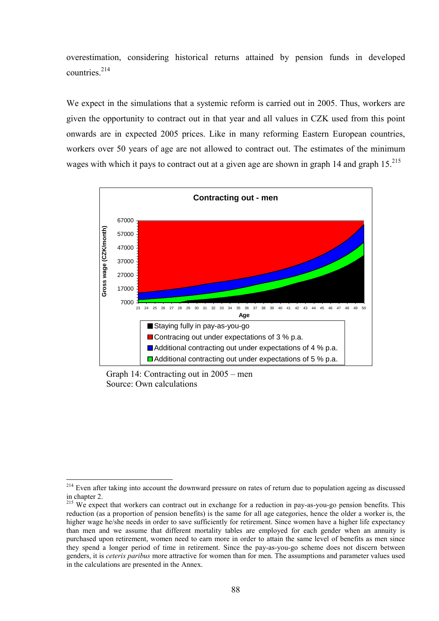overestimation, considering historical returns attained by pension funds in developed countries<sup>214</sup>

We expect in the simulations that a systemic reform is carried out in 2005. Thus, workers are given the opportunity to contract out in that year and all values in CZK used from this point onwards are in expected 2005 prices. Like in many reforming Eastern European countries, workers over 50 years of age are not allowed to contract out. The estimates of the minimum wages with which it pays to contract out at a given age are shown in graph 14 and graph  $15.^{215}$ 



Graph 14: Contracting out in  $2005$  – men Source: Own calculations

<sup>&</sup>lt;sup>214</sup> Even after taking into account the downward pressure on rates of return due to population ageing as discussed in chapter 2.

<sup>&</sup>lt;sup>215</sup> We expect that workers can contract out in exchange for a reduction in pay-as-you-go pension benefits. This reduction (as a proportion of pension benefits) is the same for all age categories, hence the older a worker is, the higher wage he/she needs in order to save sufficiently for retirement. Since women have a higher life expectancy than men and we assume that different mortality tables are employed for each gender when an annuity is purchased upon retirement, women need to earn more in order to attain the same level of benefits as men since they spend a longer period of time in retirement. Since the pay-as-you-go scheme does not discern between genders, it is *ceteris paribus* more attractive for women than for men. The assumptions and parameter values used in the calculations are presented in the Annex.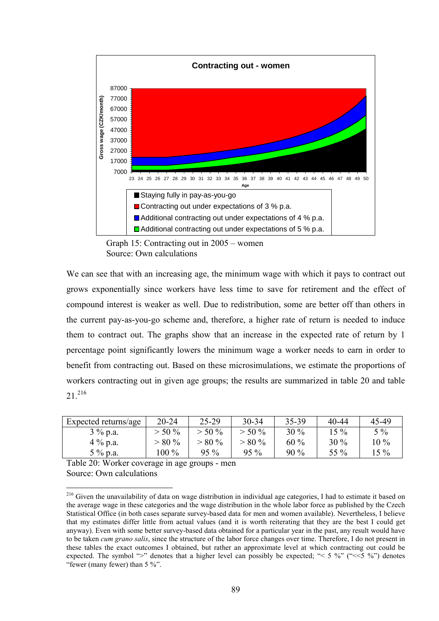

Graph 15: Contracting out in  $2005 -$  women Source: Own calculations

We can see that with an increasing age, the minimum wage with which it pays to contract out grows exponentially since workers have less time to save for retirement and the effect of compound interest is weaker as well. Due to redistribution, some are better off than others in the current pay-as-you-go scheme and, therefore, a higher rate of return is needed to induce them to contract out. The graphs show that an increase in the expected rate of return by 1 percentage point significantly lowers the minimum wage a worker needs to earn in order to benefit from contracting out. Based on these microsimulations, we estimate the proportions of workers contracting out in given age groups; the results are summarized in table 20 and table  $21^{216}$ 

| Expected returns/age | $20 - 24$ | $25-29$   | $30 - 34$ | 35-39  | 40-44  | 45-49  |
|----------------------|-----------|-----------|-----------|--------|--------|--------|
| $3\%$ p.a.           | $> 50 \%$ | $> 50 \%$ | $> 50 \%$ | $30\%$ | 15 %   | $5\%$  |
| $4\%$ p.a.           | $> 80 \%$ | $> 80\%$  | $> 80 \%$ | $60\%$ | $30\%$ | $10\%$ |
| $5\%$ p.a.           | $100\%$   | $95\%$    | $95\%$    | $90\%$ | 55 %   | 15 %   |

Table 20: Worker coverage in age groups - men Source: Own calculations

<sup>&</sup>lt;sup>216</sup> Given the unavailability of data on wage distribution in individual age categories, I had to estimate it based on the average wage in these categories and the wage distribution in the whole labor force as published by the Czech Statistical Office (in both cases separate survey-based data for men and women available). Nevertheless, I believe that my estimates differ little from actual values (and it is worth reiterating that they are the best I could get anyway). Even with some better survey-based data obtained for a particular year in the past, any result would have to be taken *cum grano salis*, since the structure of the labor force changes over time. Therefore, I do not present in these tables the exact outcomes I obtained, but rather an approximate level at which contracting out could be expected. The symbol ">" denotes that a higher level can possibly be expected; " $\lt$  5 %" (" $\lt$  5 %") denotes "fewer (many fewer) than  $5\%$ ".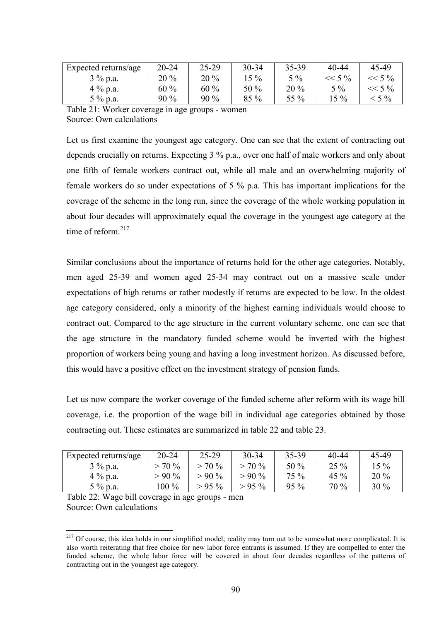| Expected returns/age | $20 - 24$ | $25-29$ | 30-34  | 35-39  | 40-44    | 45-49    |
|----------------------|-----------|---------|--------|--------|----------|----------|
| $3\%$ p.a.           | $20\%$    | $20\%$  | $15\%$ | $5\%$  | $<< 5\%$ | $<< 5\%$ |
| $4\%$ p.a.           | $60\%$    | $60\%$  | 50 $%$ | $20\%$ | $5\%$    | $<< 5\%$ |
| $5\%$ p.a.           | 90 %      | $90\%$  | $85\%$ | 55 %   | $15\%$   | $< 5\%$  |

Table 21: Worker coverage in age groups - women Source: Own calculations

Let us first examine the youngest age category. One can see that the extent of contracting out depends crucially on returns. Expecting 3 % p.a., over one half of male workers and only about one fifth of female workers contract out, while all male and an overwhelming majority of female workers do so under expectations of 5 % p.a. This has important implications for the coverage of the scheme in the long run, since the coverage of the whole working population in about four decades will approximately equal the coverage in the youngest age category at the time of reform.<sup>217</sup>

Similar conclusions about the importance of returns hold for the other age categories. Notably, men aged 25-39 and women aged 25-34 may contract out on a massive scale under expectations of high returns or rather modestly if returns are expected to be low. In the oldest age category considered, only a minority of the highest earning individuals would choose to contract out. Compared to the age structure in the current voluntary scheme, one can see that the age structure in the mandatory funded scheme would be inverted with the highest proportion of workers being young and having a long investment horizon. As discussed before, this would have a positive effect on the investment strategy of pension funds.

Let us now compare the worker coverage of the funded scheme after reform with its wage bill coverage, i.e. the proportion of the wage bill in individual age categories obtained by those contracting out. These estimates are summarized in table 22 and table 23.

| Expected returns/age | $20 - 24$ | $25-29$  | $30 - 34$ | 35-39  | 40-44   | 45-49  |
|----------------------|-----------|----------|-----------|--------|---------|--------|
| $3\%$ p.a.           | $> 70\%$  | $> 70\%$ | $> 70\%$  | $50\%$ | $25\%$  | $15\%$ |
| $4\%$ p.a.           | $>90\%$   | $>90\%$  | $>90\%$   | 75 %   | 45 $\%$ | $20\%$ |
| $5\%$ p.a.           | $100\%$   | $>95\%$  | $> 95\%$  | $95\%$ | $70\%$  | $30\%$ |

Table 22: Wage bill coverage in age groups - men Source: Own calculations

<sup>&</sup>lt;sup>217</sup> Of course, this idea holds in our simplified model; reality may turn out to be somewhat more complicated. It is also worth reiterating that free choice for new labor force entrants is assumed. If they are compelled to enter the funded scheme, the whole labor force will be covered in about four decades regardless of the patterns of contracting out in the youngest age category.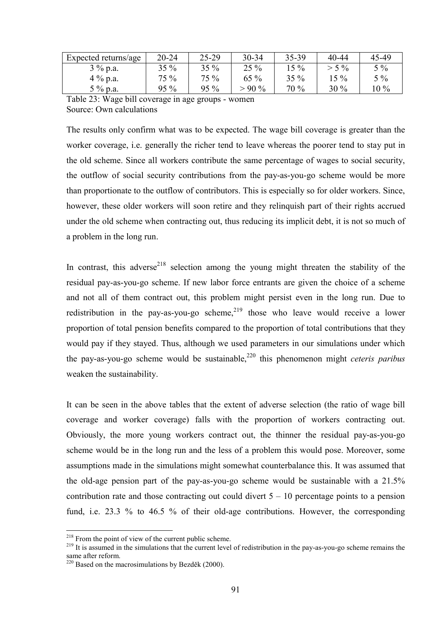| Expected returns/age | $20 - 24$ | $25 - 29$ | $30 - 34$ | 35-39  | 40-44   | 45-49  |
|----------------------|-----------|-----------|-----------|--------|---------|--------|
| $3\%$ p.a.           | $35\%$    | $35\%$    | $25\%$    | $15\%$ | $> 5\%$ | $5\%$  |
| $4\%$ p.a.           | 75 %      | 75 %      | $65\%$    | $35\%$ | $15\%$  | $5\%$  |
| $5\%$ p.a.           | $95\%$    | $95\%$    | $>90\%$   | $70\%$ | $30\%$  | $10\%$ |

Table 23: Wage bill coverage in age groups - women Source: Own calculations

The results only confirm what was to be expected. The wage bill coverage is greater than the worker coverage, i.e. generally the richer tend to leave whereas the poorer tend to stay put in the old scheme. Since all workers contribute the same percentage of wages to social security, the outflow of social security contributions from the pay-as-you-go scheme would be more than proportionate to the outflow of contributors. This is especially so for older workers. Since, however, these older workers will soon retire and they relinquish part of their rights accrued under the old scheme when contracting out, thus reducing its implicit debt, it is not so much of a problem in the long run.

In contrast, this adverse<sup>218</sup> selection among the young might threaten the stability of the residual pay-as-you-go scheme. If new labor force entrants are given the choice of a scheme and not all of them contract out, this problem might persist even in the long run. Due to redistribution in the pay-as-you-go scheme,  $2^{19}$  those who leave would receive a lower proportion of total pension benefits compared to the proportion of total contributions that they would pay if they stayed. Thus, although we used parameters in our simulations under which the pay-as-you-go scheme would be sustainable,<sup>220</sup> this phenomenon might *ceteris paribus* weaken the sustainability.

It can be seen in the above tables that the extent of adverse selection (the ratio of wage bill coverage and worker coverage) falls with the proportion of workers contracting out. Obviously, the more young workers contract out, the thinner the residual pay-as-you-go scheme would be in the long run and the less of a problem this would pose. Moreover, some assumptions made in the simulations might somewhat counterbalance this. It was assumed that the old-age pension part of the pay-as-you-go scheme would be sustainable with a 21.5% contribution rate and those contracting out could divert  $5 - 10$  percentage points to a pension fund, i.e. 23.3 % to 46.5 % of their old-age contributions. However, the corresponding

 $^{218}$  From the point of view of the current public scheme.

 $\frac{1}{219}$  It is assumed in the simulations that the current level of redistribution in the pay-as-you-go scheme remains the same after reform.

 $220$  Based on the macrosimulations by Bezděk (2000).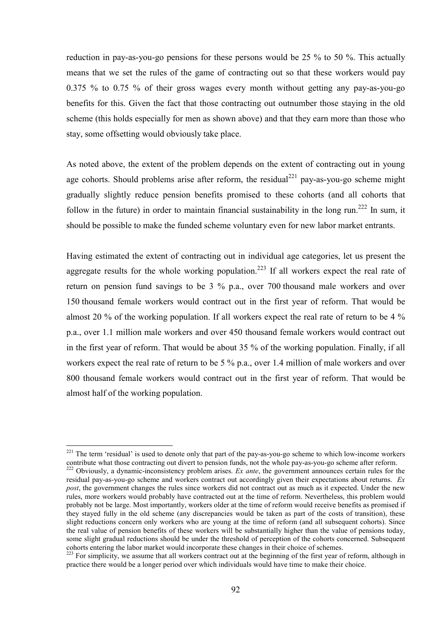reduction in pay-as-you-go pensions for these persons would be 25 % to 50 %. This actually means that we set the rules of the game of contracting out so that these workers would pay 0.375 % to 0.75 % of their gross wages every month without getting any pay-as-you-go benefits for this. Given the fact that those contracting out outnumber those staying in the old scheme (this holds especially for men as shown above) and that they earn more than those who stay, some offsetting would obviously take place.

As noted above, the extent of the problem depends on the extent of contracting out in young age cohorts. Should problems arise after reform, the residual<sup>221</sup> pay-as-you-go scheme might gradually slightly reduce pension benefits promised to these cohorts (and all cohorts that follow in the future) in order to maintain financial sustainability in the long run.<sup>222</sup> In sum, it should be possible to make the funded scheme voluntary even for new labor market entrants.

Having estimated the extent of contracting out in individual age categories, let us present the aggregate results for the whole working population.<sup>223</sup> If all workers expect the real rate of return on pension fund savings to be 3 % p.a., over 700 thousand male workers and over 150 thousand female workers would contract out in the first year of reform. That would be almost 20 % of the working population. If all workers expect the real rate of return to be 4 % p.a., over 1.1 million male workers and over 450 thousand female workers would contract out in the first year of reform. That would be about 35 % of the working population. Finally, if all workers expect the real rate of return to be 5 % p.a., over 1.4 million of male workers and over 800 thousand female workers would contract out in the first year of reform. That would be almost half of the working population.

 $^{221}$  The term 'residual' is used to denote only that part of the pay-as-you-go scheme to which low-income workers contribute what those contracting out divert to pension funds, not the whole pay-as-you-go scheme after reform.

<sup>&</sup>lt;sup>222</sup> Obviously, a dynamic-inconsistency problem arises. *Ex ante*, the government announces certain rules for the residual pay-as-you-go scheme and workers contract out accordingly given their expectations about returns. *Ex post*, the government changes the rules since workers did not contract out as much as it expected. Under the new rules, more workers would probably have contracted out at the time of reform. Nevertheless, this problem would probably not be large. Most importantly, workers older at the time of reform would receive benefits as promised if they stayed fully in the old scheme (any discrepancies would be taken as part of the costs of transition), these slight reductions concern only workers who are young at the time of reform (and all subsequent cohorts). Since the real value of pension benefits of these workers will be substantially higher than the value of pensions today, some slight gradual reductions should be under the threshold of perception of the cohorts concerned. Subsequent cohorts entering the labor market would incorporate these changes in their choice of schemes.

<sup>&</sup>lt;sup>223</sup> For simplicity, we assume that all workers contract out at the beginning of the first year of reform, although in practice there would be a longer period over which individuals would have time to make their choice.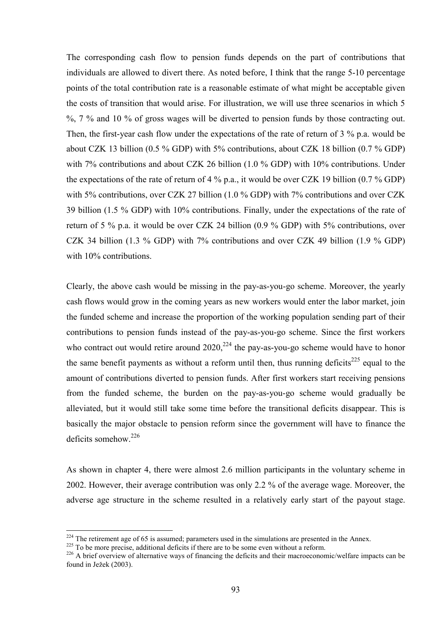The corresponding cash flow to pension funds depends on the part of contributions that individuals are allowed to divert there. As noted before, I think that the range 5-10 percentage points of the total contribution rate is a reasonable estimate of what might be acceptable given the costs of transition that would arise. For illustration, we will use three scenarios in which 5 %, 7 % and 10 % of gross wages will be diverted to pension funds by those contracting out. Then, the first-year cash flow under the expectations of the rate of return of 3 % p.a. would be about CZK 13 billion (0.5 % GDP) with 5% contributions, about CZK 18 billion (0.7 % GDP) with 7% contributions and about CZK 26 billion (1.0 % GDP) with 10% contributions. Under the expectations of the rate of return of 4 % p.a., it would be over CZK 19 billion (0.7 % GDP) with 5% contributions, over CZK 27 billion (1.0 % GDP) with 7% contributions and over CZK 39 billion (1.5 % GDP) with 10% contributions. Finally, under the expectations of the rate of return of 5 % p.a. it would be over CZK 24 billion (0.9 % GDP) with 5% contributions, over CZK 34 billion (1.3 % GDP) with 7% contributions and over CZK 49 billion (1.9 % GDP) with 10% contributions.

Clearly, the above cash would be missing in the pay-as-you-go scheme. Moreover, the yearly cash flows would grow in the coming years as new workers would enter the labor market, join the funded scheme and increase the proportion of the working population sending part of their contributions to pension funds instead of the pay-as-you-go scheme. Since the first workers who contract out would retire around  $2020$ ,<sup>224</sup> the pay-as-you-go scheme would have to honor the same benefit payments as without a reform until then, thus running deficits $^{225}$  equal to the amount of contributions diverted to pension funds. After first workers start receiving pensions from the funded scheme, the burden on the pay-as-you-go scheme would gradually be alleviated, but it would still take some time before the transitional deficits disappear. This is basically the major obstacle to pension reform since the government will have to finance the deficits somehow.<sup>226</sup>

As shown in chapter 4, there were almost 2.6 million participants in the voluntary scheme in 2002. However, their average contribution was only 2.2 % of the average wage. Moreover, the adverse age structure in the scheme resulted in a relatively early start of the payout stage.

 $224$  The retirement age of 65 is assumed; parameters used in the simulations are presented in the Annex.

<sup>&</sup>lt;sup>225</sup> To be more precise, additional deficits if there are to be some even without a reform.<br><sup>226</sup> A brief overview of alternative ways of financing the deficits and their macroeconomic/welfare impacts can be found in Ježek (2003).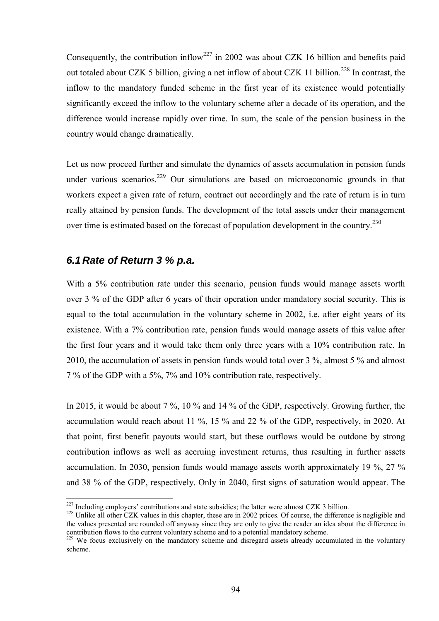Consequently, the contribution inflow<sup>227</sup> in 2002 was about CZK 16 billion and benefits paid out totaled about CZK 5 billion, giving a net inflow of about CZK 11 billion.<sup>228</sup> In contrast, the inflow to the mandatory funded scheme in the first year of its existence would potentially significantly exceed the inflow to the voluntary scheme after a decade of its operation, and the difference would increase rapidly over time. In sum, the scale of the pension business in the country would change dramatically.

Let us now proceed further and simulate the dynamics of assets accumulation in pension funds under various scenarios.<sup>229</sup> Our simulations are based on microeconomic grounds in that workers expect a given rate of return, contract out accordingly and the rate of return is in turn really attained by pension funds. The development of the total assets under their management over time is estimated based on the forecast of population development in the country.<sup>230</sup>

#### *6.1 Rate of Return 3 % p.a.*

With a 5% contribution rate under this scenario, pension funds would manage assets worth over 3 % of the GDP after 6 years of their operation under mandatory social security. This is equal to the total accumulation in the voluntary scheme in 2002, i.e. after eight years of its existence. With a 7% contribution rate, pension funds would manage assets of this value after the first four years and it would take them only three years with a 10% contribution rate. In 2010, the accumulation of assets in pension funds would total over 3 %, almost 5 % and almost 7 % of the GDP with a 5%, 7% and 10% contribution rate, respectively.

In 2015, it would be about 7 %, 10 % and 14 % of the GDP, respectively. Growing further, the accumulation would reach about 11 %, 15 % and 22 % of the GDP, respectively, in 2020. At that point, first benefit payouts would start, but these outflows would be outdone by strong contribution inflows as well as accruing investment returns, thus resulting in further assets accumulation. In 2030, pension funds would manage assets worth approximately 19 %, 27 % and 38 % of the GDP, respectively. Only in 2040, first signs of saturation would appear. The

<sup>&</sup>lt;sup>227</sup> Including employers' contributions and state subsidies; the latter were almost CZK 3 billion.

 $228$  Unlike all other CZK values in this chapter, these are in 2002 prices. Of course, the difference is negligible and the values presented are rounded off anyway since they are only to give the reader an idea about the difference in contribution flows to the current voluntary scheme and to a potential mandatory scheme.

<sup>&</sup>lt;sup>229</sup> We focus exclusively on the mandatory scheme and disregard assets already accumulated in the voluntary scheme.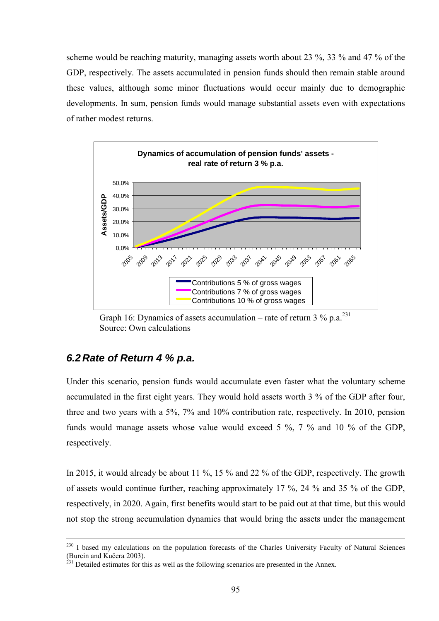scheme would be reaching maturity, managing assets worth about 23 %, 33 % and 47 % of the GDP, respectively. The assets accumulated in pension funds should then remain stable around these values, although some minor fluctuations would occur mainly due to demographic developments. In sum, pension funds would manage substantial assets even with expectations of rather modest returns.



Graph 16: Dynamics of assets accumulation – rate of return 3 % p.a.<sup>231</sup> Source: Own calculations

#### *6.2 Rate of Return 4 % p.a.*

Under this scenario, pension funds would accumulate even faster what the voluntary scheme accumulated in the first eight years. They would hold assets worth 3 % of the GDP after four, three and two years with a 5%, 7% and 10% contribution rate, respectively. In 2010, pension funds would manage assets whose value would exceed 5 %, 7 % and 10 % of the GDP, respectively.

In 2015, it would already be about 11 %, 15 % and 22 % of the GDP, respectively. The growth of assets would continue further, reaching approximately 17 %, 24 % and 35 % of the GDP, respectively, in 2020. Again, first benefits would start to be paid out at that time, but this would not stop the strong accumulation dynamics that would bring the assets under the management

<sup>&</sup>lt;sup>230</sup> I based my calculations on the population forecasts of the Charles University Faculty of Natural Sciences (Burcin and Kučera 2003).

 $^{231}$  Detailed estimates for this as well as the following scenarios are presented in the Annex.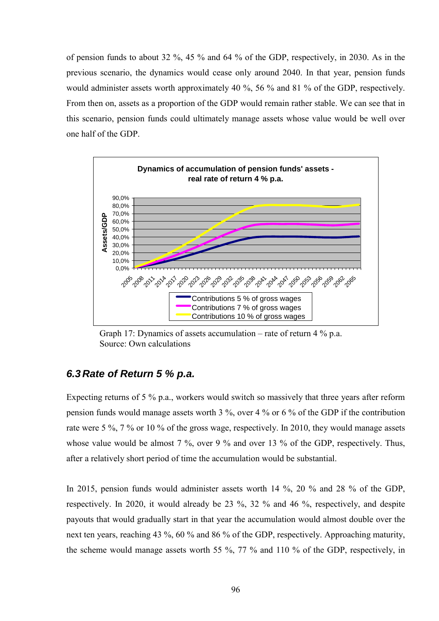of pension funds to about 32 %, 45 % and 64 % of the GDP, respectively, in 2030. As in the previous scenario, the dynamics would cease only around 2040. In that year, pension funds would administer assets worth approximately 40 %, 56 % and 81 % of the GDP, respectively. From then on, assets as a proportion of the GDP would remain rather stable. We can see that in this scenario, pension funds could ultimately manage assets whose value would be well over one half of the GDP.



Graph 17: Dynamics of assets accumulation – rate of return  $4\%$  p.a. Source: Own calculations

#### *6.3 Rate of Return 5 % p.a.*

Expecting returns of 5 % p.a., workers would switch so massively that three years after reform pension funds would manage assets worth 3 %, over 4 % or 6 % of the GDP if the contribution rate were 5 %, 7 % or 10 % of the gross wage, respectively. In 2010, they would manage assets whose value would be almost 7 %, over 9 % and over 13 % of the GDP, respectively. Thus, after a relatively short period of time the accumulation would be substantial.

In 2015, pension funds would administer assets worth 14 %, 20 % and 28 % of the GDP, respectively. In 2020, it would already be 23 %, 32 % and 46 %, respectively, and despite payouts that would gradually start in that year the accumulation would almost double over the next ten years, reaching 43 %, 60 % and 86 % of the GDP, respectively. Approaching maturity, the scheme would manage assets worth 55 %, 77 % and 110 % of the GDP, respectively, in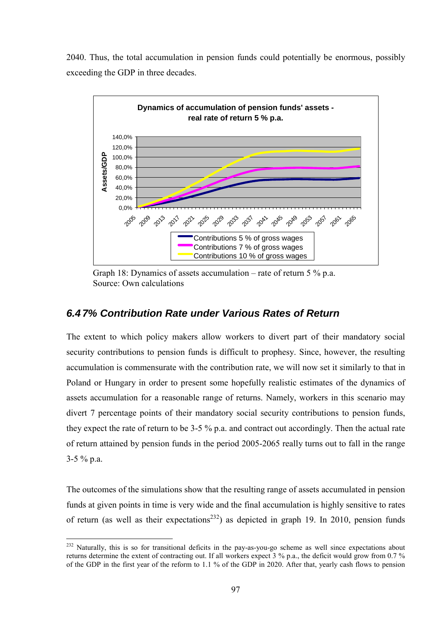2040. Thus, the total accumulation in pension funds could potentially be enormous, possibly exceeding the GDP in three decades.



Graph 18: Dynamics of assets accumulation – rate of return  $5\%$  p.a. Source: Own calculations

## *6.4 7% Contribution Rate under Various Rates of Return*

The extent to which policy makers allow workers to divert part of their mandatory social security contributions to pension funds is difficult to prophesy. Since, however, the resulting accumulation is commensurate with the contribution rate, we will now set it similarly to that in Poland or Hungary in order to present some hopefully realistic estimates of the dynamics of assets accumulation for a reasonable range of returns. Namely, workers in this scenario may divert 7 percentage points of their mandatory social security contributions to pension funds, they expect the rate of return to be 3-5 % p.a. and contract out accordingly. Then the actual rate of return attained by pension funds in the period 2005-2065 really turns out to fall in the range 3-5 % p.a.

The outcomes of the simulations show that the resulting range of assets accumulated in pension funds at given points in time is very wide and the final accumulation is highly sensitive to rates of return (as well as their expectations<sup>232</sup>) as depicted in graph 19. In 2010, pension funds

 $^{232}$  Naturally, this is so for transitional deficits in the pay-as-you-go scheme as well since expectations about returns determine the extent of contracting out. If all workers expect 3 % p.a., the deficit would grow from 0.7 % of the GDP in the first year of the reform to 1.1 % of the GDP in 2020. After that, yearly cash flows to pension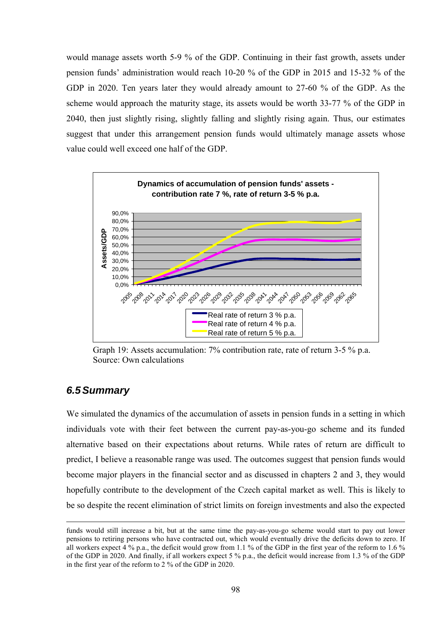would manage assets worth 5-9 % of the GDP. Continuing in their fast growth, assets under pension fundsí administration would reach 10-20 % of the GDP in 2015 and 15-32 % of the GDP in 2020. Ten years later they would already amount to 27-60 % of the GDP. As the scheme would approach the maturity stage, its assets would be worth 33-77 % of the GDP in 2040, then just slightly rising, slightly falling and slightly rising again. Thus, our estimates suggest that under this arrangement pension funds would ultimately manage assets whose value could well exceed one half of the GDP.



Graph 19: Assets accumulation: 7% contribution rate, rate of return 3-5 % p.a. Source: Own calculations

#### *6.5 Summary*

 $\overline{a}$ 

We simulated the dynamics of the accumulation of assets in pension funds in a setting in which individuals vote with their feet between the current pay-as-you-go scheme and its funded alternative based on their expectations about returns. While rates of return are difficult to predict, I believe a reasonable range was used. The outcomes suggest that pension funds would become major players in the financial sector and as discussed in chapters 2 and 3, they would hopefully contribute to the development of the Czech capital market as well. This is likely to be so despite the recent elimination of strict limits on foreign investments and also the expected

funds would still increase a bit, but at the same time the pay-as-you-go scheme would start to pay out lower pensions to retiring persons who have contracted out, which would eventually drive the deficits down to zero. If all workers expect 4 % p.a., the deficit would grow from 1.1 % of the GDP in the first year of the reform to 1.6 % of the GDP in 2020. And finally, if all workers expect 5 % p.a., the deficit would increase from 1.3 % of the GDP in the first year of the reform to 2 % of the GDP in 2020.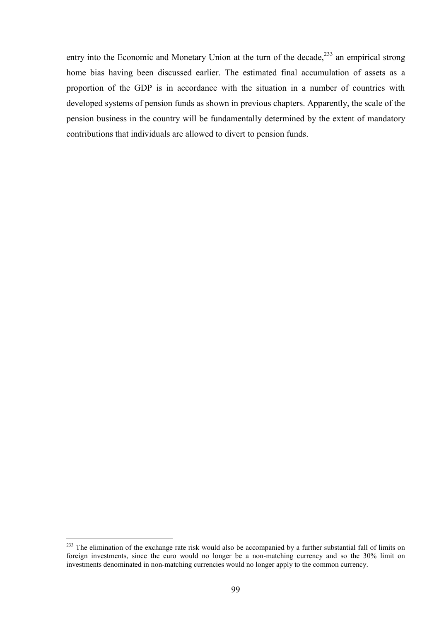entry into the Economic and Monetary Union at the turn of the decade,<sup>233</sup> an empirical strong home bias having been discussed earlier. The estimated final accumulation of assets as a proportion of the GDP is in accordance with the situation in a number of countries with developed systems of pension funds as shown in previous chapters. Apparently, the scale of the pension business in the country will be fundamentally determined by the extent of mandatory contributions that individuals are allowed to divert to pension funds.

 $^{233}$  The elimination of the exchange rate risk would also be accompanied by a further substantial fall of limits on foreign investments, since the euro would no longer be a non-matching currency and so the 30% limit on investments denominated in non-matching currencies would no longer apply to the common currency.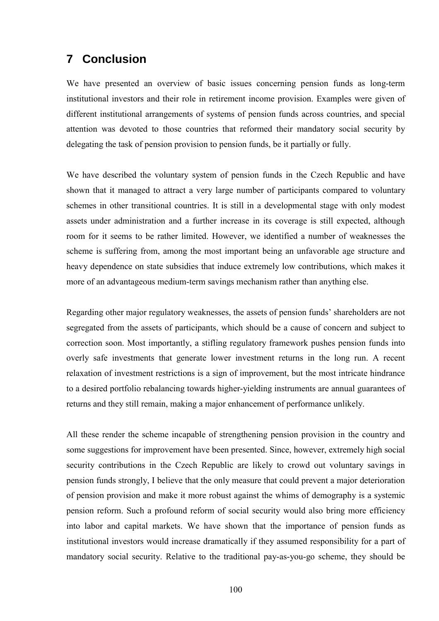# **7 Conclusion**

We have presented an overview of basic issues concerning pension funds as long-term institutional investors and their role in retirement income provision. Examples were given of different institutional arrangements of systems of pension funds across countries, and special attention was devoted to those countries that reformed their mandatory social security by delegating the task of pension provision to pension funds, be it partially or fully.

We have described the voluntary system of pension funds in the Czech Republic and have shown that it managed to attract a very large number of participants compared to voluntary schemes in other transitional countries. It is still in a developmental stage with only modest assets under administration and a further increase in its coverage is still expected, although room for it seems to be rather limited. However, we identified a number of weaknesses the scheme is suffering from, among the most important being an unfavorable age structure and heavy dependence on state subsidies that induce extremely low contributions, which makes it more of an advantageous medium-term savings mechanism rather than anything else.

Regarding other major regulatory weaknesses, the assets of pension funds' shareholders are not segregated from the assets of participants, which should be a cause of concern and subject to correction soon. Most importantly, a stifling regulatory framework pushes pension funds into overly safe investments that generate lower investment returns in the long run. A recent relaxation of investment restrictions is a sign of improvement, but the most intricate hindrance to a desired portfolio rebalancing towards higher-yielding instruments are annual guarantees of returns and they still remain, making a major enhancement of performance unlikely.

All these render the scheme incapable of strengthening pension provision in the country and some suggestions for improvement have been presented. Since, however, extremely high social security contributions in the Czech Republic are likely to crowd out voluntary savings in pension funds strongly, I believe that the only measure that could prevent a major deterioration of pension provision and make it more robust against the whims of demography is a systemic pension reform. Such a profound reform of social security would also bring more efficiency into labor and capital markets. We have shown that the importance of pension funds as institutional investors would increase dramatically if they assumed responsibility for a part of mandatory social security. Relative to the traditional pay-as-you-go scheme, they should be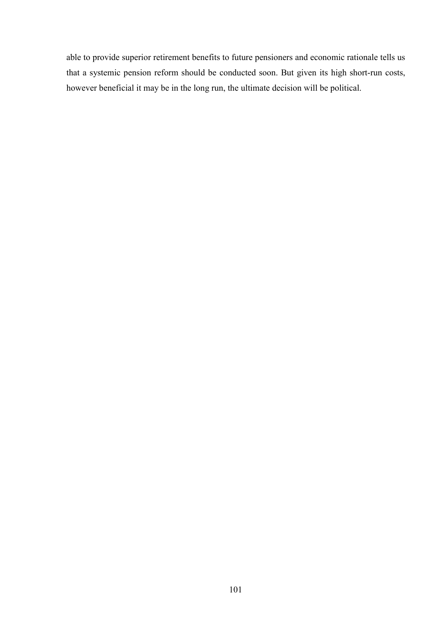able to provide superior retirement benefits to future pensioners and economic rationale tells us that a systemic pension reform should be conducted soon. But given its high short-run costs, however beneficial it may be in the long run, the ultimate decision will be political.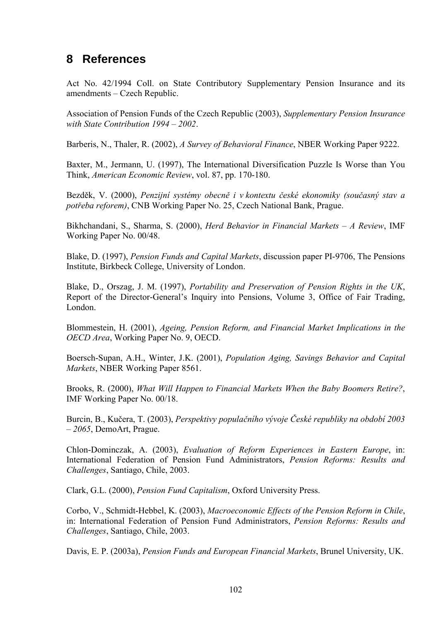# **8 References**

Act No. 42/1994 Coll. on State Contributory Supplementary Pension Insurance and its  $a$ mendments – Czech Republic.

Association of Pension Funds of the Czech Republic (2003), *Supplementary Pension Insurance with State Contribution 1994 – 2002.* 

Barberis, N., Thaler, R. (2002), *A Survey of Behavioral Finance*, NBER Working Paper 9222.

Baxter, M., Jermann, U. (1997), The International Diversification Puzzle Is Worse than You Think, *American Economic Review*, vol. 87, pp. 170-180.

Bezděk, V. (2000), *PenzijnÌ systÈmy obecně i v kontextu českÈ ekonomiky (současn˝ stav a potřeba reforem)*, CNB Working Paper No. 25, Czech National Bank, Prague.

Bikhchandani, S., Sharma, S. (2000), *Herd Behavior in Financial Markets - A Review*, IMF Working Paper No. 00/48.

Blake, D. (1997), *Pension Funds and Capital Markets*, discussion paper PI-9706, The Pensions Institute, Birkbeck College, University of London.

Blake, D., Orszag, J. M. (1997), *Portability and Preservation of Pension Rights in the UK*, Report of the Director-General's Inquiry into Pensions, Volume 3, Office of Fair Trading, London.

Blommestein, H. (2001), *Ageing, Pension Reform, and Financial Market Implications in the OECD Area*, Working Paper No. 9, OECD.

Boersch-Supan, A.H., Winter, J.K. (2001), *Population Aging, Savings Behavior and Capital Markets*, NBER Working Paper 8561.

Brooks, R. (2000), *What Will Happen to Financial Markets When the Baby Boomers Retire?*, IMF Working Paper No. 00/18.

Burcin, B., Kučera, T. (2003), *Perspektivy populačnÌho v˝voje ČeskÈ republiky na obdobÌ 2003 ñ 2065*, DemoArt, Prague.

Chlon-Dominczak, A. (2003), *Evaluation of Reform Experiences in Eastern Europe*, in: International Federation of Pension Fund Administrators, *Pension Reforms: Results and Challenges*, Santiago, Chile, 2003.

Clark, G.L. (2000), *Pension Fund Capitalism*, Oxford University Press.

Corbo, V., Schmidt-Hebbel, K. (2003), *Macroeconomic Effects of the Pension Reform in Chile*, in: International Federation of Pension Fund Administrators, *Pension Reforms: Results and Challenges*, Santiago, Chile, 2003.

Davis, E. P. (2003a), *Pension Funds and European Financial Markets*, Brunel University, UK.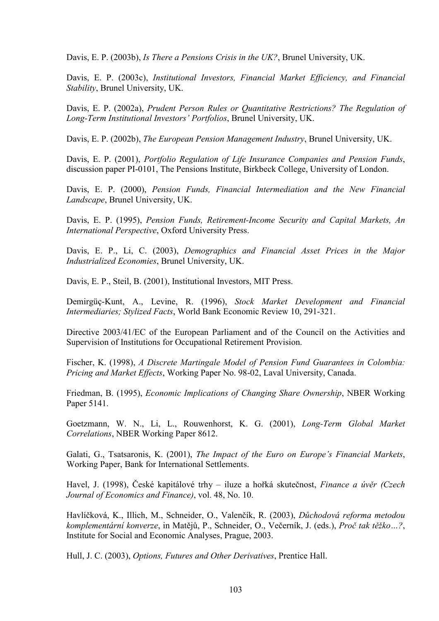Davis, E. P. (2003b), *Is There a Pensions Crisis in the UK?*, Brunel University, UK.

Davis, E. P. (2003c), *Institutional Investors, Financial Market Efficiency, and Financial Stability*, Brunel University, UK.

Davis, E. P. (2002a), *Prudent Person Rules or Quantitative Restrictions? The Regulation of*  Long-Term Institutional Investors' Portfolios, Brunel University, UK.

Davis, E. P. (2002b), *The European Pension Management Industry*, Brunel University, UK.

Davis, E. P. (2001), *Portfolio Regulation of Life Insurance Companies and Pension Funds*, discussion paper PI-0101, The Pensions Institute, Birkbeck College, University of London.

Davis, E. P. (2000), *Pension Funds, Financial Intermediation and the New Financial Landscape*, Brunel University, UK.

Davis, E. P. (1995), *Pension Funds, Retirement-Income Security and Capital Markets, An International Perspective*, Oxford University Press.

Davis, E. P., Li, C. (2003), *Demographics and Financial Asset Prices in the Major Industrialized Economies*, Brunel University, UK.

Davis, E. P., Steil, B. (2001), Institutional Investors, MIT Press.

Demirgüç-Kunt, A., Levine, R. (1996), *Stock Market Development and Financial Intermediaries; Stylized Facts*, World Bank Economic Review 10, 291-321.

Directive 2003/41/EC of the European Parliament and of the Council on the Activities and Supervision of Institutions for Occupational Retirement Provision.

Fischer, K. (1998), *A Discrete Martingale Model of Pension Fund Guarantees in Colombia: Pricing and Market Effects*, Working Paper No. 98-02, Laval University, Canada.

Friedman, B. (1995), *Economic Implications of Changing Share Ownership*, NBER Working Paper 5141.

Goetzmann, W. N., Li, L., Rouwenhorst, K. G. (2001), *Long-Term Global Market Correlations*, NBER Working Paper 8612.

Galati, G., Tsatsaronis, K. (2001), *The Impact of the Euro on Europe's Financial Markets*, Working Paper, Bank for International Settlements.

Havel, J. (1998), České kapitálové trhy – iluze a hořká skutečnost, *Finance a úvěr (Czech Journal of Economics and Finance)*, vol. 48, No. 10.

Havlíčková, K., Illich, M., Schneider, O., Valenčík, R. (2003), *Důchodová reforma metodou komplementární konverze*, in Matějů, P., Schneider, O., Večerník, J. (eds.), *Proč tak těžko...?*, Institute for Social and Economic Analyses, Prague, 2003.

Hull, J. C. (2003), *Options, Futures and Other Derivatives*, Prentice Hall.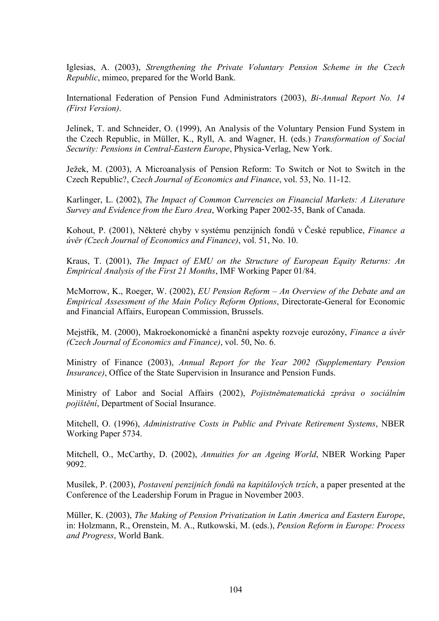Iglesias, A. (2003), *Strengthening the Private Voluntary Pension Scheme in the Czech Republic*, mimeo, prepared for the World Bank.

International Federation of Pension Fund Administrators (2003), *Bi-Annual Report No. 14 (First Version)*.

Jelínek, T. and Schneider, O. (1999), An Analysis of the Voluntary Pension Fund System in the Czech Republic, in Müller, K., Ryll, A. and Wagner, H. (eds.) *Transformation of Social Security: Pensions in Central-Eastern Europe*, Physica-Verlag, New York.

Ježek, M. (2003), A Microanalysis of Pension Reform: To Switch or Not to Switch in the Czech Republic?, *Czech Journal of Economics and Finance*, vol. 53, No. 11-12.

Karlinger, L. (2002), *The Impact of Common Currencies on Financial Markets: A Literature Survey and Evidence from the Euro Area*, Working Paper 2002-35, Bank of Canada.

Kohout, P. (2001), Některé chyby v systému penzijních fondů v České republice, *Finance a ˙věr (Czech Journal of Economics and Finance)*, vol. 51, No. 10.

Kraus, T. (2001), *The Impact of EMU on the Structure of European Equity Returns: An Empirical Analysis of the First 21 Months*, IMF Working Paper 01/84.

McMorrow, K., Roeger, W. (2002), *EU Pension Reform – An Overview of the Debate and an Empirical Assessment of the Main Policy Reform Options*, Directorate-General for Economic and Financial Affairs, European Commission, Brussels.

Mejstřík, M. (2000), Makroekonomické a finanční aspekty rozvoje eurozóny, *Finance a úvěr (Czech Journal of Economics and Finance)*, vol. 50, No. 6.

Ministry of Finance (2003), *Annual Report for the Year 2002 (Supplementary Pension Insurance*), Office of the State Supervision in Insurance and Pension Funds.

Ministry of Labor and Social Affairs (2002), *Pojistněmatematická zpráva o sociálním pojiötěnÌ*, Department of Social Insurance.

Mitchell, O. (1996), *Administrative Costs in Public and Private Retirement Systems*, NBER Working Paper 5734.

Mitchell, O., McCarthy, D. (2002), *Annuities for an Ageing World*, NBER Working Paper 9092.

Musílek, P. (2003), *Postavení penzijních fondů na kapitálových trzích*, a paper presented at the Conference of the Leadership Forum in Prague in November 2003.

Müller, K. (2003), *The Making of Pension Privatization in Latin America and Eastern Europe*, in: Holzmann, R., Orenstein, M. A., Rutkowski, M. (eds.), *Pension Reform in Europe: Process and Progress*, World Bank.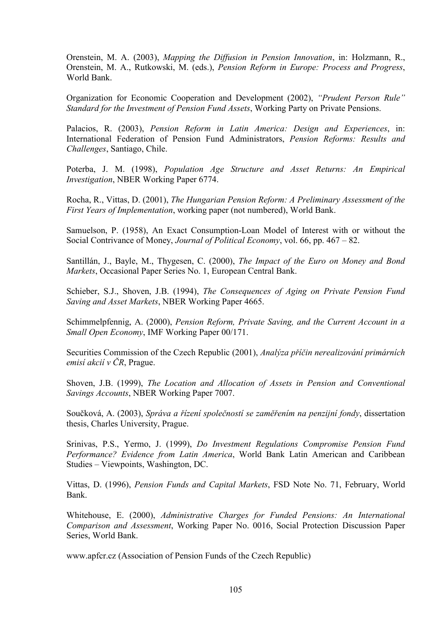Orenstein, M. A. (2003), *Mapping the Diffusion in Pension Innovation*, in: Holzmann, R., Orenstein, M. A., Rutkowski, M. (eds.), *Pension Reform in Europe: Process and Progress*, World Bank.

Organization for Economic Cooperation and Development (2002), *"Prudent Person Rule" Standard for the Investment of Pension Fund Assets*, Working Party on Private Pensions.

Palacios, R. (2003), *Pension Reform in Latin America: Design and Experiences*, in: International Federation of Pension Fund Administrators, *Pension Reforms: Results and Challenges*, Santiago, Chile.

Poterba, J. M. (1998), *Population Age Structure and Asset Returns: An Empirical Investigation*, NBER Working Paper 6774.

Rocha, R., Vittas, D. (2001), *The Hungarian Pension Reform: A Preliminary Assessment of the First Years of Implementation*, working paper (not numbered), World Bank.

Samuelson, P. (1958), An Exact Consumption-Loan Model of Interest with or without the Social Contrivance of Money, *Journal of Political Economy*, vol. 66, pp. 467 – 82.

Santillán, J., Bayle, M., Thygesen, C. (2000), *The Impact of the Euro on Money and Bond Markets*, Occasional Paper Series No. 1, European Central Bank.

Schieber, S.J., Shoven, J.B. (1994), *The Consequences of Aging on Private Pension Fund Saving and Asset Markets*, NBER Working Paper 4665.

Schimmelpfennig, A. (2000), *Pension Reform, Private Saving, and the Current Account in a Small Open Economy*, IMF Working Paper 00/171.

Securities Commission of the Czech Republic (2001), *Analýza příčin nerealizování primárních emisÌ akciÌ v ČR*, Prague.

Shoven, J.B. (1999), *The Location and Allocation of Assets in Pension and Conventional Savings Accounts*, NBER Working Paper 7007.

Součková, A. (2003), *Správa a řízení společností se zaměřením na penzijní fondy*, dissertation thesis, Charles University, Prague.

Srinivas, P.S., Yermo, J. (1999), *Do Investment Regulations Compromise Pension Fund Performance? Evidence from Latin America*, World Bank Latin American and Caribbean Studies – Viewpoints, Washington, DC.

Vittas, D. (1996), *Pension Funds and Capital Markets*, FSD Note No. 71, February, World Bank.

Whitehouse, E. (2000), *Administrative Charges for Funded Pensions: An International Comparison and Assessment*, Working Paper No. 0016, Social Protection Discussion Paper Series, World Bank.

www.apfcr.cz (Association of Pension Funds of the Czech Republic)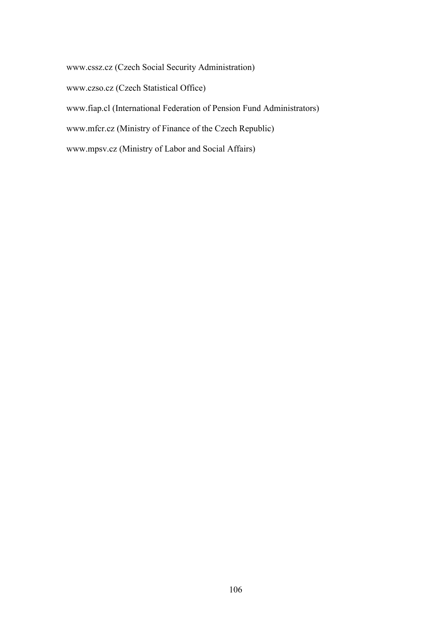www.cssz.cz (Czech Social Security Administration) www.czso.cz (Czech Statistical Office) www.fiap.cl (International Federation of Pension Fund Administrators) www.mfcr.cz (Ministry of Finance of the Czech Republic) www.mpsv.cz (Ministry of Labor and Social Affairs)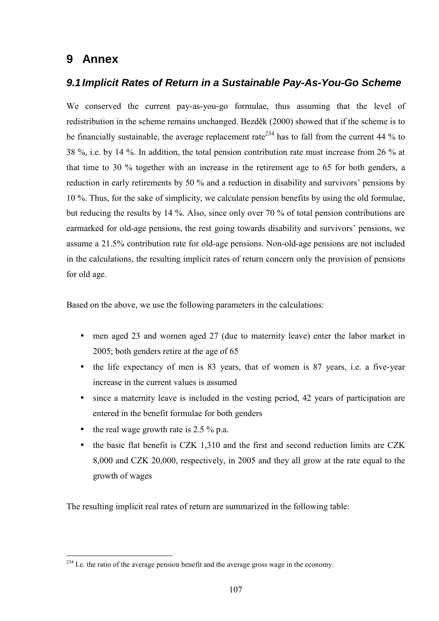# **9 Annex**

## *9.1 Implicit Rates of Return in a Sustainable Pay-As-You-Go Scheme*

We conserved the current pay-as-you-go formulae, thus assuming that the level of redistribution in the scheme remains unchanged. Bezděk (2000) showed that if the scheme is to be financially sustainable, the average replacement rate<sup>234</sup> has to fall from the current 44 % to 38 %, i.e. by 14 %. In addition, the total pension contribution rate must increase from 26 % at that time to 30 % together with an increase in the retirement age to 65 for both genders, a reduction in early retirements by 50 % and a reduction in disability and survivors' pensions by 10 %. Thus, for the sake of simplicity, we calculate pension benefits by using the old formulae, but reducing the results by 14 %. Also, since only over 70 % of total pension contributions are earmarked for old-age pensions, the rest going towards disability and survivors' pensions, we assume a 21.5% contribution rate for old-age pensions. Non-old-age pensions are not included in the calculations, the resulting implicit rates of return concern only the provision of pensions for old age.

Based on the above, we use the following parameters in the calculations:

- men aged 23 and women aged 27 (due to maternity leave) enter the labor market in 2005; both genders retire at the age of 65
- the life expectancy of men is 83 years, that of women is 87 years, i.e. a five-year increase in the current values is assumed
- since a maternity leave is included in the vesting period, 42 years of participation are entered in the benefit formulae for both genders
- the real wage growth rate is  $2.5\%$  p.a.

 $\overline{a}$ 

• the basic flat benefit is CZK 1,310 and the first and second reduction limits are CZK 8,000 and CZK 20,000, respectively, in 2005 and they all grow at the rate equal to the growth of wages

The resulting implicit real rates of return are summarized in the following table:

 $^{234}$  I.e. the ratio of the average pension benefit and the average gross wage in the economy.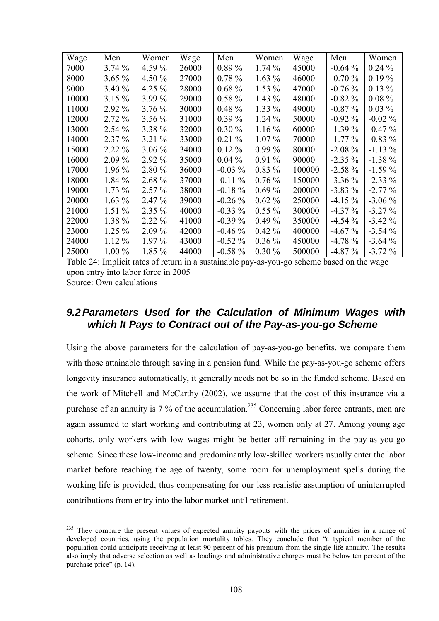| Wage  | Men      | Women    | Wage  | Men       | Women    | Wage   | Men       | Women     |
|-------|----------|----------|-------|-----------|----------|--------|-----------|-----------|
| 7000  | $3.74\%$ | 4.59 %   | 26000 | $0.89\%$  | 1.74%    | 45000  | $-0.64\%$ | $0.24\%$  |
| 8000  | $3.65\%$ | 4.50 $%$ | 27000 | $0.78 \%$ | $1.63\%$ | 46000  | $-0.70%$  | $0.19\%$  |
| 9000  | 3.40%    | 4.25 $%$ | 28000 | $0.68 \%$ | $1.53\%$ | 47000  | $-0.76\%$ | $0.13\%$  |
| 10000 | $3.15\%$ | $3.99\%$ | 29000 | $0.58 \%$ | $1.43\%$ | 48000  | $-0.82%$  | $0.08 \%$ |
| 11000 | 2.92 %   | $3.76\%$ | 30000 | $0.48 \%$ | $1.33\%$ | 49000  | $-0.87\%$ | $0.03\%$  |
| 12000 | $2.72\%$ | $3.56\%$ | 31000 | $0.39\%$  | $1.24\%$ | 50000  | $-0.92\%$ | $-0.02\%$ |
| 13000 | $2.54\%$ | 3.38 %   | 32000 | $0.30\%$  | $1.16\%$ | 60000  | $-1.39\%$ | $-0.47\%$ |
| 14000 | $2.37\%$ | $3.21\%$ | 33000 | $0.21\%$  | $1.07\%$ | 70000  | $-1.77\%$ | $-0.83\%$ |
| 15000 | $2.22\%$ | $3.06\%$ | 34000 | $0.12\%$  | $0.99\%$ | 80000  | $-2.08\%$ | $-1.13\%$ |
| 16000 | $2.09\%$ | 2.92 %   | 35000 | $0.04\%$  | $0.91\%$ | 90000  | $-2.35\%$ | $-1.38\%$ |
| 17000 | 1.96 %   | 2.80 %   | 36000 | $-0.03\%$ | $0.83\%$ | 100000 | $-2.58\%$ | $-1.59\%$ |
| 18000 | $1.84\%$ | 2.68 %   | 37000 | $-0.11\%$ | $0.76\%$ | 150000 | $-3.36\%$ | $-2.33\%$ |
| 19000 | $1.73\%$ | $2.57\%$ | 38000 | $-0.18\%$ | $0.69\%$ | 200000 | $-3.83\%$ | $-2.77\%$ |
| 20000 | $1.63\%$ | $2.47\%$ | 39000 | $-0.26\%$ | $0.62\%$ | 250000 | $-4.15\%$ | $-3.06\%$ |
| 21000 | $1.51\%$ | $2.35\%$ | 40000 | $-0.33\%$ | $0.55\%$ | 300000 | $-4.37\%$ | $-3.27\%$ |
| 22000 | 1.38 %   | $2.22\%$ | 41000 | $-0.39\%$ | $0.49\%$ | 350000 | $-4.54\%$ | $-3.42\%$ |
| 23000 | $1.25\%$ | $2.09\%$ | 42000 | $-0.46\%$ | $0.42\%$ | 400000 | $-4.67\%$ | $-3.54\%$ |
| 24000 | $1.12\%$ | $1.97\%$ | 43000 | $-0.52\%$ | $0.36\%$ | 450000 | $-4.78\%$ | $-3.64%$  |
| 25000 | $1.00\%$ | 1.85 %   | 44000 | $-0.58\%$ | $0.30\%$ | 500000 | $-4.87\%$ | $-3.72\%$ |

Table 24: Implicit rates of return in a sustainable pay-as-you-go scheme based on the wage upon entry into labor force in 2005 Source: Own calculations

## *9.2 Parameters Used for the Calculation of Minimum Wages with which It Pays to Contract out of the Pay-as-you-go Scheme*

Using the above parameters for the calculation of pay-as-you-go benefits, we compare them with those attainable through saving in a pension fund. While the pay-as-you-go scheme offers longevity insurance automatically, it generally needs not be so in the funded scheme. Based on the work of Mitchell and McCarthy (2002), we assume that the cost of this insurance via a purchase of an annuity is 7 % of the accumulation.<sup>235</sup> Concerning labor force entrants, men are again assumed to start working and contributing at 23, women only at 27. Among young age cohorts, only workers with low wages might be better off remaining in the pay-as-you-go scheme. Since these low-income and predominantly low-skilled workers usually enter the labor market before reaching the age of twenty, some room for unemployment spells during the working life is provided, thus compensating for our less realistic assumption of uninterrupted contributions from entry into the labor market until retirement.

<sup>&</sup>lt;sup>235</sup> They compare the present values of expected annuity payouts with the prices of annuities in a range of developed countries, using the population mortality tables. They conclude that "a typical member of the population could anticipate receiving at least 90 percent of his premium from the single life annuity. The results also imply that adverse selection as well as loadings and administrative charges must be below ten percent of the purchase price" (p. 14).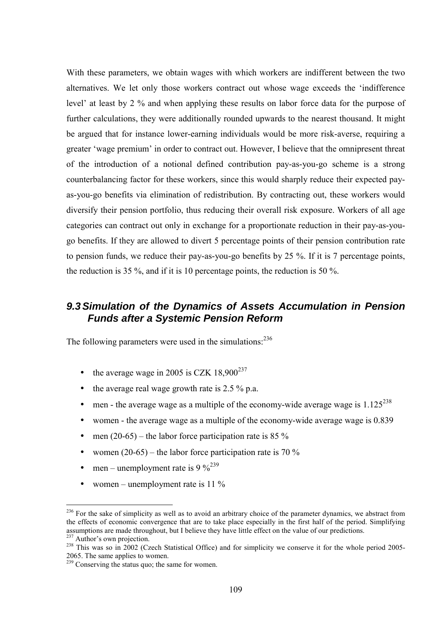With these parameters, we obtain wages with which workers are indifferent between the two alternatives. We let only those workers contract out whose wage exceeds the 'indifference level' at least by 2 % and when applying these results on labor force data for the purpose of further calculations, they were additionally rounded upwards to the nearest thousand. It might be argued that for instance lower-earning individuals would be more risk-averse, requiring a greater 'wage premium' in order to contract out. However, I believe that the omnipresent threat of the introduction of a notional defined contribution pay-as-you-go scheme is a strong counterbalancing factor for these workers, since this would sharply reduce their expected payas-you-go benefits via elimination of redistribution. By contracting out, these workers would diversify their pension portfolio, thus reducing their overall risk exposure. Workers of all age categories can contract out only in exchange for a proportionate reduction in their pay-as-yougo benefits. If they are allowed to divert 5 percentage points of their pension contribution rate to pension funds, we reduce their pay-as-you-go benefits by 25 %. If it is 7 percentage points, the reduction is 35 %, and if it is 10 percentage points, the reduction is 50 %.

## *9.3 Simulation of the Dynamics of Assets Accumulation in Pension Funds after a Systemic Pension Reform*

The following parameters were used in the simulations: $^{236}$ 

- the average wage in 2005 is CZK  $18,900^{237}$
- the average real wage growth rate is  $2.5\%$  p.a.
- men the average wage as a multiple of the economy-wide average wage is  $1.125^{238}$
- women the average wage as a multiple of the economy-wide average wage is 0.839
- men (20-65) the labor force participation rate is 85 %
- women  $(20-65)$  the labor force participation rate is 70 %
- men unemployment rate is  $9\%^{239}$
- women unemployment rate is 11  $\%$

 $\overline{a}$ 

 $^{236}$  For the sake of simplicity as well as to avoid an arbitrary choice of the parameter dynamics, we abstract from the effects of economic convergence that are to take place especially in the first half of the period. Simplifying assumptions are made throughout, but I believe they have little effect on the value of our predictions.<br><sup>237</sup> Author's own projection.

<sup>&</sup>lt;sup>238</sup> This was so in 2002 (Czech Statistical Office) and for simplicity we conserve it for the whole period 2005-2065. The same applies to women.

<sup>&</sup>lt;sup>239</sup> Conserving the status quo; the same for women.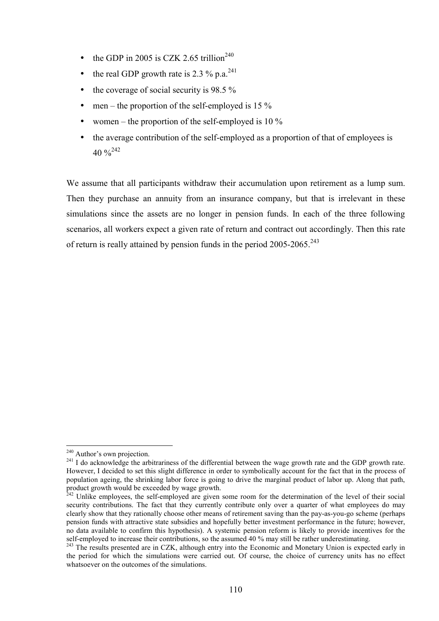- the GDP in 2005 is CZK 2.65 trillion<sup>240</sup>
- the real GDP growth rate is 2.3  $\%$  p.a.<sup>241</sup>
- the coverage of social security is  $98.5\%$
- men the proportion of the self-employed is 15  $\%$
- women the proportion of the self-employed is 10  $\%$
- the average contribution of the self-employed as a proportion of that of employees is  $40\%^{242}$

We assume that all participants withdraw their accumulation upon retirement as a lump sum. Then they purchase an annuity from an insurance company, but that is irrelevant in these simulations since the assets are no longer in pension funds. In each of the three following scenarios, all workers expect a given rate of return and contract out accordingly. Then this rate of return is really attained by pension funds in the period 2005-2065.<sup>243</sup>

 $\overline{a}$ 

 $240$  Author's own projection.

<sup>&</sup>lt;sup>241</sup> I do acknowledge the arbitrariness of the differential between the wage growth rate and the GDP growth rate. However, I decided to set this slight difference in order to symbolically account for the fact that in the process of population ageing, the shrinking labor force is going to drive the marginal product of labor up. Along that path, product growth would be exceeded by wage growth.

 $^{242}$  Unlike employees, the self-employed are given some room for the determination of the level of their social security contributions. The fact that they currently contribute only over a quarter of what employees do may clearly show that they rationally choose other means of retirement saving than the pay-as-you-go scheme (perhaps pension funds with attractive state subsidies and hopefully better investment performance in the future; however, no data available to confirm this hypothesis). A systemic pension reform is likely to provide incentives for the self-employed to increase their contributions, so the assumed 40 % may still be rather underestimating.

<sup>&</sup>lt;sup>243</sup> The results presented are in CZK, although entry into the Economic and Monetary Union is expected early in the period for which the simulations were carried out. Of course, the choice of currency units has no effect whatsoever on the outcomes of the simulations.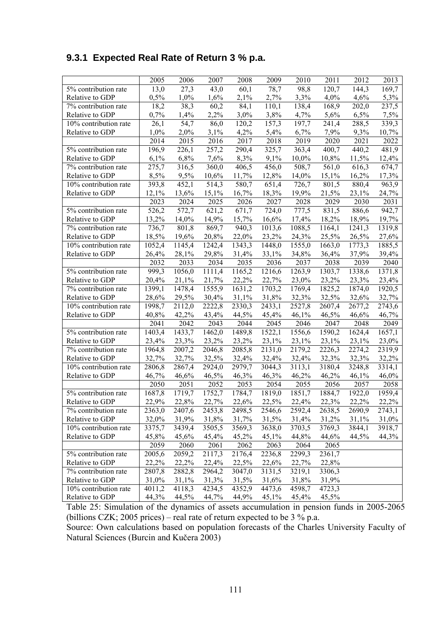## **9.3.1 Expected Real Rate of Return 3 % p.a.**

|                       | 2005               | 2006   | 2007   | 2008   | 2009   | 2010   | 2011   | 2012   | 2013   |
|-----------------------|--------------------|--------|--------|--------|--------|--------|--------|--------|--------|
| 5% contribution rate  | 13,0               | 27,3   | 43,0   | 60,1   | 78,7   | 98,8   | 120,7  | 144,3  | 169,7  |
| Relative to GDP       | 0,5%               | 1,0%   | 1,6%   | 2,1%   | 2,7%   | 3,3%   | 4,0%   | 4,6%   | 5,3%   |
| 7% contribution rate  | 18,2               | 38,3   | 60,2   | 84,1   | 110,1  | 138,4  | 168,9  | 202,0  | 237,5  |
| Relative to GDP       | 0,7%               | 1,4%   | 2,2%   | 3,0%   | 3,8%   | 4,7%   | 5,6%   | 6,5%   | 7,5%   |
| 10% contribution rate | 26,1               | 54,7   | 86,0   | 120,2  | 157,3  | 197,7  | 241,4  | 288,5  | 339,3  |
| Relative to GDP       | 1,0%               | 2,0%   | 3,1%   | 4,2%   | 5,4%   | 6,7%   | 7,9%   | 9,3%   | 10,7%  |
|                       | 2014               | 2015   | 2016   | 2017   | 2018   | 2019   | 2020   | 2021   | 2022   |
| 5% contribution rate  | 196,9              | 226,1  | 257,2  | 290,4  | 325,7  | 363,4  | 400,7  | 440,2  | 481,9  |
| Relative to GDP       | 6,1%               | 6,8%   | 7,6%   | 8,3%   | 9,1%   | 10,0%  | 10,8%  | 11,5%  | 12,4%  |
| 7% contribution rate  | 275,7              | 316,5  | 360,0  | 406,5  | 456,0  | 508,7  | 561,0  | 616,3  | 674,7  |
| Relative to GDP       | 8,5%               | 9,5%   | 10,6%  | 11,7%  | 12,8%  | 14,0%  | 15,1%  | 16,2%  | 17,3%  |
| 10% contribution rate | 393,8              | 452,1  | 514,3  | 580,7  | 651,4  | 726,7  | 801,5  | 880,4  | 963,9  |
| Relative to GDP       | 12,1%              | 13,6%  | 15,1%  | 16,7%  | 18,3%  | 19,9%  | 21,5%  | 23,1%  | 24,7%  |
|                       | 2023               | 2024   | 2025   | 2026   | 2027   | 2028   | 2029   | 2030   | 2031   |
| 5% contribution rate  | 526,2              | 572,7  | 621,2  | 671,7  | 724,0  | 777,5  | 831,5  | 886,6  | 942,7  |
| Relative to GDP       | 13,2%              | 14,0%  | 14,9%  | 15,7%  | 16,6%  | 17,4%  | 18,2%  | 18,9%  | 19,7%  |
| 7% contribution rate  | $\overline{736,7}$ | 801,8  | 869,7  | 940,3  | 1013,6 | 1088,5 | 1164,1 | 1241,3 | 1319,8 |
| Relative to GDP       | 18,5%              | 19,6%  | 20,8%  | 22,0%  | 23,2%  | 24,3%  | 25,5%  | 26,5%  | 27,6%  |
| 10% contribution rate | 1052,4             | 1145,4 | 1242,4 | 1343,3 | 1448,0 | 1555,0 | 1663,0 | 1773,3 | 1885,5 |
| Relative to GDP       | 26,4%              | 28,1%  | 29,8%  | 31,4%  | 33,1%  | 34,8%  | 36,4%  | 37,9%  | 39,4%  |
|                       | 2032               | 2033   | 2034   | 2035   | 2036   | 2037   | 2038   | 2039   | 2040   |
| 5% contribution rate  | 999,3              | 1056,0 | 1111,4 | 1165,2 | 1216,6 | 1263,9 | 1303,7 | 1338,6 | 1371,8 |
| Relative to GDP       | 20,4%              | 21,1%  | 21,7%  | 22,2%  | 22,7%  | 23,0%  | 23,2%  | 23,3%  | 23,4%  |
| 7% contribution rate  | 1399,1             | 1478,4 | 1555,9 | 1631,2 | 1703,2 | 1769,4 | 1825,2 | 1874,0 | 1920,5 |
| Relative to GDP       | 28,6%              | 29,5%  | 30,4%  | 31,1%  | 31,8%  | 32,3%  | 32,5%  | 32,6%  | 32,7%  |
| 10% contribution rate | 1998,7             | 2112,0 | 2222,8 | 2330,3 | 2433,1 | 2527,8 | 2607,4 | 2677,2 | 2743,6 |
| Relative to GDP       | 40,8%              | 42,2%  | 43,4%  | 44,5%  | 45,4%  | 46,1%  | 46,5%  | 46,6%  | 46,7%  |
|                       | 2041               | 2042   | 2043   | 2044   | 2045   | 2046   | 2047   | 2048   | 2049   |
| 5% contribution rate  | 1403,4             | 1433,7 | 1462,0 | 1489,8 | 1522,1 | 1556,6 | 1590,2 | 1624,4 | 1657,1 |
| Relative to GDP       | 23,4%              | 23,3%  | 23,2%  | 23,2%  | 23,1%  | 23,1%  | 23,1%  | 23,1%  | 23,0%  |
| 7% contribution rate  | 1964,8             | 2007,2 | 2046,8 | 2085,8 | 2131,0 | 2179,2 | 2226,3 | 2274,2 | 2319,9 |
| Relative to GDP       | 32,7%              | 32,7%  | 32,5%  | 32,4%  | 32,4%  | 32,4%  | 32,3%  | 32,3%  | 32,2%  |
| 10% contribution rate | 2806,8             | 2867,4 | 2924,0 | 2979,7 | 3044,3 | 3113,1 | 3180,4 | 3248,8 | 3314,1 |
| Relative to GDP       | 46,7%              | 46,6%  | 46,5%  | 46,3%  | 46,3%  | 46,2%  | 46,2%  | 46,1%  | 46,0%  |
|                       | 2050               | 2051   | 2052   | 2053   | 2054   | 2055   | 2056   | 2057   | 2058   |
| 5% contribution rate  | 1687,8             | 1719,7 | 1752,7 | 1784,7 | 1819,0 | 1851,7 | 1884,7 | 1922,0 | 1959,4 |
| Relative to GDP       | 22,9%              | 22,8%  | 22,7%  | 22,6%  | 22,5%  | 22,4%  | 22,3%  | 22,2%  | 22,2%  |
| 7% contribution rate  | 2363,0             | 2407,6 | 2453,8 | 2498,5 | 2546,6 | 2592,4 | 2638,5 | 2690,9 | 2743,1 |
| Relative to GDP       | 32,0%              | 31,9%  | 31,8%  | 31,7%  | 31,5%  | 31,4%  | 31,2%  | 31,1%  | 31,0%  |
| 10% contribution rate | 3375,7             | 3439,4 | 3505,5 | 3569,3 | 3638,0 | 3703,5 | 3769,3 | 3844,1 | 3918,7 |
| Relative to GDP       | 45,8%              | 45,6%  | 45,4%  | 45,2%  | 45,1%  | 44,8%  | 44,6%  | 44,5%  | 44,3%  |
|                       | 2059               | 2060   | 2061   | 2062   | 2063   | 2064   | 2065   |        |        |
| 5% contribution rate  | 2005,6             | 2059,2 | 2117,3 | 2176,4 | 2236,8 | 2299,3 | 2361,7 |        |        |
| Relative to GDP       | 22,2%              | 22,2%  | 22,4%  | 22,5%  | 22,6%  | 22,7%  | 22,8%  |        |        |
| 7% contribution rate  | 2807,8             | 2882,8 | 2964,2 | 3047,0 | 3131,5 | 3219,1 | 3306,3 |        |        |
| Relative to GDP       | 31,0%              | 31,1%  | 31,3%  | 31,5%  | 31,6%  | 31,8%  | 31,9%  |        |        |
| 10% contribution rate | 4011,2             | 4118,3 | 4234,5 | 4352,9 | 4473,6 | 4598,7 | 4723,3 |        |        |
| Relative to GDP       | 44,3%              | 44,5%  | 44,7%  | 44,9%  | 45,1%  | 45,4%  | 45,5%  |        |        |

Table 25: Simulation of the dynamics of assets accumulation in pension funds in 2005-2065 (billions CZK; 2005 prices) – real rate of return expected to be 3 % p.a.

Source: Own calculations based on population forecasts of the Charles University Faculty of Natural Sciences (Burcin and Kučera 2003)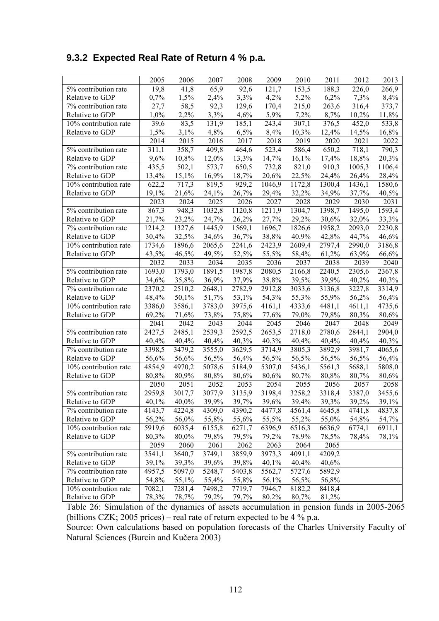## **9.3.2 Expected Real Rate of Return 4 % p.a.**

|                       | 2005   | 2006   | 2007   | 2008   | 2009               | 2010   | 2011                | 2012   | 2013   |
|-----------------------|--------|--------|--------|--------|--------------------|--------|---------------------|--------|--------|
| 5% contribution rate  | 19,8   | 41,8   | 65,9   | 92,6   | 121,7              | 153,5  | 188,3               | 226,0  | 266,9  |
| Relative to GDP       | 0,7%   | 1,5%   | 2,4%   | 3,3%   | 4,2%               | 5,2%   | 6,2%                | 7,3%   | 8,4%   |
| 7% contribution rate  | 27,7   | 58,5   | 92,3   | 129,6  | 170,4              | 215,0  | 263,6               | 316,4  | 373,7  |
| Relative to GDP       | 1,0%   | 2,2%   | 3,3%   | 4,6%   | 5,9%               | 7,2%   | 8,7%                | 10,2%  | 11,8%  |
| 10% contribution rate | 39,6   | 83,5   | 131,9  | 185,1  | 243,4              | 307,1  | 376,5               | 452,0  | 533,8  |
| Relative to GDP       | 1,5%   | 3,1%   | 4,8%   | 6,5%   | 8,4%               | 10,3%  | 12,4%               | 14,5%  | 16,8%  |
|                       | 2014   | 2015   | 2016   | 2017   | 2018               | 2019   | 2020                | 2021   | 2022   |
| 5% contribution rate  | 311,1  | 358,7  | 409,8  | 464,6  | $\overline{523,4}$ | 586,4  | 650,2               | 718,1  | 790,3  |
| Relative to GDP       | 9,6%   | 10,8%  | 12,0%  | 13,3%  | 14,7%              | 16,1%  | 17,4%               | 18,8%  | 20,3%  |
| 7% contribution rate  | 435,5  | 502,1  | 573,7  | 650,5  | 732,8              | 821,0  | 910,3               | 1005,3 | 1106,4 |
| Relative to GDP       | 13,4%  | 15,1%  | 16,9%  | 18,7%  | 20,6%              | 22,5%  | 24,4%               | 26,4%  | 28,4%  |
| 10% contribution rate | 622,2  | 717,3  | 819,5  | 929,2  | 1046,9             | 1172,8 | 1300,4              | 1436,1 | 1580,6 |
| Relative to GDP       | 19,1%  | 21,6%  | 24,1%  | 26,7%  | 29,4%              | 32,2%  | 34,9%               | 37,7%  | 40,5%  |
|                       | 2023   | 2024   | 2025   | 2026   | 2027               | 2028   | 2029                | 2030   | 2031   |
| 5% contribution rate  | 867,3  | 948,3  | 1032,8 | 1120,8 | 1211,9             | 1304,7 | 1398,7              | 1495,0 | 1593,4 |
| Relative to GDP       | 21,7%  | 23,2%  | 24,7%  | 26,2%  | 27,7%              | 29,2%  | 30,6%               | 32,0%  | 33,3%  |
| 7% contribution rate  | 1214,2 | 1327,6 | 1445,9 | 1569,1 | 1696,7             | 1826,6 | 1958,2              | 2093,0 | 2230,8 |
| Relative to GDP       | 30,4%  | 32,5%  | 34,6%  | 36,7%  | 38,8%              | 40,9%  | 42,8%               | 44,7%  | 46,6%  |
| 10% contribution rate | 1734,6 | 1896,6 | 2065,6 | 2241,6 | 2423,9             | 2609,4 | 2797,4              | 2990,0 | 3186,8 |
| Relative to GDP       | 43,5%  | 46,5%  | 49,5%  | 52,5%  | 55,5%              | 58,4%  | 61,2%               | 63,9%  | 66,6%  |
|                       | 2032   | 2033   | 2034   | 2035   | 2036               | 2037   | 2038                | 2039   | 2040   |
| 5% contribution rate  | 1693,0 | 1793,0 | 1891,5 | 1987,8 | 2080,5             | 2166,8 | $\overline{2}240,5$ | 2305,6 | 2367,8 |
| Relative to GDP       | 34,6%  | 35,8%  | 36,9%  | 37,9%  | 38,8%              | 39,5%  | 39,9%               | 40,2%  | 40,3%  |
| 7% contribution rate  | 2370,2 | 2510,2 | 2648,1 | 2782,9 | 2912,8             | 3033,6 | 3136,8              | 3227,8 | 3314,9 |
| Relative to GDP       | 48,4%  | 50,1%  | 51,7%  | 53,1%  | 54,3%              | 55,3%  | 55,9%               | 56,2%  | 56,4%  |
| 10% contribution rate | 3386,0 | 3586,1 | 3783,0 | 3975,6 | 4161,1             | 4333,6 | 4481,1              | 4611,1 | 4735,6 |
| Relative to GDP       | 69,2%  | 71,6%  | 73,8%  | 75,8%  | 77,6%              | 79,0%  | 79,8%               | 80,3%  | 80,6%  |
|                       | 2041   | 2042   | 2043   | 2044   | 2045               | 2046   | 2047                | 2048   | 2049   |
| 5% contribution rate  | 2427,5 | 2485,1 | 2539,3 | 2592,5 | 2653,5             | 2718,0 | 2780,6              | 2844,1 | 2904,0 |
| Relative to GDP       | 40,4%  | 40,4%  | 40,4%  | 40,3%  | 40,3%              | 40,4%  | 40,4%               | 40,4%  | 40,3%  |
| 7% contribution rate  | 3398,5 | 3479,2 | 3555,0 | 3629,5 | 3714,9             | 3805,3 | 3892,9              | 3981,7 | 4065,6 |
| Relative to GDP       | 56,6%  | 56,6%  | 56,5%  | 56,4%  | 56,5%              | 56,5%  | 56,5%               | 56,5%  | 56,4%  |
| 10% contribution rate | 4854,9 | 4970,2 | 5078,6 | 5184,9 | 5307,0             | 5436,1 | 5561,3              | 5688,1 | 5808,0 |
| Relative to GDP       | 80,8%  | 80,9%  | 80,8%  | 80,6%  | 80,6%              | 80,7%  | 80,8%               | 80,7%  | 80,6%  |
|                       | 2050   | 2051   | 2052   | 2053   | 2054               | 2055   | 2056                | 2057   | 2058   |
| 5% contribution rate  | 2959,8 | 3017,7 | 3077,9 | 3135,9 | 3198,4             | 3258,2 | 3318,4              | 3387,0 | 3455,6 |
| Relative to GDP       | 40,1%  | 40,0%  | 39,9%  | 39,7%  | 39,6%              | 39,4%  | 39,3%               | 39,2%  | 39,1%  |
| 7% contribution rate  | 4143,7 | 4224,8 | 4309,0 | 4390,2 | 4477,8             | 4561,4 | 4645,8              | 4741,8 | 4837,8 |
| Relative to GDP       | 56,2%  | 56,0%  | 55,8%  | 55,6%  | 55,5%              | 55,2%  | 55,0%               | 54,8%  | 54,7%  |
| 10% contribution rate | 5919,6 | 6035,4 | 6155,8 | 6271,7 | 6396,9             | 6516,3 | 6636,9              | 6774,1 | 6911,1 |
| Relative to GDP       | 80,3%  | 80,0%  | 79,8%  | 79,5%  | 79,2%              | 78,9%  | 78,5%               | 78,4%  | 78,1%  |
|                       | 2059   | 2060   | 2061   | 2062   | 2063               | 2064   | 2065                |        |        |
| 5% contribution rate  | 3541,1 | 3640,7 | 3749,1 | 3859,9 | 3973,3             | 4091,1 | 4209,2              |        |        |
| Relative to GDP       | 39,1%  | 39,3%  | 39,6%  | 39,8%  | 40,1%              | 40,4%  | 40,6%               |        |        |
| 7% contribution rate  | 4957,5 | 5097,0 | 5248,7 | 5403,8 | 5562,7             | 5727,6 | 5892,9              |        |        |
| Relative to GDP       | 54,8%  | 55,1%  | 55,4%  | 55,8%  | 56,1%              | 56,5%  | 56,8%               |        |        |
| 10% contribution rate | 7082,1 | 7281,4 | 7498,2 | 7719,7 | 7946,7             | 8182,2 | 8418,4              |        |        |
| Relative to GDP       | 78,3%  | 78,7%  | 79,2%  | 79,7%  | 80,2%              | 80,7%  | 81,2%               |        |        |

Table 26: Simulation of the dynamics of assets accumulation in pension funds in 2005-2065 (billions CZK; 2005 prices) – real rate of return expected to be 4 % p.a.

Source: Own calculations based on population forecasts of the Charles University Faculty of Natural Sciences (Burcin and Kučera 2003)